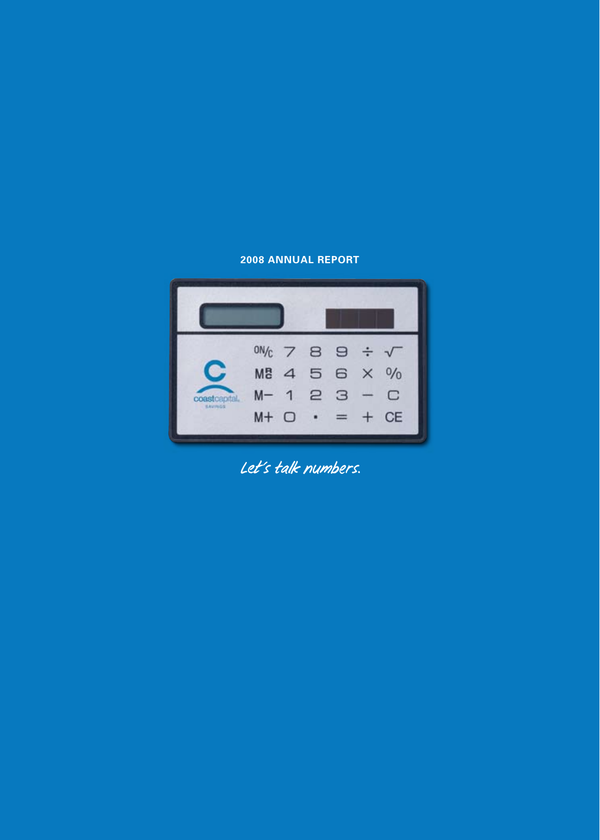## **2008 ANNUAL REPORT**



*Let's talk numbers.*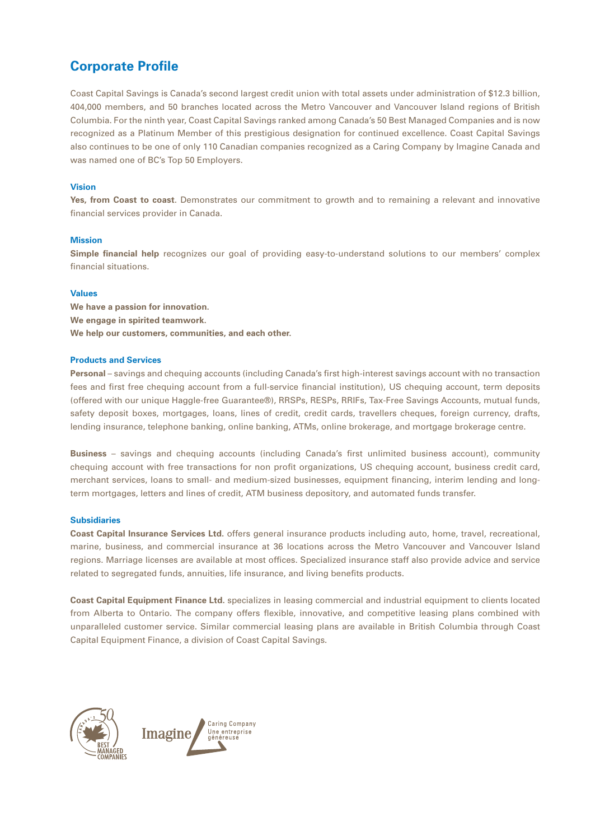## **Corporate Profile**

Coast Capital Savings is Canada's second largest credit union with total assets under administration of \$12.3 billion, 404,000 members, and 50 branches located across the Metro Vancouver and Vancouver Island regions of British Columbia. For the ninth year, Coast Capital Savings ranked among Canada's 50 Best Managed Companies and is now recognized as a Platinum Member of this prestigious designation for continued excellence. Coast Capital Savings also continues to be one of only 110 Canadian companies recognized as a Caring Company by Imagine Canada and was named one of BC's Top 50 Employers.

### **Vision**

**Yes, from Coast to coast**. Demonstrates our commitment to growth and to remaining a relevant and innovative financial services provider in Canada.

### **Mission**

**Simple financial help** recognizes our goal of providing easy-to-understand solutions to our members' complex financial situations.

#### **Values**

**We have a passion for innovation. We engage in spirited teamwork. We help our customers, communities, and each other.**

#### **Products and Services**

**Personal** – savings and chequing accounts (including Canada's first high-interest savings account with no transaction fees and first free chequing account from a full-service financial institution), US chequing account, term deposits (offered with our unique Haggle-free Guarantee®), RRSPs, RESPs, RRIFs, Tax-Free Savings Accounts, mutual funds, safety deposit boxes, mortgages, loans, lines of credit, credit cards, travellers cheques, foreign currency, drafts, lending insurance, telephone banking, online banking, ATMs, online brokerage, and mortgage brokerage centre.

**Business** – savings and chequing accounts (including Canada's first unlimited business account), community chequing account with free transactions for non profit organizations, US chequing account, business credit card, merchant services, loans to small- and medium-sized businesses, equipment financing, interim lending and longterm mortgages, letters and lines of credit, ATM business depository, and automated funds transfer.

### **Subsidiaries**

**Coast Capital Insurance Services Ltd.** offers general insurance products including auto, home, travel, recreational, marine, business, and commercial insurance at 36 locations across the Metro Vancouver and Vancouver Island regions. Marriage licenses are available at most offices. Specialized insurance staff also provide advice and service related to segregated funds, annuities, life insurance, and living benefits products.

**Coast Capital Equipment Finance Ltd.** specializes in leasing commercial and industrial equipment to clients located from Alberta to Ontario. The company offers flexible, innovative, and competitive leasing plans combined with unparalleled customer service. Similar commercial leasing plans are available in British Columbia through Coast Capital Equipment Finance, a division of Coast Capital Savings.



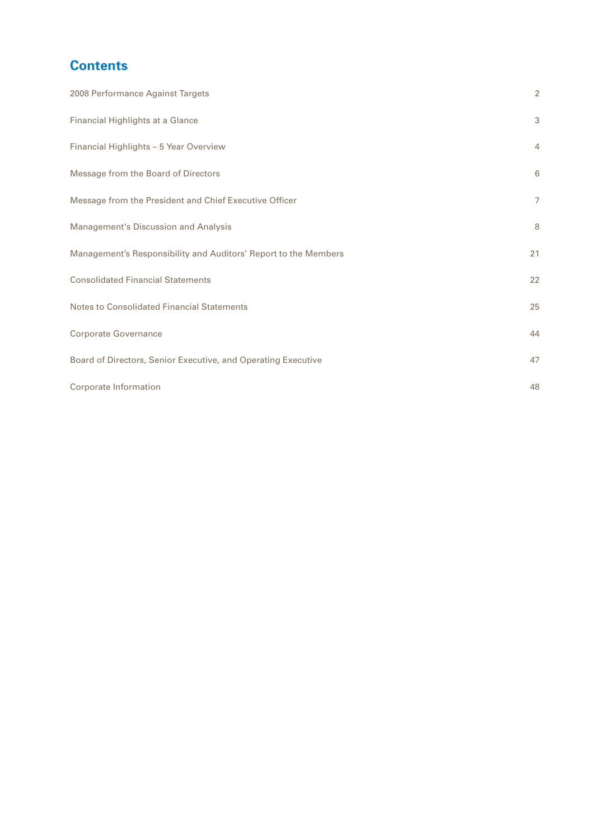# **Contents**

| 2008 Performance Against Targets                                | $\overline{2}$ |
|-----------------------------------------------------------------|----------------|
| Financial Highlights at a Glance                                | 3              |
| Financial Highlights - 5 Year Overview                          | $\overline{4}$ |
| Message from the Board of Directors                             | 6              |
| Message from the President and Chief Executive Officer          | $\overline{7}$ |
| Management's Discussion and Analysis                            | 8              |
| Management's Responsibility and Auditors' Report to the Members | 21             |
| <b>Consolidated Financial Statements</b>                        | 22             |
| Notes to Consolidated Financial Statements                      | 25             |
| <b>Corporate Governance</b>                                     | 44             |
| Board of Directors, Senior Executive, and Operating Executive   | 47             |
| Corporate Information                                           | 48             |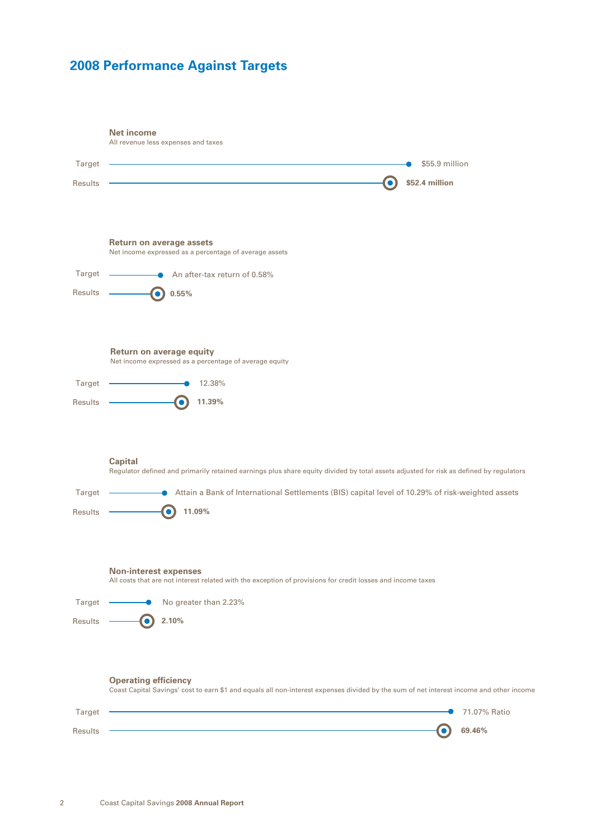# <span id="page-3-0"></span>**2008 Performance Against Targets**

|                | <b>Net income</b><br>All revenue less expenses and taxes                                                                                                               |
|----------------|------------------------------------------------------------------------------------------------------------------------------------------------------------------------|
| Target         | \$55.9 million                                                                                                                                                         |
| Results        | \$52.4 million                                                                                                                                                         |
|                | <b>Return on average assets</b>                                                                                                                                        |
|                | Net income expressed as a percentage of average assets                                                                                                                 |
| Target         | $\bullet$ An after-tax return of 0.58%                                                                                                                                 |
| Results        | 0.55%<br>٠                                                                                                                                                             |
|                | Return on average equity<br>Net income expressed as a percentage of average equity                                                                                     |
| Target         | 12.38%                                                                                                                                                                 |
| Results        | 11.39%                                                                                                                                                                 |
|                |                                                                                                                                                                        |
|                | <b>Capital</b><br>Regulator defined and primarily retained earnings plus share equity divided by total assets adjusted for risk as defined by regulators               |
| Target         | Attain a Bank of International Settlements (BIS) capital level of 10.29% of risk-weighted assets                                                                       |
| Results        | 11.09%<br>$\bullet$                                                                                                                                                    |
|                | <b>Non-interest expenses</b>                                                                                                                                           |
|                | All costs that are not interest related with the exception of provisions for credit losses and income taxes                                                            |
| Target         | $\bullet$ No greater than 2.23%                                                                                                                                        |
| Results -      | 2.10%<br>0                                                                                                                                                             |
|                | <b>Operating efficiency</b><br>Coast Capital Savings' cost to earn \$1 and equals all non-interest expenses divided by the sum of net interest income and other income |
| Target         | 71.07% Ratio                                                                                                                                                           |
| <b>Results</b> | 69.46%                                                                                                                                                                 |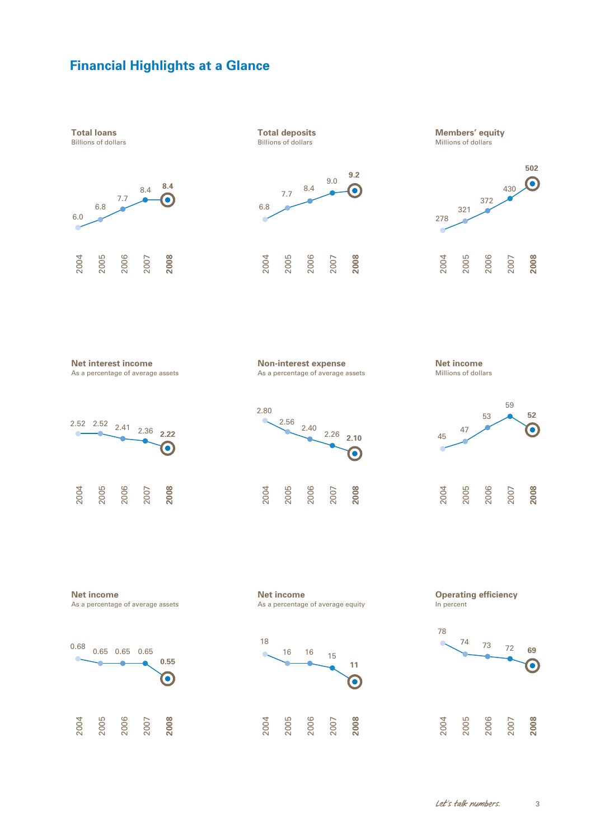## <span id="page-4-0"></span>**Financial Highlights at a Glance**

      

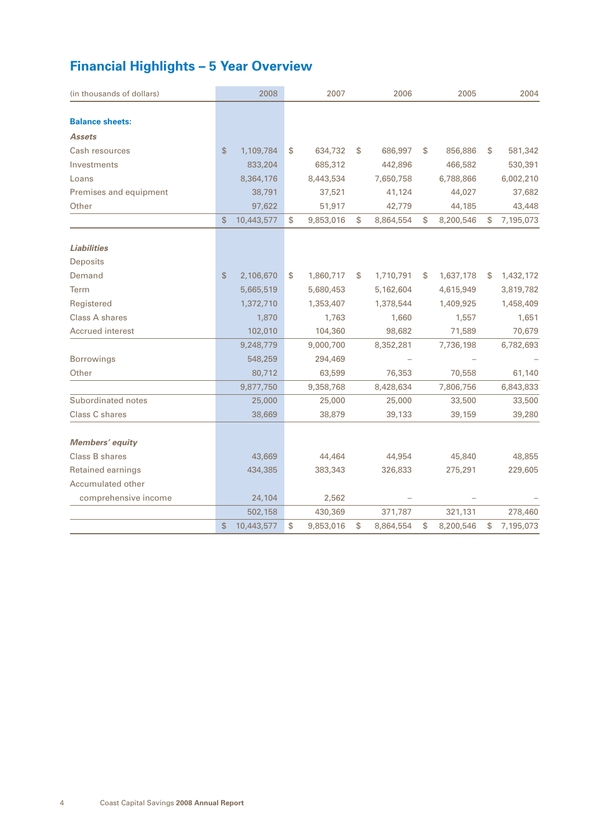# <span id="page-5-0"></span>**Financial Highlights – 5 Year Overview**

| (in thousands of dollars) | 2008             | 2007            |    | 2006      | 2005            |    | 2004      |
|---------------------------|------------------|-----------------|----|-----------|-----------------|----|-----------|
|                           |                  |                 |    |           |                 |    |           |
| <b>Balance sheets:</b>    |                  |                 |    |           |                 |    |           |
| <b>Assets</b>             |                  |                 |    |           |                 |    |           |
| Cash resources            | \$<br>1,109,784  | \$<br>634,732   | \$ | 686,997   | \$<br>856,886   | \$ | 581,342   |
| Investments               | 833,204          | 685,312         |    | 442,896   | 466,582         |    | 530,391   |
| Loans                     | 8,364,176        | 8,443,534       |    | 7,650,758 | 6,788,866       |    | 6,002,210 |
| Premises and equipment    | 38,791           | 37,521          |    | 41,124    | 44,027          |    | 37,682    |
| Other                     | 97,622           | 51,917          |    | 42,779    | 44,185          |    | 43,448    |
|                           | \$<br>10,443,577 | \$<br>9,853,016 | \$ | 8,864,554 | \$<br>8,200,546 | S  | 7,195,073 |
|                           |                  |                 |    |           |                 |    |           |
| <b>Liabilities</b>        |                  |                 |    |           |                 |    |           |
| <b>Deposits</b>           |                  |                 |    |           |                 |    |           |
| Demand                    | \$<br>2,106,670  | \$<br>1,860,717 | S  | 1,710,791 | \$<br>1,637,178 | \$ | 1,432,172 |
| Term                      | 5,665,519        | 5,680,453       |    | 5,162,604 | 4,615,949       |    | 3,819,782 |
| Registered                | 1,372,710        | 1,353,407       |    | 1,378,544 | 1,409,925       |    | 1,458,409 |
| Class A shares            | 1,870            | 1,763           |    | 1,660     | 1,557           |    | 1,651     |
| Accrued interest          | 102,010          | 104,360         |    | 98,682    | 71,589          |    | 70,679    |
|                           | 9,248,779        | 9,000,700       |    | 8,352,281 | 7,736,198       |    | 6,782,693 |
| <b>Borrowings</b>         | 548,259          | 294,469         |    |           |                 |    |           |
| Other                     | 80,712           | 63,599          |    | 76,353    | 70,558          |    | 61,140    |
|                           | 9,877,750        | 9,358,768       |    | 8,428,634 | 7,806,756       |    | 6,843,833 |
| Subordinated notes        | 25,000           | 25,000          |    | 25,000    | 33,500          |    | 33,500    |
| Class C shares            | 38,669           | 38,879          |    | 39,133    | 39,159          |    | 39,280    |
|                           |                  |                 |    |           |                 |    |           |
| <b>Members' equity</b>    |                  |                 |    |           |                 |    |           |
| Class B shares            | 43,669           | 44,464          |    | 44,954    | 45,840          |    | 48,855    |
| <b>Retained earnings</b>  | 434,385          | 383,343         |    | 326,833   | 275,291         |    | 229,605   |
| Accumulated other         |                  |                 |    |           |                 |    |           |
| comprehensive income      | 24,104           | 2,562           |    |           |                 |    |           |
|                           | 502,158          | 430,369         |    | 371,787   | 321,131         |    | 278,460   |
|                           | \$<br>10,443,577 | \$<br>9,853,016 | \$ | 8,864,554 | \$<br>8,200,546 | \$ | 7,195,073 |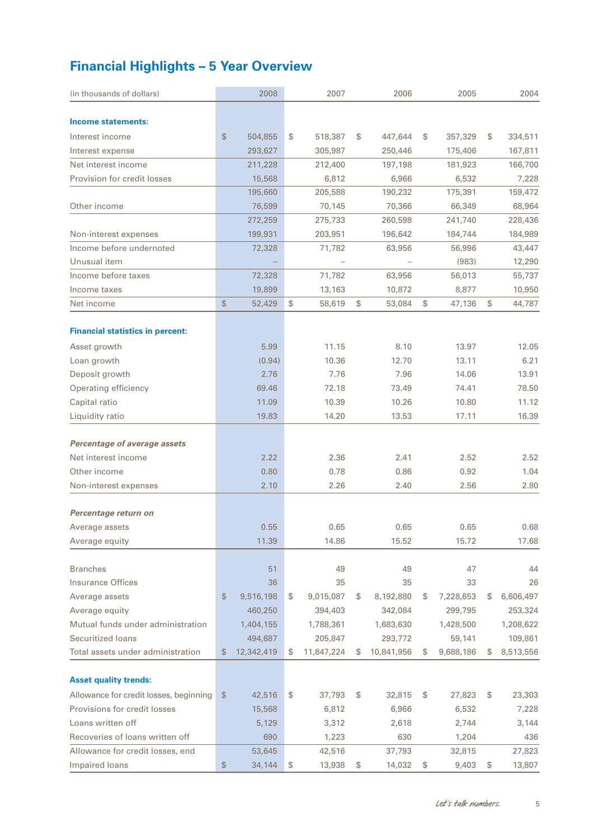# **Financial Highlights – 5 Year Overview**

| (in thousands of dollars)               |                | 2008       | 2007             |    | 2006       | 2005            | 2004            |
|-----------------------------------------|----------------|------------|------------------|----|------------|-----------------|-----------------|
|                                         |                |            |                  |    |            |                 |                 |
| Income statements:                      |                |            |                  |    |            |                 |                 |
| Interest income                         | \$             | 504,855    | \$<br>518,387    | \$ | 447,644    | \$<br>357,329   | \$<br>334,511   |
| Interest expense                        |                | 293,627    | 305,987          |    | 250,446    | 175,406         | 167,811         |
| Net interest income                     |                | 211,228    | 212,400          |    | 197,198    | 181,923         | 166,700         |
| Provision for credit losses             |                | 15,568     | 6,812            |    | 6,966      | 6,532           | 7,228           |
|                                         |                | 195,660    | 205,588          |    | 190,232    | 175,391         | 159,472         |
| Other income                            |                | 76,599     | 70,145           |    | 70,366     | 66,349          | 68,964          |
|                                         |                | 272,259    | 275,733          |    | 260,598    | 241,740         | 228,436         |
| Non-interest expenses                   |                | 199,931    | 203,951          |    | 196,642    | 184,744         | 184,989         |
| Income before undernoted                |                | 72,328     | 71,782           |    | 63,956     | 56,996          | 43,447          |
| Unusual item                            |                |            |                  |    |            | (983)           | 12,290          |
| Income before taxes                     |                | 72,328     | 71,782           |    | 63,956     | 56,013          | 55,737          |
| Income taxes                            |                | 19,899     | 13,163           |    | 10,872     | 8,877           | 10,950          |
| Net income                              | \$             | 52,429     | \$<br>58,619     | \$ | 53,084     | \$<br>47,136    | \$<br>44,787    |
|                                         |                |            |                  |    |            |                 |                 |
| <b>Financial statistics in percent:</b> |                |            |                  |    |            |                 |                 |
| Asset growth                            |                | 5.99       | 11.15            |    | 8.10       | 13.97           | 12.05           |
| Loan growth                             |                | (0.94)     | 10.36            |    | 12.70      | 13.11           | 6.21            |
| Deposit growth                          |                | 2.76       | 7.76             |    | 7.96       | 14.06           | 13.91           |
| Operating efficiency                    |                | 69.46      | 72.18            |    | 73.49      | 74.41           | 78.50           |
| Capital ratio                           |                | 11.09      | 10.39            |    | 10.26      | 10.80           | 11.12           |
| Liquidity ratio                         |                | 19.83      | 14.20            |    | 13.53      | 17.11           | 16.39           |
| Percentage of average assets            |                |            |                  |    |            |                 |                 |
| Net interest income                     |                | 2.22       | 2.36             |    | 2.41       | 2.52            | 2.52            |
| Other income                            |                | 0.80       | 0.78             |    | 0.86       | 0.92            | 1.04            |
| Non-interest expenses                   |                | 2.10       | 2.26             |    | 2.40       | 2.56            | 2.80            |
|                                         |                |            |                  |    |            |                 |                 |
| Percentage return on                    |                |            |                  |    |            |                 |                 |
| Average assets                          |                | 0.55       | 0.65             |    | 0.65       | 0.65            | 0.68            |
| Average equity                          |                | 11.39      | 14.86            |    | 15.52      | 15.72           | 17.68           |
|                                         |                |            |                  |    |            |                 |                 |
| <b>Branches</b>                         |                | 51         | 49               |    | 49         | 47              | 44              |
| Insurance Offices                       |                | 36         | 35               |    | 35         | 33              | 26              |
| Average assets                          | \$             | 9,516,198  | \$<br>9,015,087  | \$ | 8,192,880  | \$<br>7,228,653 | \$<br>6,606,497 |
| Average equity                          |                | 460,250    | 394,403          |    | 342,084    | 299,795         | 253,324         |
| Mutual funds under administration       |                | 1,404,155  | 1,788,361        |    | 1,683,630  | 1,428,500       | 1,208,622       |
| Securitized loans                       |                | 494,687    | 205,847          |    | 293,772    | 59,141          | 109,861         |
| Total assets under administration       | $\frac{1}{2}$  | 12,342,419 | \$<br>11,847,224 | S  | 10,841,956 | \$<br>9,688,186 | 8,513,556       |
|                                         |                |            |                  |    |            |                 |                 |
| <b>Asset quality trends:</b>            |                |            |                  |    |            |                 |                 |
| Allowance for credit losses, beginning  | $\mathfrak{S}$ | 42,516     | \$<br>37,793     | \$ | 32,815     | \$<br>27,823    | \$<br>23,303    |
| Provisions for credit losses            |                | 15,568     | 6,812            |    | 6,966      | 6,532           | 7,228           |
| Loans written off                       |                | 5,129      | 3,312            |    | 2,618      | 2,744           | 3,144           |
| Recoveries of loans written off         |                | 690        | 1,223            |    | 630        | 1,204           | 436             |
| Allowance for credit losses, end        |                | 53,645     | 42,516           |    | 37,793     | 32,815          | 27,823          |
| Impaired loans                          | \$             | 34,144     | \$<br>13,938     | \$ | 14,032     | \$<br>9,403     | \$<br>13,807    |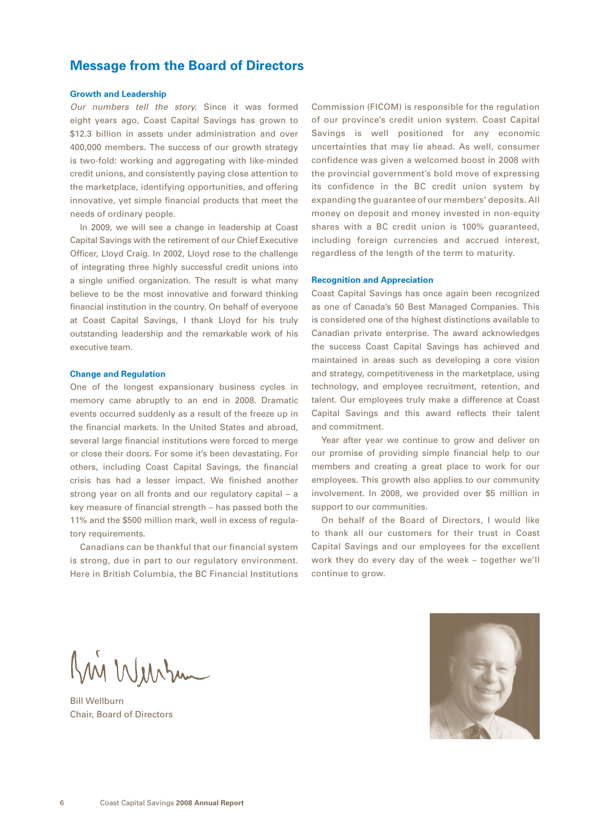## <span id="page-7-0"></span>**Message from the Board of Directors**

### **Growth and Leadership**

*Our numbers tell the story.* Since it was formed eight years ago, Coast Capital Savings has grown to \$12.3 billion in assets under administration and over 400,000 members. The success of our growth strategy is two-fold: working and aggregating with like-minded credit unions, and consistently paying close attention to the marketplace, identifying opportunities, and offering innovative, yet simple financial products that meet the needs of ordinary people.

In 2009, we will see a change in leadership at Coast Capital Savings with the retirement of our Chief Executive Officer, Lloyd Craig. In 2002, Lloyd rose to the challenge of integrating three highly successful credit unions into a single unified organization. The result is what many believe to be the most innovative and forward thinking financial institution in the country. On behalf of everyone at Coast Capital Savings, I thank Lloyd for his truly outstanding leadership and the remarkable work of his executive team.

### **Change and Regulation**

One of the longest expansionary business cycles in memory came abruptly to an end in 2008. Dramatic events occurred suddenly as a result of the freeze up in the financial markets. In the United States and abroad, several large financial institutions were forced to merge or close their doors. For some it's been devastating. For others, including Coast Capital Savings, the financial crisis has had a lesser impact. We finished another strong year on all fronts and our regulatory capital – a key measure of financial strength – has passed both the 11% and the \$500 million mark, well in excess of regulatory requirements.

Canadians can be thankful that our financial system is strong, due in part to our regulatory environment. Here in British Columbia, the BC Financial Institutions Commission (FICOM) is responsible for the regulation of our province's credit union system. Coast Capital Savings is well positioned for any economic uncertainties that may lie ahead. As well, consumer confidence was given a welcomed boost in 2008 with the provincial government's bold move of expressing its confidence in the BC credit union system by expanding the guarantee of our members' deposits. All money on deposit and money invested in non-equity shares with a BC credit union is 100% guaranteed, including foreign currencies and accrued interest, regardless of the length of the term to maturity.

#### **Recognition and Appreciation**

Coast Capital Savings has once again been recognized as one of Canada's 50 Best Managed Companies. This is considered one of the highest distinctions available to Canadian private enterprise. The award acknowledges the success Coast Capital Savings has achieved and maintained in areas such as developing a core vision and strategy, competitiveness in the marketplace, using technology, and employee recruitment, retention, and talent. Our employees truly make a difference at Coast Capital Savings and this award reflects their talent and commitment.

Year after year we continue to grow and deliver on our promise of providing simple financial help to our members and creating a great place to work for our employees. This growth also applies to our community involvement. In 2008, we provided over \$5 million in support to our communities.

On behalf of the Board of Directors, I would like to thank all our customers for their trust in Coast Capital Savings and our employees for the excellent work they do every day of the week – together we'll continue to grow.

Kin Wurkum

Bill Wellburn Chair, Board of Directors

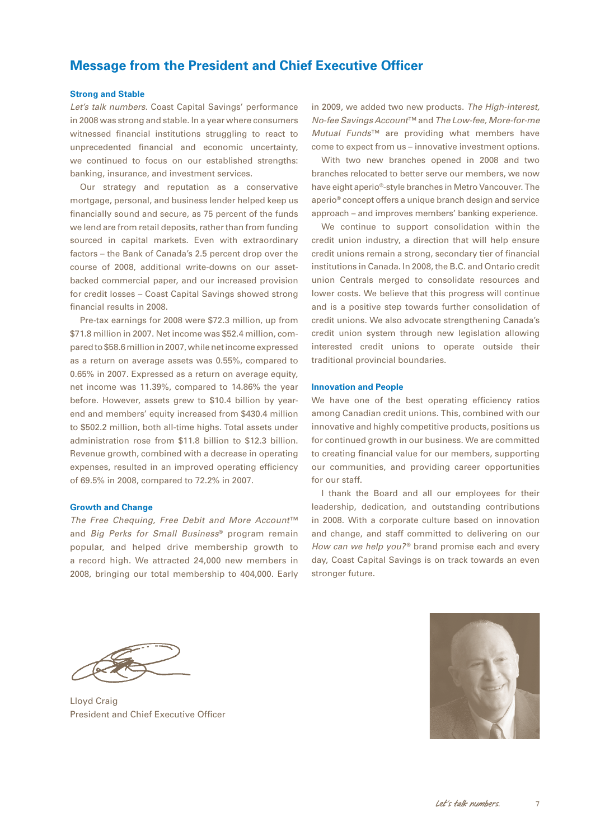## <span id="page-8-0"></span>**Message from the President and Chief Executive Officer**

### **Strong and Stable**

*Let's talk numbers.* Coast Capital Savings' performance in 2008 was strong and stable. In a year where consumers witnessed financial institutions struggling to react to unprecedented financial and economic uncertainty, we continued to focus on our established strengths: banking, insurance, and investment services.

Our strategy and reputation as a conservative mortgage, personal, and business lender helped keep us financially sound and secure, as 75 percent of the funds we lend are from retail deposits, rather than from funding sourced in capital markets. Even with extraordinary factors – the Bank of Canada's 2.5 percent drop over the course of 2008, additional write-downs on our assetbacked commercial paper, and our increased provision for credit losses – Coast Capital Savings showed strong financial results in 2008.

Pre-tax earnings for 2008 were \$72.3 million, up from \$71.8 million in 2007. Net income was \$52.4 million, compared to \$58.6 million in 2007, while net income expressed as a return on average assets was 0.55%, compared to 0.65% in 2007. Expressed as a return on average equity, net income was 11.39%, compared to 14.86% the year before. However, assets grew to \$10.4 billion by yearend and members' equity increased from \$430.4 million to \$502.2 million, both all-time highs. Total assets under administration rose from \$11.8 billion to \$12.3 billion. Revenue growth, combined with a decrease in operating expenses, resulted in an improved operating efficiency of 69.5% in 2008, compared to 72.2% in 2007.

### **Growth and Change**

*The Free Chequing, Free Debit and More Account*™ and *Big Perks for Small Business*® program remain popular, and helped drive membership growth to a record high. We attracted 24,000 new members in 2008, bringing our total membership to 404,000. Early in 2009, we added two new products. *The High-interest, No-fee Savings Account*™ and *The Low-fee, More-for-me Mutual Funds*™ are providing what members have come to expect from us – innovative investment options.

With two new branches opened in 2008 and two branches relocated to better serve our members, we now have eight aperio®-style branches in Metro Vancouver. The aperio® concept offers a unique branch design and service approach – and improves members' banking experience.

We continue to support consolidation within the credit union industry, a direction that will help ensure credit unions remain a strong, secondary tier of financial institutions in Canada. In 2008, the B.C. and Ontario credit union Centrals merged to consolidate resources and lower costs. We believe that this progress will continue and is a positive step towards further consolidation of credit unions. We also advocate strengthening Canada's credit union system through new legislation allowing interested credit unions to operate outside their traditional provincial boundaries.

### **Innovation and People**

We have one of the best operating efficiency ratios among Canadian credit unions. This, combined with our innovative and highly competitive products, positions us for continued growth in our business. We are committed to creating financial value for our members, supporting our communities, and providing career opportunities for our staff.

I thank the Board and all our employees for their leadership, dedication, and outstanding contributions in 2008. With a corporate culture based on innovation and change, and staff committed to delivering on our *How can we help you?*<sup>®</sup> brand promise each and every day, Coast Capital Savings is on track towards an even stronger future.

Lloyd Craig President and Chief Executive Officer

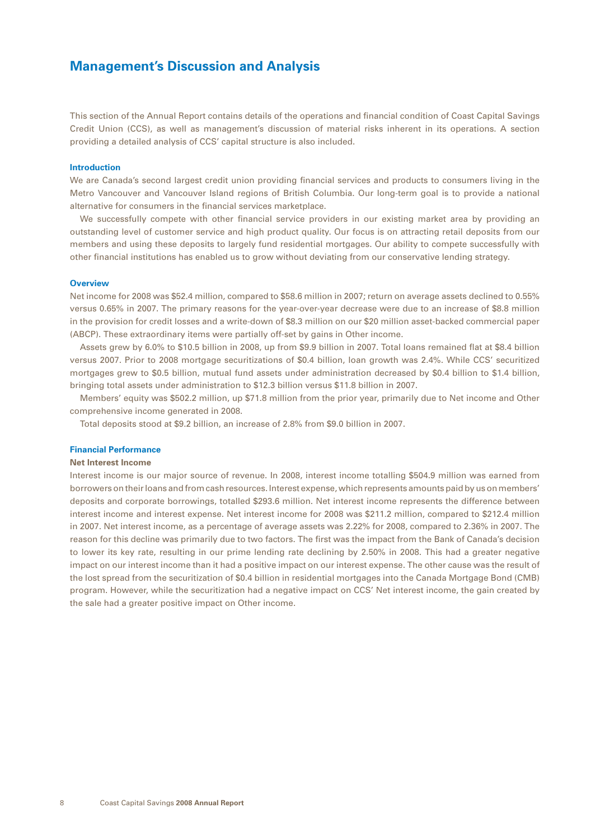<span id="page-9-0"></span>This section of the Annual Report contains details of the operations and financial condition of Coast Capital Savings Credit Union (CCS), as well as management's discussion of material risks inherent in its operations. A section providing a detailed analysis of CCS' capital structure is also included.

### **Introduction**

We are Canada's second largest credit union providing financial services and products to consumers living in the Metro Vancouver and Vancouver Island regions of British Columbia. Our long-term goal is to provide a national alternative for consumers in the financial services marketplace.

We successfully compete with other financial service providers in our existing market area by providing an outstanding level of customer service and high product quality. Our focus is on attracting retail deposits from our members and using these deposits to largely fund residential mortgages. Our ability to compete successfully with other financial institutions has enabled us to grow without deviating from our conservative lending strategy.

#### **Overview**

Net income for 2008 was \$52.4 million, compared to \$58.6 million in 2007; return on average assets declined to 0.55% versus 0.65% in 2007. The primary reasons for the year-over-year decrease were due to an increase of \$8.8 million in the provision for credit losses and a write-down of \$8.3 million on our \$20 million asset-backed commercial paper (ABCP). These extraordinary items were partially off-set by gains in Other income.

Assets grew by 6.0% to \$10.5 billion in 2008, up from \$9.9 billion in 2007. Total loans remained flat at \$8.4 billion versus 2007. Prior to 2008 mortgage securitizations of \$0.4 billion, loan growth was 2.4%. While CCS' securitized mortgages grew to \$0.5 billion, mutual fund assets under administration decreased by \$0.4 billion to \$1.4 billion, bringing total assets under administration to \$12.3 billion versus \$11.8 billion in 2007.

Members' equity was \$502.2 million, up \$71.8 million from the prior year, primarily due to Net income and Other comprehensive income generated in 2008.

Total deposits stood at \$9.2 billion, an increase of 2.8% from \$9.0 billion in 2007.

#### **Financial Performance**

### **Net Interest Income**

Interest income is our major source of revenue. In 2008, interest income totalling \$504.9 million was earned from borrowers on their loans and from cash resources. Interest expense, which represents amounts paid by us on members' deposits and corporate borrowings, totalled \$293.6 million. Net interest income represents the difference between interest income and interest expense. Net interest income for 2008 was \$211.2 million, compared to \$212.4 million in 2007. Net interest income, as a percentage of average assets was 2.22% for 2008, compared to 2.36% in 2007. The reason for this decline was primarily due to two factors. The first was the impact from the Bank of Canada's decision to lower its key rate, resulting in our prime lending rate declining by 2.50% in 2008. This had a greater negative impact on our interest income than it had a positive impact on our interest expense. The other cause was the result of the lost spread from the securitization of \$0.4 billion in residential mortgages into the Canada Mortgage Bond (CMB) program. However, while the securitization had a negative impact on CCS' Net interest income, the gain created by the sale had a greater positive impact on Other income.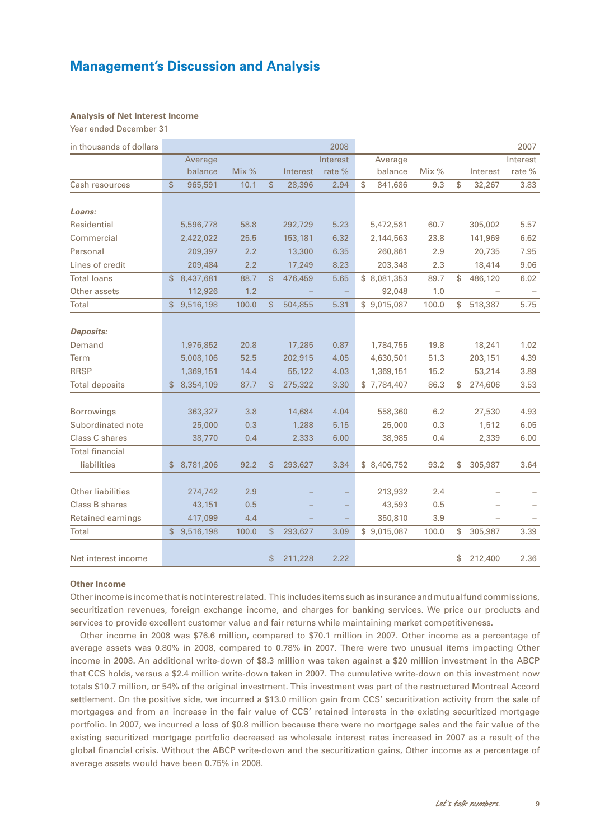### **Analysis of Net Interest Income**

Year ended December 31

| in thousands of dollars  |                 |         |              |          | 2008     |               |         |    |          | 2007     |
|--------------------------|-----------------|---------|--------------|----------|----------|---------------|---------|----|----------|----------|
|                          | Average         |         |              |          | Interest | Average       |         |    |          | Interest |
|                          | balance         | Mix $%$ |              | Interest | rate %   | balance       | Mix $%$ |    | Interest | rate %   |
| Cash resources           | \$<br>965,591   | 10.1    | \$           | 28,396   | 2.94     | \$<br>841,686 | 9.3     | \$ | 32,267   | 3.83     |
| Loans:                   |                 |         |              |          |          |               |         |    |          |          |
| Residential              | 5,596,778       | 58.8    |              | 292,729  | 5.23     | 5,472,581     | 60.7    |    | 305,002  | 5.57     |
| Commercial               | 2,422,022       | 25.5    |              | 153,181  | 6.32     | 2,144,563     | 23.8    |    | 141,969  | 6.62     |
| Personal                 | 209,397         | 2.2     |              | 13,300   | 6.35     | 260,861       | 2.9     |    | 20,735   | 7.95     |
| Lines of credit          | 209,484         | 2.2     |              | 17,249   | 8.23     | 203,348       | 2.3     |    | 18,414   | 9.06     |
| <b>Total loans</b>       | \$<br>8,437,681 | 88.7    | \$           | 476,459  | 5.65     | \$8,081,353   | 89.7    | S  | 486,120  | 6.02     |
| Other assets             | 112,926         | 1.2     |              |          | $\equiv$ | 92,048        | 1.0     |    |          |          |
| Total                    | \$<br>9,516,198 | 100.0   | \$           | 504,855  | 5.31     | \$9,015,087   | 100.0   | \$ | 518,387  | 5.75     |
|                          |                 |         |              |          |          |               |         |    |          |          |
| <b>Deposits:</b>         |                 |         |              |          |          |               |         |    |          |          |
| Demand                   | 1,976,852       | 20.8    |              | 17,285   | 0.87     | 1,784,755     | 19.8    |    | 18,241   | 1.02     |
| Term                     | 5,008,106       | 52.5    |              | 202,915  | 4.05     | 4,630,501     | 51.3    |    | 203,151  | 4.39     |
| <b>RRSP</b>              | 1,369,151       | 14.4    |              | 55,122   | 4.03     | 1,369,151     | 15.2    |    | 53,214   | 3.89     |
| <b>Total deposits</b>    | \$<br>8,354,109 | 87.7    | $\mathbb{S}$ | 275,322  | 3.30     | \$7,784,407   | 86.3    | \$ | 274,606  | 3.53     |
|                          |                 |         |              |          |          |               |         |    |          |          |
| <b>Borrowings</b>        | 363,327         | 3.8     |              | 14,684   | 4.04     | 558,360       | 6.2     |    | 27,530   | 4.93     |
| Subordinated note        | 25,000          | 0.3     |              | 1,288    | 5.15     | 25,000        | 0.3     |    | 1,512    | 6.05     |
| Class C shares           | 38,770          | 0.4     |              | 2,333    | 6.00     | 38,985        | 0.4     |    | 2,339    | 6.00     |
| <b>Total financial</b>   |                 |         |              |          |          |               |         |    |          |          |
| liabilities              | \$<br>8,781,206 | 92.2    | \$           | 293,627  | 3.34     | \$ 8,406,752  | 93.2    | \$ | 305,987  | 3.64     |
| <b>Other liabilities</b> | 274,742         | 2.9     |              |          |          | 213,932       | 2.4     |    |          |          |
| Class B shares           | 43,151          | 0.5     |              |          |          | 43,593        | 0.5     |    |          |          |
|                          |                 |         |              |          |          |               |         |    |          |          |
| Retained earnings        | 417,099         | 4.4     |              |          |          | 350,810       | 3.9     |    |          |          |
| Total                    | \$<br>9,516,198 | 100.0   | \$           | 293,627  | 3.09     | \$9,015,087   | 100.0   | S  | 305,987  | 3.39     |
| Net interest income      |                 |         | \$           | 211,228  | 2.22     |               |         | \$ | 212,400  | 2.36     |

#### **Other Income**

Other income is income that is not interest related. This includes items such as insurance and mutual fund commissions, securitization revenues, foreign exchange income, and charges for banking services. We price our products and services to provide excellent customer value and fair returns while maintaining market competitiveness.

Other income in 2008 was \$76.6 million, compared to \$70.1 million in 2007. Other income as a percentage of average assets was 0.80% in 2008, compared to 0.78% in 2007. There were two unusual items impacting Other income in 2008. An additional write-down of \$8.3 million was taken against a \$20 million investment in the ABCP that CCS holds, versus a \$2.4 million write-down taken in 2007. The cumulative write-down on this investment now totals \$10.7 million, or 54% of the original investment. This investment was part of the restructured Montreal Accord settlement. On the positive side, we incurred a \$13.0 million gain from CCS' securitization activity from the sale of mortgages and from an increase in the fair value of CCS' retained interests in the existing securitized mortgage portfolio. In 2007, we incurred a loss of \$0.8 million because there were no mortgage sales and the fair value of the existing securitized mortgage portfolio decreased as wholesale interest rates increased in 2007 as a result of the global financial crisis. Without the ABCP write-down and the securitization gains, Other income as a percentage of average assets would have been 0.75% in 2008.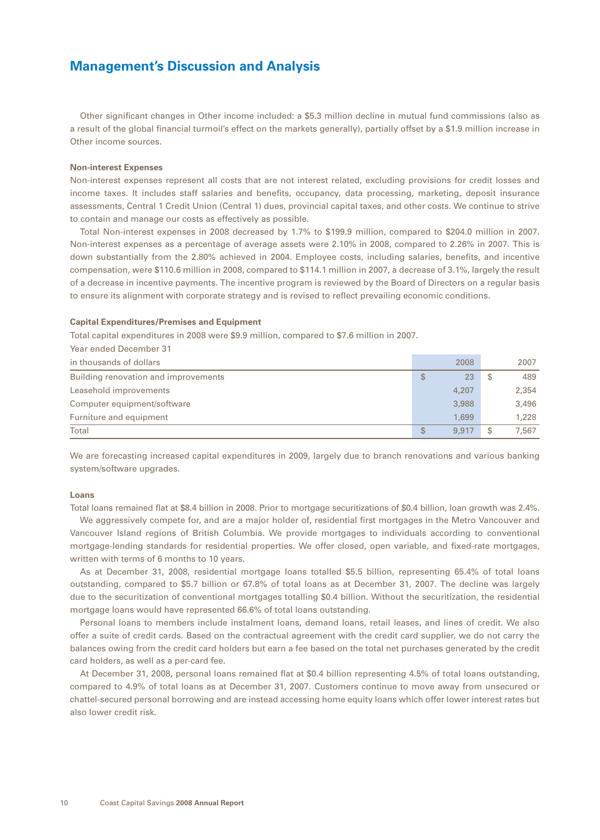Other significant changes in Other income included: a \$5.3 million decline in mutual fund commissions (also as a result of the global financial turmoil's effect on the markets generally), partially offset by a \$1.9 million increase in Other income sources.

### **Non-interest Expenses**

Non-interest expenses represent all costs that are not interest related, excluding provisions for credit losses and income taxes. It includes staff salaries and benefits, occupancy, data processing, marketing, deposit insurance assessments, Central 1 Credit Union (Central 1) dues, provincial capital taxes, and other costs. We continue to strive to contain and manage our costs as effectively as possible.

Total Non-interest expenses in 2008 decreased by 1.7% to \$199.9 million, compared to \$204.0 million in 2007. Non-interest expenses as a percentage of average assets were 2.10% in 2008, compared to 2.26% in 2007. This is down substantially from the 2.80% achieved in 2004. Employee costs, including salaries, benefits, and incentive compensation, were \$110.6 million in 2008, compared to \$114.1 million in 2007, a decrease of 3.1%, largely the result of a decrease in incentive payments. The incentive program is reviewed by the Board of Directors on a regular basis to ensure its alignment with corporate strategy and is revised to reflect prevailing economic conditions.

### **Capital Expenditures/Premises and Equipment**

Total capital expenditures in 2008 were \$9.9 million, compared to \$7.6 million in 2007.

| Year ended December 31               |   |       |       |
|--------------------------------------|---|-------|-------|
| in thousands of dollars              |   | 2008  | 2007  |
| Building renovation and improvements | S | 23    | 489   |
| Leasehold improvements               |   | 4,207 | 2,354 |
| Computer equipment/software          |   | 3,988 | 3,496 |
| Furniture and equipment              |   | 1,699 | 1,228 |
| Total                                | S | 9,917 | 7.567 |

We are forecasting increased capital expenditures in 2009, largely due to branch renovations and various banking system/software upgrades.

### **Loans**

Total loans remained flat at \$8.4 billion in 2008. Prior to mortgage securitizations of \$0.4 billion, loan growth was 2.4%.

We aggressively compete for, and are a major holder of, residential first mortgages in the Metro Vancouver and Vancouver Island regions of British Columbia. We provide mortgages to individuals according to conventional mortgage-lending standards for residential properties. We offer closed, open variable, and fixed-rate mortgages, written with terms of 6 months to 10 years.

As at December 31, 2008, residential mortgage loans totalled \$5.5 billion, representing 65.4% of total loans outstanding, compared to \$5.7 billion or 67.8% of total loans as at December 31, 2007. The decline was largely due to the securitization of conventional mortgages totalling \$0.4 billion. Without the securitization, the residential mortgage loans would have represented 66.6% of total loans outstanding.

Personal loans to members include instalment loans, demand loans, retail leases, and lines of credit. We also offer a suite of credit cards. Based on the contractual agreement with the credit card supplier, we do not carry the balances owing from the credit card holders but earn a fee based on the total net purchases generated by the credit card holders, as well as a per-card fee.

At December 31, 2008, personal loans remained flat at \$0.4 billion representing 4.5% of total loans outstanding, compared to 4.9% of total loans as at December 31, 2007. Customers continue to move away from unsecured or chattel-secured personal borrowing and are instead accessing home equity loans which offer lower interest rates but also lower credit risk.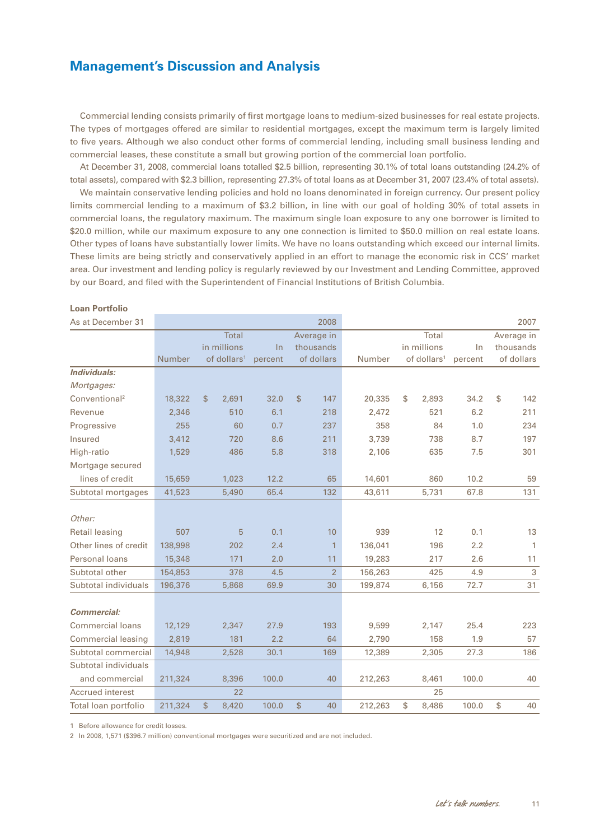Commercial lending consists primarily of first mortgage loans to medium-sized businesses for real estate projects. The types of mortgages offered are similar to residential mortgages, except the maximum term is largely limited to five years. Although we also conduct other forms of commercial lending, including small business lending and commercial leases, these constitute a small but growing portion of the commercial loan portfolio.

At December 31, 2008, commercial loans totalled \$2.5 billion, representing 30.1% of total loans outstanding (24.2% of total assets), compared with \$2.3 billion, representing 27.3% of total loans as at December 31, 2007 (23.4% of total assets).

We maintain conservative lending policies and hold no loans denominated in foreign currency. Our present policy limits commercial lending to a maximum of \$3.2 billion, in line with our goal of holding 30% of total assets in commercial loans, the regulatory maximum. The maximum single loan exposure to any one borrower is limited to \$20.0 million, while our maximum exposure to any one connection is limited to \$50.0 million on real estate loans. Other types of loans have substantially lower limits. We have no loans outstanding which exceed our internal limits. These limits are being strictly and conservatively applied in an effort to manage the economic risk in CCS' market area. Our investment and lending policy is regularly reviewed by our Investment and Lending Committee, approved by our Board, and filed with the Superintendent of Financial Institutions of British Columbia.

## As at December 31 2008 2007 Total Average in Total Average in in millions In thousands in millions In thousands Number of dollars<sup>1</sup> percent of dollars Number of dollars<sup>1</sup> percent of dollars *Individuals: Mortgages:* Conventional2 18,322 \$ 2,691 32.0 \$ 147 20,335 \$ 2,893 34.2 \$ 142 Revenue 2,346 510 6.1 218 2,472 521 6.2 211 Progressive 255 60 0.7 237 358 84 1.0 234 Insured 3,412 720 8.6 211 3,739 738 8.7 197 High-ratio 1,529 486 5.8 318 2,106 635 7.5 301 Mortgage secured lines of credit 15,659 1,023 12.2 65 14,601 860 10.2 59 Subtotal mortgages 41,523 5,490 65.4 132 43,611 5,731 67.8 131 *Other:* Retail leasing 507 5 0.1 10 939 12 0.1 13 Other lines of credit 138,998 202 2.4 1 136,041 196 2.2 1 Personal loans 15,348 171 2.0 11 19,283 217 2.6 11 Subtotal other 154,853 378 4.5 2 156,263 425 4.9 3 Subtotal individuals 196,376 5,868 69.9 30 199,874 6,156 72.7 31 *Commercial:* Commercial loans 12,129 2,347 27.9 193 9,599 2,147 25.4 223 Commercial leasing 2,819 181 2.2 64 2,790 158 1.9 57 Subtotal commercial 14,948 2,528 30.1 169 12,389 2,305 27.3 186 Subtotal individuals and commercial 211,324 8,396 100.0 40 212,263 8,461 100.0 40 Accrued interest 22 25 Total loan portfolio 211,324 \$ 8,420 100.0 \$ 40 212,263 \$ 8,486 100.0 \$ 40

#### **Loan Portfolio**

1 Before allowance for credit losses.

2 In 2008, 1,571 (\$396.7 million) conventional mortgages were securitized and are not included.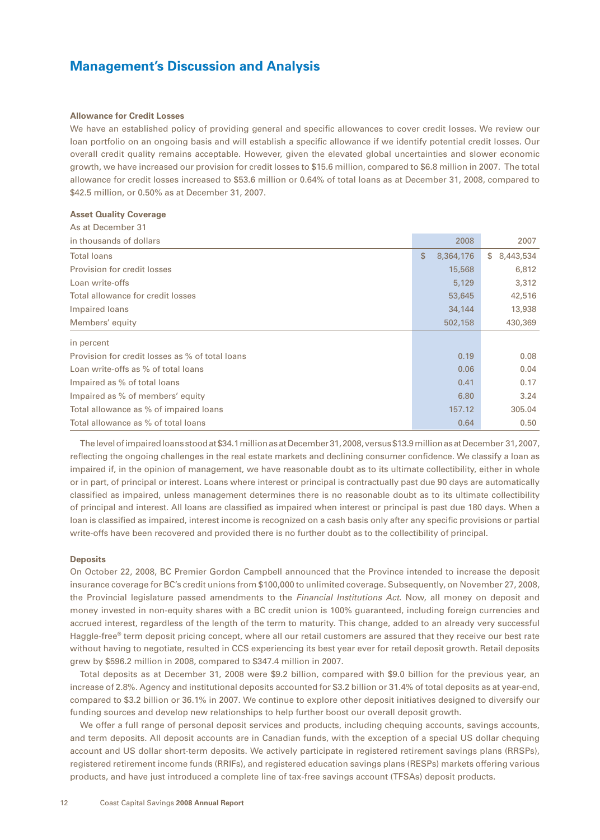#### **Allowance for Credit Losses**

We have an established policy of providing general and specific allowances to cover credit losses. We review our loan portfolio on an ongoing basis and will establish a specific allowance if we identify potential credit losses. Our overall credit quality remains acceptable. However, given the elevated global uncertainties and slower economic growth, we have increased our provision for credit losses to \$15.6 million, compared to \$6.8 million in 2007. The total allowance for credit losses increased to \$53.6 million or 0.64% of total loans as at December 31, 2008, compared to \$42.5 million, or 0.50% as at December 31, 2007.

#### **Asset Quality Coverage**

As at December 31

| As at December 51                               |                 |                 |
|-------------------------------------------------|-----------------|-----------------|
| in thousands of dollars                         | 2008            | 2007            |
| <b>Total loans</b>                              | \$<br>8,364,176 | 8,443,534<br>S. |
| Provision for credit losses                     | 15,568          | 6,812           |
| Loan write-offs                                 | 5,129           | 3,312           |
| Total allowance for credit losses               | 53,645          | 42,516          |
| Impaired loans                                  | 34,144          | 13,938          |
| Members' equity                                 | 502,158         | 430,369         |
| in percent                                      |                 |                 |
| Provision for credit losses as % of total loans | 0.19            | 0.08            |
| Loan write-offs as % of total loans             | 0.06            | 0.04            |
| Impaired as % of total loans                    | 0.41            | 0.17            |
| Impaired as % of members' equity                | 6.80            | 3.24            |
| Total allowance as % of impaired loans          | 157.12          | 305.04          |
| Total allowance as % of total loans             | 0.64            | 0.50            |

The level of impaired loans stood at \$34.1 million as at December 31, 2008, versus \$13.9 million as at December 31,2007, reflecting the ongoing challenges in the real estate markets and declining consumer confidence. We classify a loan as impaired if, in the opinion of management, we have reasonable doubt as to its ultimate collectibility, either in whole or in part, of principal or interest. Loans where interest or principal is contractually past due 90 days are automatically classified as impaired, unless management determines there is no reasonable doubt as to its ultimate collectibility of principal and interest. All loans are classified as impaired when interest or principal is past due 180 days. When a loan is classified as impaired, interest income is recognized on a cash basis only after any specific provisions or partial write-offs have been recovered and provided there is no further doubt as to the collectibility of principal.

### **Deposits**

On October 22, 2008, BC Premier Gordon Campbell announced that the Province intended to increase the deposit insurance coverage for BC's credit unions from \$100,000 to unlimited coverage. Subsequently, on November 27, 2008, the Provincial legislature passed amendments to the *Financial Institutions Act*. Now, all money on deposit and money invested in non-equity shares with a BC credit union is 100% guaranteed, including foreign currencies and accrued interest, regardless of the length of the term to maturity. This change, added to an already very successful Haggle-free® term deposit pricing concept, where all our retail customers are assured that they receive our best rate without having to negotiate, resulted in CCS experiencing its best year ever for retail deposit growth. Retail deposits grew by \$596.2 million in 2008, compared to \$347.4 million in 2007.

Total deposits as at December 31, 2008 were \$9.2 billion, compared with \$9.0 billion for the previous year, an increase of 2.8%. Agency and institutional deposits accounted for \$3.2 billion or 31.4% of total deposits as at year-end, compared to \$3.2 billion or 36.1% in 2007. We continue to explore other deposit initiatives designed to diversify our funding sources and develop new relationships to help further boost our overall deposit growth.

We offer a full range of personal deposit services and products, including chequing accounts, savings accounts, and term deposits. All deposit accounts are in Canadian funds, with the exception of a special US dollar chequing account and US dollar short-term deposits. We actively participate in registered retirement savings plans (RRSPs), registered retirement income funds (RRIFs), and registered education savings plans (RESPs) markets offering various products, and have just introduced a complete line of tax-free savings account (TFSAs) deposit products.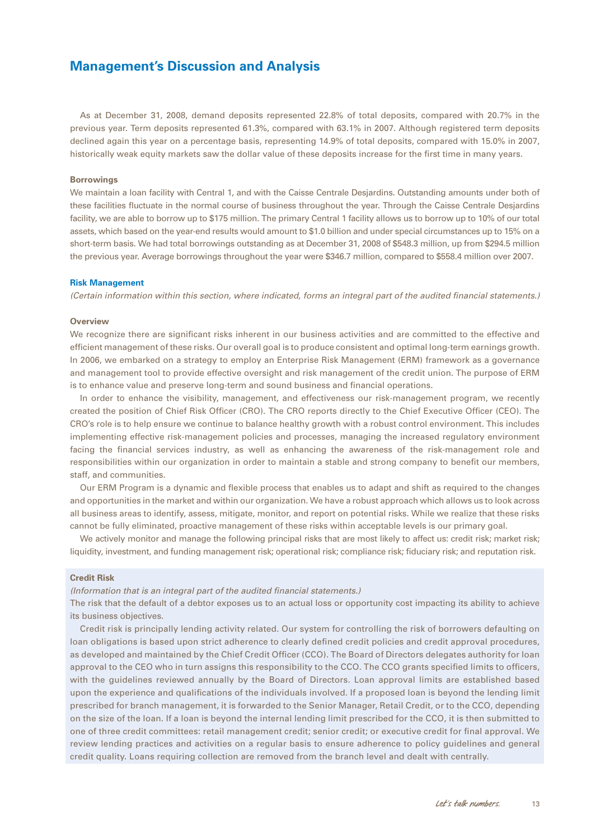As at December 31, 2008, demand deposits represented 22.8% of total deposits, compared with 20.7% in the previous year. Term deposits represented 61.3%, compared with 63.1% in 2007. Although registered term deposits declined again this year on a percentage basis, representing 14.9% of total deposits, compared with 15.0% in 2007, historically weak equity markets saw the dollar value of these deposits increase for the first time in many years.

#### **Borrowings**

We maintain a loan facility with Central 1, and with the Caisse Centrale Desjardins. Outstanding amounts under both of these facilities fluctuate in the normal course of business throughout the year. Through the Caisse Centrale Desjardins facility, we are able to borrow up to \$175 million. The primary Central 1 facility allows us to borrow up to 10% of our total assets, which based on the year-end results would amount to \$1.0 billion and under special circumstances up to 15% on a short-term basis. We had total borrowings outstanding as at December 31, 2008 of \$548.3 million, up from \$294.5 million the previous year. Average borrowings throughout the year were \$346.7 million, compared to \$558.4 million over 2007.

#### **Risk Management**

*(Certain information within this section, where indicated, forms an integral part of the audited financial statements.)*

#### **Overview**

We recognize there are significant risks inherent in our business activities and are committed to the effective and efficient management of these risks. Our overall goal is to produce consistent and optimal long-term earnings growth. In 2006, we embarked on a strategy to employ an Enterprise Risk Management (ERM) framework as a governance and management tool to provide effective oversight and risk management of the credit union. The purpose of ERM is to enhance value and preserve long-term and sound business and financial operations.

In order to enhance the visibility, management, and effectiveness our risk-management program, we recently created the position of Chief Risk Officer (CRO). The CRO reports directly to the Chief Executive Officer (CEO). The CRO's role is to help ensure we continue to balance healthy growth with a robust control environment. This includes implementing effective risk-management policies and processes, managing the increased regulatory environment facing the financial services industry, as well as enhancing the awareness of the risk-management role and responsibilities within our organization in order to maintain a stable and strong company to benefit our members, staff, and communities.

Our ERM Program is a dynamic and flexible process that enables us to adapt and shift as required to the changes and opportunities in the market and within our organization. We have a robust approach which allows us to look across all business areas to identify, assess, mitigate, monitor, and report on potential risks. While we realize that these risks cannot be fully eliminated, proactive management of these risks within acceptable levels is our primary goal.

We actively monitor and manage the following principal risks that are most likely to affect us: credit risk; market risk; liquidity, investment, and funding management risk; operational risk; compliance risk; fiduciary risk; and reputation risk.

### **Credit Risk**

*(Information that is an integral part of the audited financial statements.)*

The risk that the default of a debtor exposes us to an actual loss or opportunity cost impacting its ability to achieve its business objectives.

Credit risk is principally lending activity related. Our system for controlling the risk of borrowers defaulting on loan obligations is based upon strict adherence to clearly defined credit policies and credit approval procedures, as developed and maintained by the Chief Credit Officer (CCO). The Board of Directors delegates authority for loan approval to the CEO who in turn assigns this responsibility to the CCO. The CCO grants specified limits to officers, with the guidelines reviewed annually by the Board of Directors. Loan approval limits are established based upon the experience and qualifications of the individuals involved. If a proposed loan is beyond the lending limit prescribed for branch management, it is forwarded to the Senior Manager, Retail Credit, or to the CCO, depending on the size of the loan. If a loan is beyond the internal lending limit prescribed for the CCO, it is then submitted to one of three credit committees: retail management credit; senior credit; or executive credit for final approval. We review lending practices and activities on a regular basis to ensure adherence to policy guidelines and general credit quality. Loans requiring collection are removed from the branch level and dealt with centrally.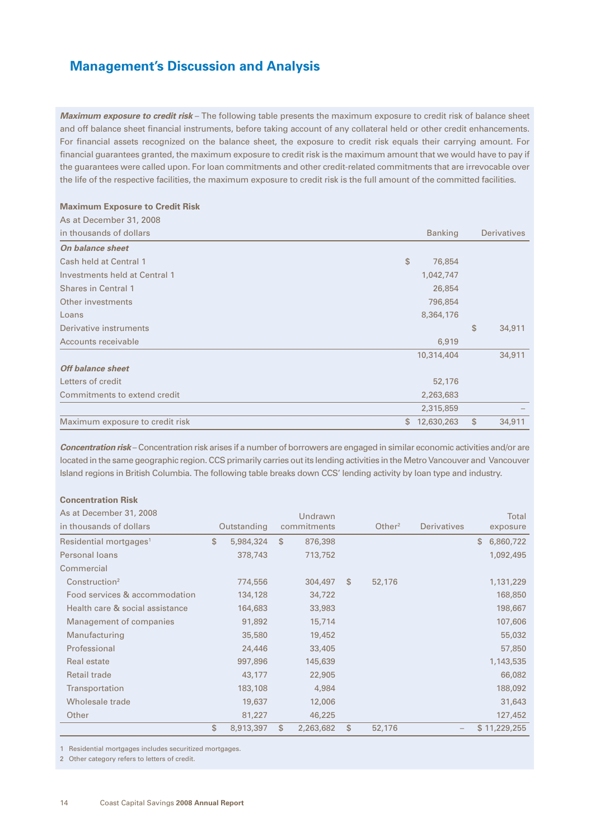*Maximum exposure to credit risk* – The following table presents the maximum exposure to credit risk of balance sheet and off balance sheet financial instruments, before taking account of any collateral held or other credit enhancements. For financial assets recognized on the balance sheet, the exposure to credit risk equals their carrying amount. For financial guarantees granted, the maximum exposure to credit risk is the maximum amount that we would have to pay if the guarantees were called upon. For loan commitments and other credit-related commitments that are irrevocable over the life of the respective facilities, the maximum exposure to credit risk is the full amount of the committed facilities.

### **Maximum Exposure to Credit Risk**

| As at December 31, 2008         |                  |                    |
|---------------------------------|------------------|--------------------|
| in thousands of dollars         | <b>Banking</b>   | <b>Derivatives</b> |
| On balance sheet                |                  |                    |
| Cash held at Central 1          | \$<br>76,854     |                    |
| Investments held at Central 1   | 1,042,747        |                    |
| <b>Shares in Central 1</b>      | 26,854           |                    |
| Other investments               | 796,854          |                    |
| Loans                           | 8,364,176        |                    |
| Derivative instruments          |                  | \$<br>34,911       |
| Accounts receivable             | 6,919            |                    |
|                                 | 10,314,404       | 34,911             |
| Off balance sheet               |                  |                    |
| Letters of credit               | 52,176           |                    |
| Commitments to extend credit    | 2,263,683        |                    |
|                                 | 2,315,859        |                    |
| Maximum exposure to credit risk | \$<br>12,630,263 | \$<br>34,911       |

*Concentration risk* – Concentration risk arises if a number of borrowers are engaged in similar economic activities and/or are located in the same geographic region. CCS primarily carries out its lending activities in the Metro Vancouver and Vancouver Island regions in British Columbia. The following table breaks down CCS' lending activity by loan type and industry.

### **Concentration Risk**

| As at December 31, 2008            |                 | Undrawn         |                    |                    | Total           |
|------------------------------------|-----------------|-----------------|--------------------|--------------------|-----------------|
| in thousands of dollars            | Outstanding     | commitments     | Other <sup>2</sup> | <b>Derivatives</b> | exposure        |
| Residential mortgages <sup>1</sup> | \$<br>5,984,324 | \$<br>876,398   |                    |                    | \$<br>6,860,722 |
| Personal loans                     | 378,743         | 713,752         |                    |                    | 1,092,495       |
| Commercial                         |                 |                 |                    |                    |                 |
| Construction <sup>2</sup>          | 774,556         | 304,497         | \$<br>52,176       |                    | 1,131,229       |
| Food services & accommodation      | 134,128         | 34,722          |                    |                    | 168,850         |
| Health care & social assistance    | 164,683         | 33,983          |                    |                    | 198,667         |
| Management of companies            | 91,892          | 15,714          |                    |                    | 107,606         |
| Manufacturing                      | 35,580          | 19,452          |                    |                    | 55,032          |
| Professional                       | 24,446          | 33,405          |                    |                    | 57,850          |
| Real estate                        | 997,896         | 145,639         |                    |                    | 1,143,535       |
| <b>Retail trade</b>                | 43,177          | 22,905          |                    |                    | 66,082          |
| Transportation                     | 183,108         | 4,984           |                    |                    | 188,092         |
| Wholesale trade                    | 19,637          | 12,006          |                    |                    | 31,643          |
| Other                              | 81,227          | 46,225          |                    |                    | 127,452         |
|                                    | \$<br>8,913,397 | \$<br>2,263,682 | \$<br>52,176       |                    | \$11,229,255    |

1 Residential mortgages includes securitized mortgages.

2 Other category refers to letters of credit.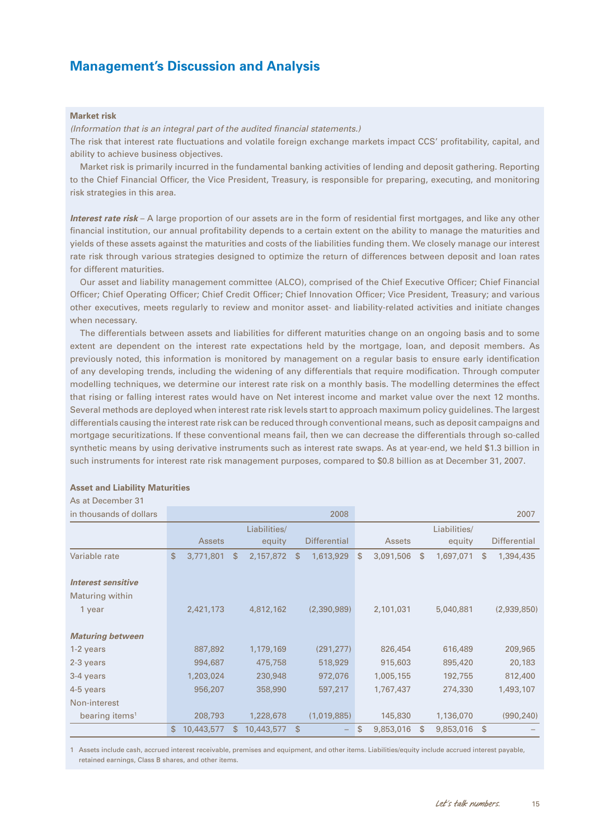#### **Market risk**

*(Information that is an integral part of the audited financial statements.)*

The risk that interest rate fluctuations and volatile foreign exchange markets impact CCS' profitability, capital, and ability to achieve business objectives.

Market risk is primarily incurred in the fundamental banking activities of lending and deposit gathering. Reporting to the Chief Financial Officer, the Vice President, Treasury, is responsible for preparing, executing, and monitoring risk strategies in this area.

*Interest rate risk* – A large proportion of our assets are in the form of residential first mortgages, and like any other financial institution, our annual profitability depends to a certain extent on the ability to manage the maturities and yields of these assets against the maturities and costs of the liabilities funding them. We closely manage our interest rate risk through various strategies designed to optimize the return of differences between deposit and loan rates for different maturities.

Our asset and liability management committee (ALCO), comprised of the Chief Executive Officer; Chief Financial Officer; Chief Operating Officer; Chief Credit Officer; Chief Innovation Officer; Vice President, Treasury; and various other executives, meets regularly to review and monitor asset- and liability-related activities and initiate changes when necessary.

The differentials between assets and liabilities for different maturities change on an ongoing basis and to some extent are dependent on the interest rate expectations held by the mortgage, loan, and deposit members. As previously noted, this information is monitored by management on a regular basis to ensure early identification of any developing trends, including the widening of any differentials that require modification. Through computer modelling techniques, we determine our interest rate risk on a monthly basis. The modelling determines the effect that rising or falling interest rates would have on Net interest income and market value over the next 12 months. Several methods are deployed when interest rate risk levels start to approach maximum policy guidelines. The largest differentials causing the interest rate risk can be reduced through conventional means, such as deposit campaigns and mortgage securitizations. If these conventional means fail, then we can decrease the differentials through so-called synthetic means by using derivative instruments such as interest rate swaps. As at year-end, we held \$1.3 billion in such instruments for interest rate risk management purposes, compared to \$0.8 billion as at December 31, 2007.

### **Asset and Liability Maturities**

As at December 31

| in thousands of dollars    |              |               |                  |              | 2008                |              |               |               |              |              | 2007                |
|----------------------------|--------------|---------------|------------------|--------------|---------------------|--------------|---------------|---------------|--------------|--------------|---------------------|
|                            |              |               | Liabilities/     |              |                     |              |               |               | Liabilities/ |              |                     |
|                            |              | <b>Assets</b> | equity           |              | <b>Differential</b> |              | <b>Assets</b> |               | equity       |              | <b>Differential</b> |
| Variable rate              | $\mathbb{S}$ | 3,771,801     | \$<br>2,157,872  | \$           | 1,613,929           | $\mathbb{S}$ | 3,091,506     | <sup>\$</sup> | 1,697,071    | \$.          | 1,394,435           |
|                            |              |               |                  |              |                     |              |               |               |              |              |                     |
| <b>Interest sensitive</b>  |              |               |                  |              |                     |              |               |               |              |              |                     |
| Maturing within            |              |               |                  |              |                     |              |               |               |              |              |                     |
| 1 year                     |              | 2,421,173     | 4,812,162        |              | (2,390,989)         |              | 2,101,031     |               | 5,040,881    |              | (2,939,850)         |
|                            |              |               |                  |              |                     |              |               |               |              |              |                     |
| <b>Maturing between</b>    |              |               |                  |              |                     |              |               |               |              |              |                     |
| 1-2 years                  |              | 887,892       | 1,179,169        |              | (291, 277)          |              | 826,454       |               | 616,489      |              | 209,965             |
| 2-3 years                  |              | 994,687       | 475,758          |              | 518,929             |              | 915,603       |               | 895,420      |              | 20,183              |
| 3-4 years                  |              | 1,203,024     | 230,948          |              | 972,076             |              | 1,005,155     |               | 192,755      |              | 812,400             |
| 4-5 years                  |              | 956,207       | 358,990          |              | 597,217             |              | 1,767,437     |               | 274,330      |              | 1,493,107           |
| Non-interest               |              |               |                  |              |                     |              |               |               |              |              |                     |
| bearing items <sup>1</sup> |              | 208,793       | 1,228,678        |              | (1,019,885)         |              | 145,830       |               | 1,136,070    |              | (990, 240)          |
|                            | \$           | 10,443,577    | \$<br>10,443,577 | $\mathbb{S}$ |                     | $\mathbb{S}$ | 9,853,016     | <sup>\$</sup> | 9,853,016    | $\mathbb{S}$ |                     |

1 Assets include cash, accrued interest receivable, premises and equipment, and other items. Liabilities/equity include accrued interest payable, retained earnings, Class B shares, and other items.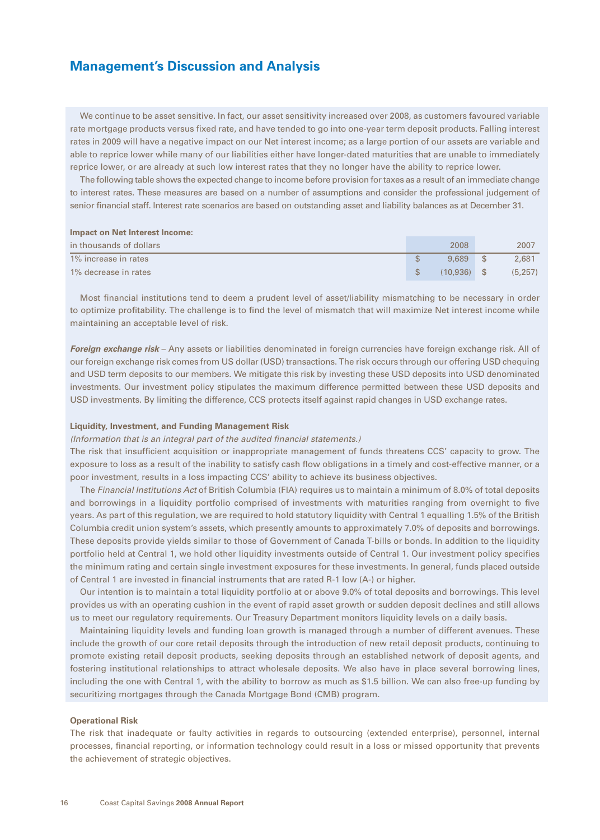We continue to be asset sensitive. In fact, our asset sensitivity increased over 2008, as customers favoured variable rate mortgage products versus fixed rate, and have tended to go into one-year term deposit products. Falling interest rates in 2009 will have a negative impact on our Net interest income; as a large portion of our assets are variable and able to reprice lower while many of our liabilities either have longer-dated maturities that are unable to immediately reprice lower, or are already at such low interest rates that they no longer have the ability to reprice lower.

The following table shows the expected change to income before provision for taxes as a result of an immediate change to interest rates. These measures are based on a number of assumptions and consider the professional judgement of senior financial staff. Interest rate scenarios are based on outstanding asset and liability balances as at December 31.

### **Impact on Net Interest Income:**

| in thousands of dollars | 2008          | 2007    |
|-------------------------|---------------|---------|
| 1% increase in rates    | 9.689         | 2.681   |
| 1% decrease in rates    | $(10.936)$ \$ | (5.257) |

Most financial institutions tend to deem a prudent level of asset/liability mismatching to be necessary in order to optimize profitability. The challenge is to find the level of mismatch that will maximize Net interest income while maintaining an acceptable level of risk.

*Foreign exchange risk* – Any assets or liabilities denominated in foreign currencies have foreign exchange risk. All of our foreign exchange risk comes from US dollar (USD) transactions. The risk occurs through our offering USD chequing and USD term deposits to our members. We mitigate this risk by investing these USD deposits into USD denominated investments. Our investment policy stipulates the maximum difference permitted between these USD deposits and USD investments. By limiting the difference, CCS protects itself against rapid changes in USD exchange rates.

#### **Liquidity, Investment, and Funding Management Risk**

#### *(Information that is an integral part of the audited financial statements.)*

The risk that insufficient acquisition or inappropriate management of funds threatens CCS' capacity to grow. The exposure to loss as a result of the inability to satisfy cash flow obligations in a timely and cost-effective manner, or a poor investment, results in a loss impacting CCS' ability to achieve its business objectives.

The *Financial Institutions Act* of British Columbia (FIA) requires us to maintain a minimum of 8.0% of total deposits and borrowings in a liquidity portfolio comprised of investments with maturities ranging from overnight to five years. As part of this regulation, we are required to hold statutory liquidity with Central 1 equalling 1.5% of the British Columbia credit union system's assets, which presently amounts to approximately 7.0% of deposits and borrowings. These deposits provide yields similar to those of Government of Canada T-bills or bonds. In addition to the liquidity portfolio held at Central 1, we hold other liquidity investments outside of Central 1. Our investment policy specifies the minimum rating and certain single investment exposures for these investments. In general, funds placed outside of Central 1 are invested in financial instruments that are rated R-1 low (A-) or higher.

Our intention is to maintain a total liquidity portfolio at or above 9.0% of total deposits and borrowings. This level provides us with an operating cushion in the event of rapid asset growth or sudden deposit declines and still allows us to meet our regulatory requirements. Our Treasury Department monitors liquidity levels on a daily basis.

Maintaining liquidity levels and funding loan growth is managed through a number of different avenues. These include the growth of our core retail deposits through the introduction of new retail deposit products, continuing to promote existing retail deposit products, seeking deposits through an established network of deposit agents, and fostering institutional relationships to attract wholesale deposits. We also have in place several borrowing lines, including the one with Central 1, with the ability to borrow as much as \$1.5 billion. We can also free-up funding by securitizing mortgages through the Canada Mortgage Bond (CMB) program.

### **Operational Risk**

The risk that inadequate or faulty activities in regards to outsourcing (extended enterprise), personnel, internal processes, financial reporting, or information technology could result in a loss or missed opportunity that prevents the achievement of strategic objectives.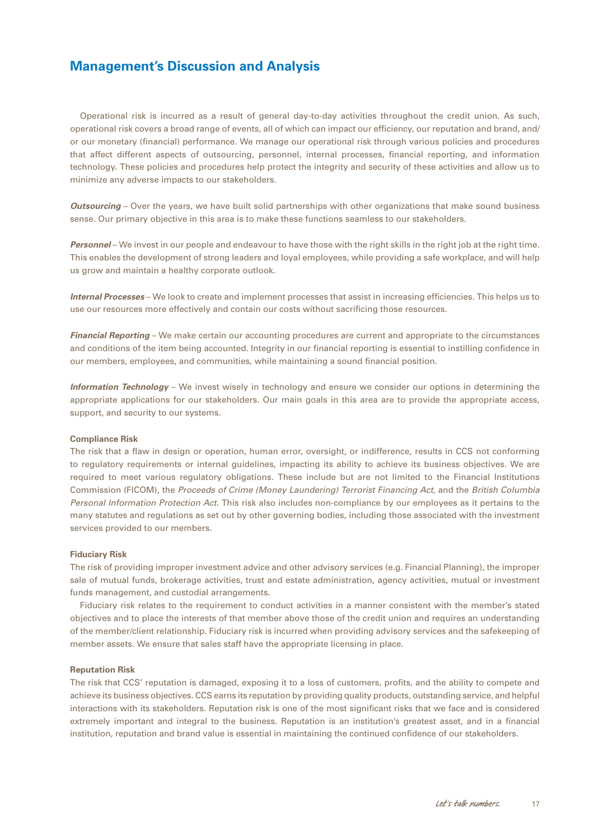Operational risk is incurred as a result of general day-to-day activities throughout the credit union. As such, operational risk covers a broad range of events, all of which can impact our efficiency, our reputation and brand, and/ or our monetary (financial) performance. We manage our operational risk through various policies and procedures that affect different aspects of outsourcing, personnel, internal processes, financial reporting, and information technology. These policies and procedures help protect the integrity and security of these activities and allow us to minimize any adverse impacts to our stakeholders.

*Outsourcing* – Over the years, we have built solid partnerships with other organizations that make sound business sense. Our primary objective in this area is to make these functions seamless to our stakeholders.

*Personnel* – We invest in our people and endeavour to have those with the right skills in the right job at the right time. This enables the development of strong leaders and loyal employees, while providing a safe workplace, and will help us grow and maintain a healthy corporate outlook.

*Internal Processes* – We look to create and implement processes that assist in increasing efficiencies. This helps us to use our resources more effectively and contain our costs without sacrificing those resources.

*Financial Reporting* – We make certain our accounting procedures are current and appropriate to the circumstances and conditions of the item being accounted. Integrity in our financial reporting is essential to instilling confidence in our members, employees, and communities, while maintaining a sound financial position.

*Information Technology* – We invest wisely in technology and ensure we consider our options in determining the appropriate applications for our stakeholders. Our main goals in this area are to provide the appropriate access, support, and security to our systems.

#### **Compliance Risk**

The risk that a flaw in design or operation, human error, oversight, or indifference, results in CCS not conforming to regulatory requirements or internal guidelines, impacting its ability to achieve its business objectives. We are required to meet various regulatory obligations. These include but are not limited to the Financial Institutions Commission (FICOM), the *Proceeds of Crime (Money Laundering) Terrorist Financing Act,* and the *British Columbia Personal Information Protection Act*. This risk also includes non-compliance by our employees as it pertains to the many statutes and regulations as set out by other governing bodies, including those associated with the investment services provided to our members.

#### **Fiduciary Risk**

The risk of providing improper investment advice and other advisory services (e.g. Financial Planning), the improper sale of mutual funds, brokerage activities, trust and estate administration, agency activities, mutual or investment funds management, and custodial arrangements.

Fiduciary risk relates to the requirement to conduct activities in a manner consistent with the member's stated objectives and to place the interests of that member above those of the credit union and requires an understanding of the member/client relationship. Fiduciary risk is incurred when providing advisory services and the safekeeping of member assets. We ensure that sales staff have the appropriate licensing in place.

#### **Reputation Risk**

The risk that CCS' reputation is damaged, exposing it to a loss of customers, profits, and the ability to compete and achieve its business objectives. CCS earns its reputation by providing quality products, outstanding service, and helpful interactions with its stakeholders. Reputation risk is one of the most significant risks that we face and is considered extremely important and integral to the business. Reputation is an institution's greatest asset, and in a financial institution, reputation and brand value is essential in maintaining the continued confidence of our stakeholders.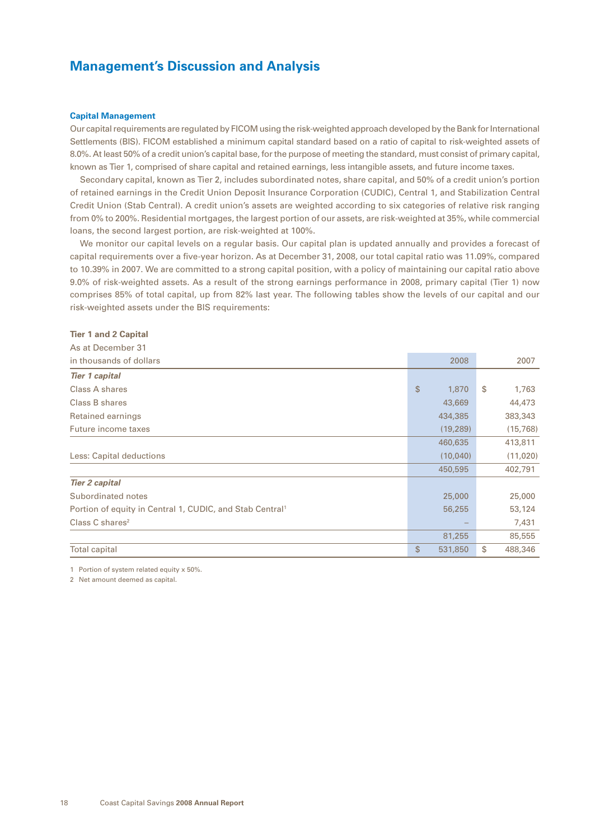## **Capital Management**

Our capital requirements are regulated by FICOM using the risk-weighted approach developed by the Bank for International Settlements (BIS). FICOM established a minimum capital standard based on a ratio of capital to risk-weighted assets of 8.0%. At least 50% of a credit union's capital base, for the purpose of meeting the standard, must consist of primary capital, known as Tier 1, comprised of share capital and retained earnings, less intangible assets, and future income taxes.

Secondary capital, known as Tier 2, includes subordinated notes, share capital, and 50% of a credit union's portion of retained earnings in the Credit Union Deposit Insurance Corporation (CUDIC), Central 1, and Stabilization Central Credit Union (Stab Central). A credit union's assets are weighted according to six categories of relative risk ranging from 0% to 200%. Residential mortgages, the largest portion of our assets, are risk-weighted at 35%, while commercial loans, the second largest portion, are risk-weighted at 100%.

We monitor our capital levels on a regular basis. Our capital plan is updated annually and provides a forecast of capital requirements over a five-year horizon. As at December 31, 2008, our total capital ratio was 11.09%, compared to 10.39% in 2007. We are committed to a strong capital position, with a policy of maintaining our capital ratio above 9.0% of risk-weighted assets. As a result of the strong earnings performance in 2008, primary capital (Tier 1) now comprises 85% of total capital, up from 82% last year. The following tables show the levels of our capital and our risk-weighted assets under the BIS requirements:

### **Tier 1 and 2 Capital**

| As at December 31                                                    |              |           |    |          |
|----------------------------------------------------------------------|--------------|-----------|----|----------|
| in thousands of dollars                                              |              | 2008      |    | 2007     |
| <b>Tier 1 capital</b>                                                |              |           |    |          |
| Class A shares                                                       | $\mathbb{S}$ | 1,870     | Ŝ. | 1,763    |
| Class B shares                                                       |              | 43,669    |    | 44,473   |
| Retained earnings                                                    |              | 434,385   |    | 383,343  |
| Future income taxes                                                  |              | (19, 289) |    | (15,768) |
|                                                                      |              | 460,635   |    | 413,811  |
| Less: Capital deductions                                             |              | (10,040)  |    | (11,020) |
|                                                                      |              | 450,595   |    | 402,791  |
| <b>Tier 2 capital</b>                                                |              |           |    |          |
| Subordinated notes                                                   |              | 25,000    |    | 25,000   |
| Portion of equity in Central 1, CUDIC, and Stab Central <sup>1</sup> |              | 56,255    |    | 53,124   |
| Class $C$ shares <sup>2</sup>                                        |              |           |    | 7,431    |
|                                                                      |              | 81,255    |    | 85,555   |
| <b>Total capital</b>                                                 | \$           | 531,850   | \$ | 488,346  |

1 Portion of system related equity x 50%.

2 Net amount deemed as capital.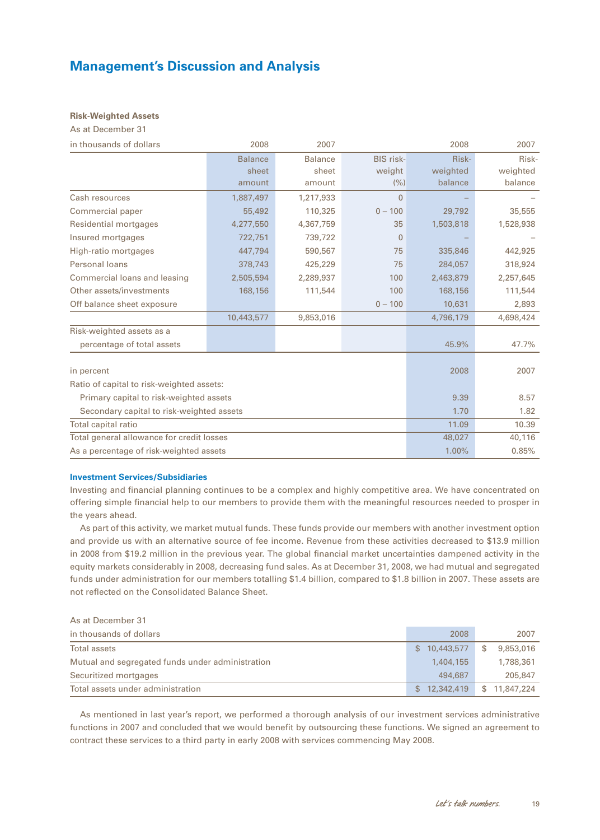## **Risk-Weighted Assets**

As at December 31

| in thousands of dollars                   | 2008           | 2007           |                  | 2008      | 2007      |
|-------------------------------------------|----------------|----------------|------------------|-----------|-----------|
|                                           | <b>Balance</b> | <b>Balance</b> | <b>BIS risk-</b> | Risk-     | Risk-     |
|                                           | sheet          | sheet          | weight           | weighted  | weighted  |
|                                           | amount         | amount         | (%)              | balance   | balance   |
| Cash resources                            | 1,887,497      | 1,217,933      | $\Omega$         |           |           |
| Commercial paper                          | 55,492         | 110,325        | $0 - 100$        | 29,792    | 35,555    |
| Residential mortgages                     | 4,277,550      | 4,367,759      | 35               | 1,503,818 | 1,528,938 |
| Insured mortgages                         | 722,751        | 739,722        | $\mathbf{0}$     |           |           |
| High-ratio mortgages                      | 447.794        | 590.567        | 75               | 335,846   | 442,925   |
| Personal loans                            | 378,743        | 425,229        | 75               | 284,057   | 318,924   |
| Commercial loans and leasing              | 2,505,594      | 2,289,937      | 100              | 2,463,879 | 2,257,645 |
| Other assets/investments                  | 168,156        | 111,544        | 100              | 168,156   | 111,544   |
| Off balance sheet exposure                |                |                | $0 - 100$        | 10,631    | 2,893     |
|                                           | 10,443,577     | 9,853,016      |                  | 4,796,179 | 4,698,424 |
| Risk-weighted assets as a                 |                |                |                  |           |           |
| percentage of total assets                |                |                |                  | 45.9%     | 47.7%     |
| in percent                                |                |                |                  | 2008      | 2007      |
| Ratio of capital to risk-weighted assets: |                |                |                  |           |           |
| Primary capital to risk-weighted assets   |                |                |                  | 9.39      | 8.57      |
| Secondary capital to risk-weighted assets |                |                |                  | 1.70      | 1.82      |
| Total capital ratio                       |                |                |                  | 11.09     | 10.39     |
| Total general allowance for credit losses |                |                |                  | 48,027    | 40,116    |
| As a percentage of risk-weighted assets   |                |                |                  | 1.00%     | 0.85%     |

### **Investment Services/Subsidiaries**

Investing and financial planning continues to be a complex and highly competitive area. We have concentrated on offering simple financial help to our members to provide them with the meaningful resources needed to prosper in the years ahead.

As part of this activity, we market mutual funds. These funds provide our members with another investment option and provide us with an alternative source of fee income. Revenue from these activities decreased to \$13.9 million in 2008 from \$19.2 million in the previous year. The global financial market uncertainties dampened activity in the equity markets considerably in 2008, decreasing fund sales. As at December 31, 2008, we had mutual and segregated funds under administration for our members totalling \$1.4 billion, compared to \$1.8 billion in 2007. These assets are not reflected on the Consolidated Balance Sheet.

As at December 31

| in thousands of dollars                          | 2008         | 2007            |
|--------------------------------------------------|--------------|-----------------|
| Total assets                                     | \$10,443,577 | 9,853,016<br>S. |
| Mutual and segregated funds under administration | 1,404,155    | 1,788,361       |
| Securitized mortgages                            | 494.687      | 205,847         |
| Total assets under administration                | \$12.342.419 | \$11,847,224    |

As mentioned in last year's report, we performed a thorough analysis of our investment services administrative functions in 2007 and concluded that we would benefit by outsourcing these functions. We signed an agreement to contract these services to a third party in early 2008 with services commencing May 2008.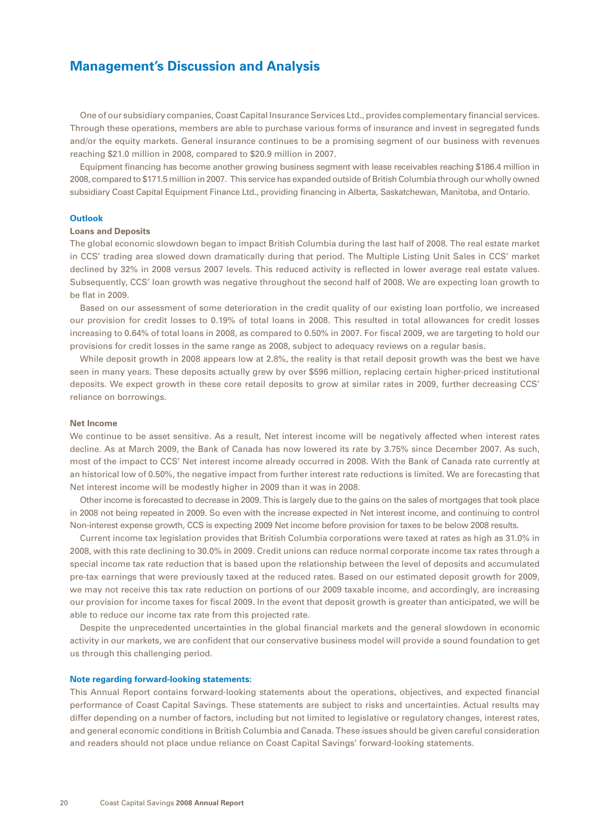One of our subsidiary companies, Coast Capital Insurance Services Ltd., provides complementary financial services. Through these operations, members are able to purchase various forms of insurance and invest in segregated funds and/or the equity markets. General insurance continues to be a promising segment of our business with revenues reaching \$21.0 million in 2008, compared to \$20.9 million in 2007.

Equipment financing has become another growing business segment with lease receivables reaching \$186.4 million in 2008, compared to \$171.5 million in 2007. This service has expanded outside of British Columbia through our wholly owned subsidiary Coast Capital Equipment Finance Ltd., providing financing in Alberta, Saskatchewan, Manitoba, and Ontario.

### **Outlook**

#### **Loans and Deposits**

The global economic slowdown began to impact British Columbia during the last half of 2008. The real estate market in CCS' trading area slowed down dramatically during that period. The Multiple Listing Unit Sales in CCS' market declined by 32% in 2008 versus 2007 levels. This reduced activity is reflected in lower average real estate values. Subsequently, CCS' loan growth was negative throughout the second half of 2008. We are expecting loan growth to be flat in 2009.

Based on our assessment of some deterioration in the credit quality of our existing loan portfolio, we increased our provision for credit losses to 0.19% of total loans in 2008. This resulted in total allowances for credit losses increasing to 0.64% of total loans in 2008, as compared to 0.50% in 2007. For fiscal 2009, we are targeting to hold our provisions for credit losses in the same range as 2008, subject to adequacy reviews on a regular basis.

While deposit growth in 2008 appears low at 2.8%, the reality is that retail deposit growth was the best we have seen in many years. These deposits actually grew by over \$596 million, replacing certain higher-priced institutional deposits. We expect growth in these core retail deposits to grow at similar rates in 2009, further decreasing CCS' reliance on borrowings.

#### **Net Income**

We continue to be asset sensitive. As a result, Net interest income will be negatively affected when interest rates decline. As at March 2009, the Bank of Canada has now lowered its rate by 3.75% since December 2007. As such, most of the impact to CCS' Net interest income already occurred in 2008. With the Bank of Canada rate currently at an historical low of 0.50%, the negative impact from further interest rate reductions is limited. We are forecasting that Net interest income will be modestly higher in 2009 than it was in 2008.

Other income is forecasted to decrease in 2009. This is largely due to the gains on the sales of mortgages that took place in 2008 not being repeated in 2009. So even with the increase expected in Net interest income, and continuing to control Non-interest expense growth, CCS is expecting 2009 Net income before provision for taxes to be below 2008 results.

Current income tax legislation provides that British Columbia corporations were taxed at rates as high as 31.0% in 2008, with this rate declining to 30.0% in 2009. Credit unions can reduce normal corporate income tax rates through a special income tax rate reduction that is based upon the relationship between the level of deposits and accumulated pre-tax earnings that were previously taxed at the reduced rates. Based on our estimated deposit growth for 2009, we may not receive this tax rate reduction on portions of our 2009 taxable income, and accordingly, are increasing our provision for income taxes for fiscal 2009. In the event that deposit growth is greater than anticipated, we will be able to reduce our income tax rate from this projected rate.

Despite the unprecedented uncertainties in the global financial markets and the general slowdown in economic activity in our markets, we are confident that our conservative business model will provide a sound foundation to get us through this challenging period.

#### **Note regarding forward-looking statements:**

This Annual Report contains forward-looking statements about the operations, objectives, and expected financial performance of Coast Capital Savings. These statements are subject to risks and uncertainties. Actual results may differ depending on a number of factors, including but not limited to legislative or regulatory changes, interest rates, and general economic conditions in British Columbia and Canada. These issues should be given careful consideration and readers should not place undue reliance on Coast Capital Savings' forward-looking statements.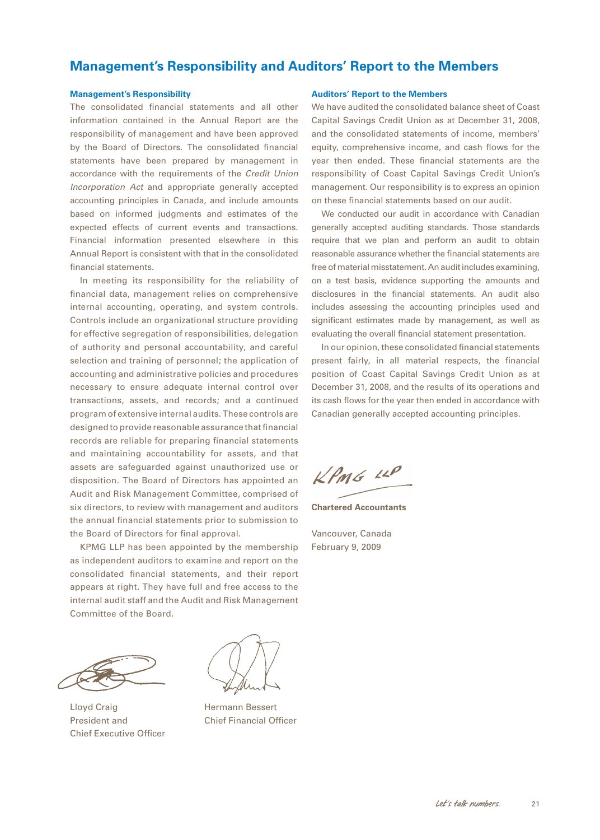## <span id="page-22-0"></span>**Management's Responsibility and Auditors' Report to the Members**

#### **Management's Responsibility**

The consolidated financial statements and all other information contained in the Annual Report are the responsibility of management and have been approved by the Board of Directors. The consolidated financial statements have been prepared by management in accordance with the requirements of the *Credit Union Incorporation Act* and appropriate generally accepted accounting principles in Canada, and include amounts based on informed judgments and estimates of the expected effects of current events and transactions. Financial information presented elsewhere in this Annual Report is consistent with that in the consolidated financial statements.

In meeting its responsibility for the reliability of financial data, management relies on comprehensive internal accounting, operating, and system controls. Controls include an organizational structure providing for effective segregation of responsibilities, delegation of authority and personal accountability, and careful selection and training of personnel; the application of accounting and administrative policies and procedures necessary to ensure adequate internal control over transactions, assets, and records; and a continued program of extensive internal audits. These controls are designed to provide reasonable assurance that financial records are reliable for preparing financial statements and maintaining accountability for assets, and that assets are safeguarded against unauthorized use or disposition. The Board of Directors has appointed an Audit and Risk Management Committee, comprised of six directors, to review with management and auditors the annual financial statements prior to submission to the Board of Directors for final approval.

KPMG LLP has been appointed by the membership as independent auditors to examine and report on the consolidated financial statements, and their report appears at right. They have full and free access to the internal audit staff and the Audit and Risk Management Committee of the Board.



Lloyd Craig **Hermann Bessert** President and Chief Financial Officer Chief Executive Officer



#### **Auditors' Report to the Members**

We have audited the consolidated balance sheet of Coast Capital Savings Credit Union as at December 31, 2008, and the consolidated statements of income, members' equity, comprehensive income, and cash flows for the year then ended. These financial statements are the responsibility of Coast Capital Savings Credit Union's management. Our responsibility is to express an opinion on these financial statements based on our audit.

We conducted our audit in accordance with Canadian generally accepted auditing standards. Those standards require that we plan and perform an audit to obtain reasonable assurance whether the financial statements are free of material misstatement. An audit includes examining, on a test basis, evidence supporting the amounts and disclosures in the financial statements. An audit also includes assessing the accounting principles used and significant estimates made by management, as well as evaluating the overall financial statement presentation.

In our opinion, these consolidated financial statements present fairly, in all material respects, the financial position of Coast Capital Savings Credit Union as at December 31, 2008, and the results of its operations and its cash flows for the year then ended in accordance with Canadian generally accepted accounting principles.

 $kPm6$   $10P$ 

**Chartered Accountants**

Vancouver, Canada February 9, 2009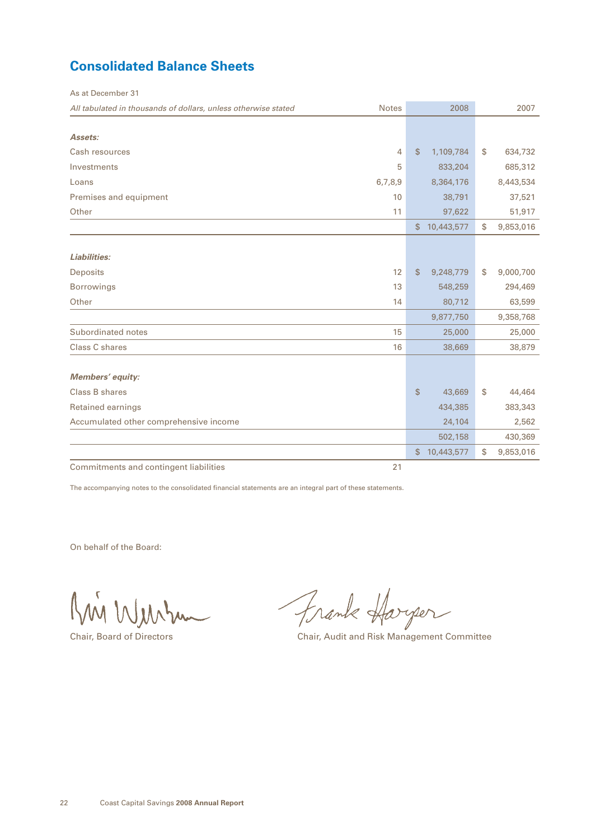# <span id="page-23-0"></span>**Consolidated Balance Sheets**

As at December 31

| All tabulated in thousands of dollars, unless otherwise stated | <b>Notes</b>   |             | 2008       | 2007            |
|----------------------------------------------------------------|----------------|-------------|------------|-----------------|
|                                                                |                |             |            |                 |
| Assets:                                                        |                |             |            |                 |
| Cash resources                                                 | $\overline{4}$ | \$          | 1,109,784  | \$<br>634,732   |
| Investments                                                    | 5              |             | 833,204    | 685,312         |
| Loans                                                          | 6,7,8,9        |             | 8,364,176  | 8,443,534       |
| Premises and equipment                                         | 10             |             | 38,791     | 37,521          |
| Other                                                          | 11             |             | 97,622     | 51,917          |
|                                                                |                | $$^{\circ}$ | 10,443,577 | \$<br>9,853,016 |
|                                                                |                |             |            |                 |
| Liabilities:                                                   |                |             |            |                 |
| <b>Deposits</b>                                                | 12             | \$          | 9,248,779  | \$<br>9,000,700 |
| <b>Borrowings</b>                                              | 13             |             | 548,259    | 294,469         |
| Other                                                          | 14             |             | 80,712     | 63,599          |
|                                                                |                |             | 9,877,750  | 9,358,768       |
| Subordinated notes                                             | 15             |             | 25,000     | 25,000          |
| Class C shares                                                 | 16             |             | 38,669     | 38,879          |
| <b>Members' equity:</b>                                        |                |             |            |                 |
| Class B shares                                                 |                | \$          | 43,669     | \$<br>44,464    |
| <b>Retained earnings</b>                                       |                |             | 434,385    | 383,343         |
| Accumulated other comprehensive income                         |                |             | 24,104     | 2,562           |
|                                                                |                |             | 502,158    | 430,369         |
|                                                                |                | \$          | 10,443,577 | \$<br>9,853,016 |
|                                                                |                |             |            |                 |
| Commitments and contingent liabilities                         | 21             |             |            |                 |

The accompanying notes to the consolidated financial statements are an integral part of these statements.

On behalf of the Board:

Kin Wurkum

Frank Harger

Chair, Board of Directors Chair, Audit and Risk Management Committee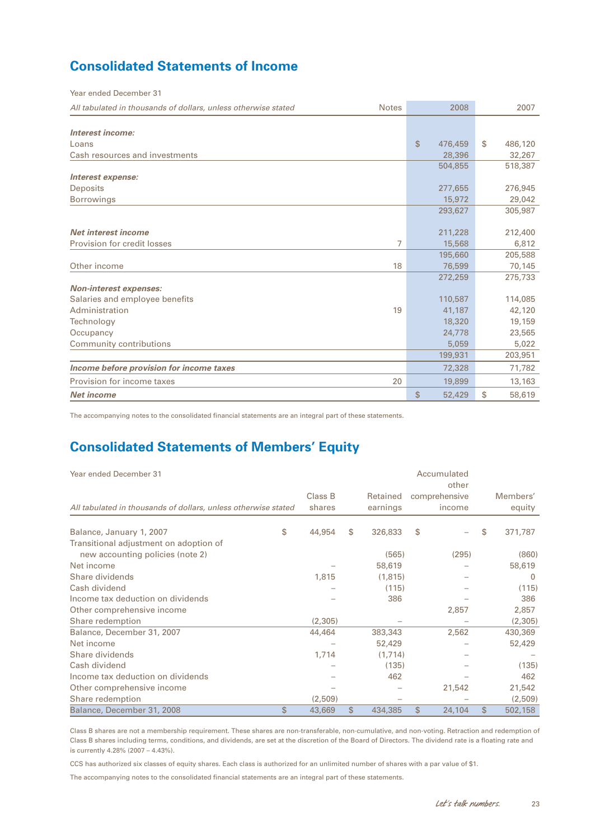# **Consolidated Statements of Income**

Year ended December 31

| All tabulated in thousands of dollars, unless otherwise stated | <b>Notes</b>   | 2008          |              | 2007    |
|----------------------------------------------------------------|----------------|---------------|--------------|---------|
|                                                                |                |               |              |         |
| Interest income:                                               |                |               |              |         |
| Loans                                                          |                | \$<br>476,459 | $\mathbb{S}$ | 486,120 |
| Cash resources and investments                                 |                | 28,396        |              | 32,267  |
|                                                                |                | 504,855       |              | 518,387 |
| Interest expense:                                              |                |               |              |         |
| <b>Deposits</b>                                                |                | 277,655       |              | 276,945 |
| <b>Borrowings</b>                                              |                | 15,972        |              | 29,042  |
|                                                                |                | 293,627       |              | 305,987 |
|                                                                |                |               |              |         |
| Net interest income                                            |                | 211,228       |              | 212,400 |
| Provision for credit losses                                    | $\overline{7}$ | 15,568        |              | 6,812   |
|                                                                |                | 195,660       |              | 205,588 |
| Other income                                                   | 18             | 76,599        |              | 70,145  |
|                                                                |                | 272,259       |              | 275,733 |
| <b>Non-interest expenses:</b>                                  |                |               |              |         |
| Salaries and employee benefits                                 |                | 110,587       |              | 114,085 |
| Administration                                                 | 19             | 41,187        |              | 42,120  |
| Technology                                                     |                | 18,320        |              | 19,159  |
| Occupancy                                                      |                | 24,778        |              | 23,565  |
| Community contributions                                        |                | 5,059         |              | 5,022   |
|                                                                |                | 199,931       |              | 203,951 |
| Income before provision for income taxes                       |                | 72,328        |              | 71,782  |
| Provision for income taxes                                     | 20             | 19,899        |              | 13,163  |
| <b>Net income</b>                                              |                | \$<br>52,429  | \$           | 58,619  |

The accompanying notes to the consolidated financial statements are an integral part of these statements.

# **Consolidated Statements of Members' Equity**

| Year ended December 31                                         |                   |    |                      |    | Accumulated<br>other    |                    |
|----------------------------------------------------------------|-------------------|----|----------------------|----|-------------------------|--------------------|
| All tabulated in thousands of dollars, unless otherwise stated | Class B<br>shares |    | Retained<br>earnings |    | comprehensive<br>income | Members'<br>equity |
|                                                                |                   |    |                      |    |                         |                    |
| Balance, January 1, 2007                                       | \$<br>44,954      | S  | 326,833              | S  |                         | \$<br>371,787      |
| Transitional adjustment on adoption of                         |                   |    |                      |    |                         |                    |
| new accounting policies (note 2)                               |                   |    | (565)                |    | (295)                   | (860)              |
| Net income                                                     |                   |    | 58,619               |    |                         | 58,619             |
| Share dividends                                                | 1,815             |    | (1,815)              |    |                         | $\Omega$           |
| Cash dividend                                                  |                   |    | (115)                |    |                         | (115)              |
| Income tax deduction on dividends                              |                   |    | 386                  |    |                         | 386                |
| Other comprehensive income                                     |                   |    |                      |    | 2,857                   | 2,857              |
| Share redemption                                               | (2,305)           |    |                      |    |                         | (2,305)            |
| Balance, December 31, 2007                                     | 44,464            |    | 383,343              |    | 2,562                   | 430,369            |
| Net income                                                     |                   |    | 52,429               |    |                         | 52,429             |
| Share dividends                                                | 1,714             |    | (1,714)              |    |                         |                    |
| Cash dividend                                                  |                   |    | (135)                |    |                         | (135)              |
| Income tax deduction on dividends                              |                   |    | 462                  |    |                         | 462                |
| Other comprehensive income                                     |                   |    |                      |    | 21,542                  | 21,542             |
| Share redemption                                               | (2,509)           |    |                      |    |                         | (2,509)            |
| Balance, December 31, 2008                                     | \$<br>43,669      | \$ | 434,385              | \$ | 24,104                  | \$<br>502,158      |

Class B shares are not a membership requirement. These shares are non-transferable, non-cumulative, and non-voting. Retraction and redemption of Class B shares including terms, conditions, and dividends, are set at the discretion of the Board of Directors. The dividend rate is a floating rate and is currently 4.28% (2007 – 4.43%).

CCS has authorized six classes of equity shares. Each class is authorized for an unlimited number of shares with a par value of \$1.

The accompanying notes to the consolidated financial statements are an integral part of these statements.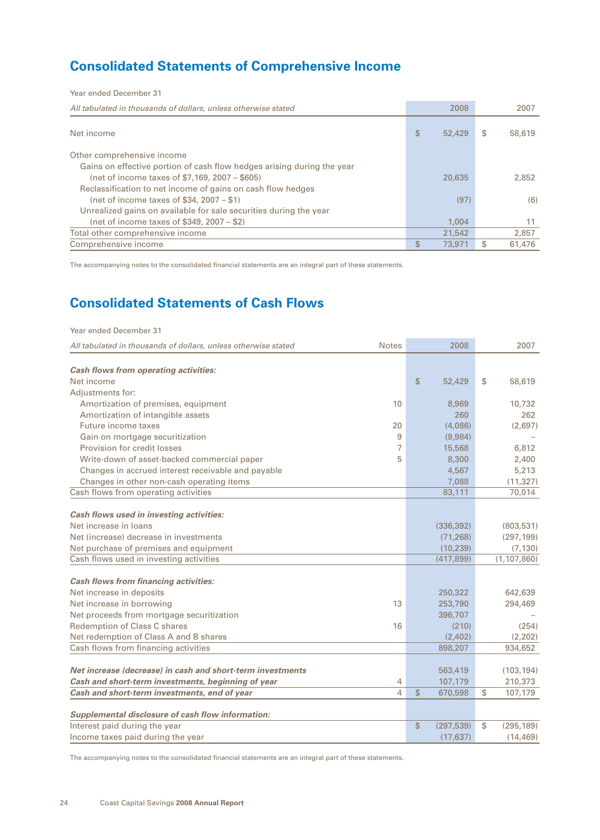# **Consolidated Statements of Comprehensive Income**

| Year ended December 31                                                 |              |    |        |
|------------------------------------------------------------------------|--------------|----|--------|
| All tabulated in thousands of dollars, unless otherwise stated         | 2008         |    | 2007   |
| Net income                                                             | \$<br>52,429 | S  | 58,619 |
| Other comprehensive income                                             |              |    |        |
| Gains on effective portion of cash flow hedges arising during the year |              |    |        |
| (net of income taxes of \$7,169, 2007 – \$605)                         | 20,635       |    | 2,852  |
| Reclassification to net income of gains on cash flow hedges            |              |    |        |
| (net of income taxes of \$34, 2007 – \$1)                              | (97)         |    | (6)    |
| Unrealized gains on available for sale securities during the year      |              |    |        |
| (net of income taxes of \$349, 2007 – \$2)                             | 1.004        |    | 11     |
| Total other comprehensive income                                       | 21,542       |    | 2.857  |
| Comprehensive income                                                   | \$<br>73,971 | \$ | 61,476 |

The accompanying notes to the consolidated financial statements are an integral part of these statements.

# **Consolidated Statements of Cash Flows**

| Year ended December 31                                         |              |               |            |                  |
|----------------------------------------------------------------|--------------|---------------|------------|------------------|
| All tabulated in thousands of dollars, unless otherwise stated | <b>Notes</b> |               | 2008       | 2007             |
| <b>Cash flows from operating activities:</b>                   |              |               |            |                  |
| Net income                                                     |              | $\mathsf{\$}$ | 52,429     | \$<br>58,619     |
| Adjustments for:                                               |              |               |            |                  |
| Amortization of premises, equipment                            | 10           |               | 8,969      | 10,732           |
| Amortization of intangible assets                              |              |               | 260        | 262              |
| Future income taxes                                            | 20           |               | (4,086)    | (2,697)          |
| Gain on mortgage securitization                                | 9            |               | (9,984)    |                  |
| Provision for credit losses                                    | 7            |               | 15,568     | 6,812            |
| Write-down of asset-backed commercial paper                    | 5            |               | 8,300      | 2,400            |
| Changes in accrued interest receivable and payable             |              |               | 4,567      | 5,213            |
| Changes in other non-cash operating items                      |              |               | 7,088      | (11, 327)        |
| Cash flows from operating activities                           |              |               | 83,111     | 70,014           |
|                                                                |              |               |            |                  |
| Cash flows used in investing activities:                       |              |               |            |                  |
| Net increase in loans                                          |              |               | (336, 392) | (803, 531)       |
| Net (increase) decrease in investments                         |              |               | (71, 268)  | (297, 199)       |
| Net purchase of premises and equipment                         |              |               | (10, 239)  | (7, 130)         |
| Cash flows used in investing activities                        |              |               | (417, 899) | (1, 107, 860)    |
|                                                                |              |               |            |                  |
| <b>Cash flows from financing activities:</b>                   |              |               |            |                  |
| Net increase in deposits                                       |              |               | 250,322    | 642,639          |
| Net increase in borrowing                                      | 13           |               | 253,790    | 294,469          |
| Net proceeds from mortgage securitization                      |              |               | 396,707    |                  |
| Redemption of Class C shares                                   | 16           |               | (210)      | (254)            |
| Net redemption of Class A and B shares                         |              |               | (2,402)    | (2,202)          |
| Cash flows from financing activities                           |              |               | 898,207    | 934,652          |
|                                                                |              |               |            |                  |
| Net increase (decrease) in cash and short-term investments     |              |               | 563,419    | (103, 194)       |
| Cash and short-term investments, beginning of year             | 4            |               | 107,179    | 210,373          |
| Cash and short-term investments, end of year                   | 4            | $\mathsf{\$}$ | 670,598    | \$<br>107,179    |
|                                                                |              |               |            |                  |
| Supplemental disclosure of cash flow information:              |              |               |            |                  |
| Interest paid during the year                                  |              | \$            | (297, 539) | \$<br>(295, 189) |
| Income taxes paid during the year                              |              |               | (17, 637)  | (14, 469)        |

The accompanying notes to the consolidated financial statements are an integral part of these statements.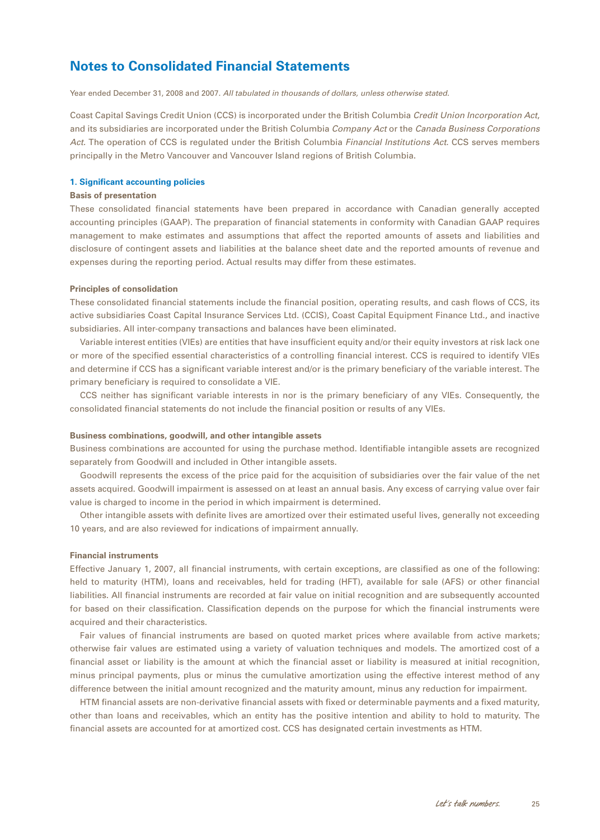<span id="page-26-0"></span>Year ended December 31, 2008 and 2007. *All tabulated in thousands of dollars, unless otherwise stated.*

Coast Capital Savings Credit Union (CCS) is incorporated under the British Columbia *Credit Union Incorporation Act*, and its subsidiaries are incorporated under the British Columbia *Company Act* or the *Canada Business Corporations Act.* The operation of CCS is regulated under the British Columbia *Financial Institutions Act*. CCS serves members principally in the Metro Vancouver and Vancouver Island regions of British Columbia.

### **1. Significant accounting policies**

#### **Basis of presentation**

These consolidated financial statements have been prepared in accordance with Canadian generally accepted accounting principles (GAAP). The preparation of financial statements in conformity with Canadian GAAP requires management to make estimates and assumptions that affect the reported amounts of assets and liabilities and disclosure of contingent assets and liabilities at the balance sheet date and the reported amounts of revenue and expenses during the reporting period. Actual results may differ from these estimates.

#### **Principles of consolidation**

These consolidated financial statements include the financial position, operating results, and cash flows of CCS, its active subsidiaries Coast Capital Insurance Services Ltd. (CCIS), Coast Capital Equipment Finance Ltd., and inactive subsidiaries. All inter-company transactions and balances have been eliminated.

Variable interest entities (VIEs) are entities that have insufficient equity and/or their equity investors at risk lack one or more of the specified essential characteristics of a controlling financial interest. CCS is required to identify VIEs and determine if CCS has a significant variable interest and/or is the primary beneficiary of the variable interest. The primary beneficiary is required to consolidate a VIE.

CCS neither has significant variable interests in nor is the primary beneficiary of any VIEs. Consequently, the consolidated financial statements do not include the financial position or results of any VIEs.

#### **Business combinations, goodwill, and other intangible assets**

Business combinations are accounted for using the purchase method. Identifiable intangible assets are recognized separately from Goodwill and included in Other intangible assets.

Goodwill represents the excess of the price paid for the acquisition of subsidiaries over the fair value of the net assets acquired. Goodwill impairment is assessed on at least an annual basis. Any excess of carrying value over fair value is charged to income in the period in which impairment is determined.

Other intangible assets with definite lives are amortized over their estimated useful lives, generally not exceeding 10 years, and are also reviewed for indications of impairment annually.

#### **Financial instruments**

Effective January 1, 2007, all financial instruments, with certain exceptions, are classified as one of the following: held to maturity (HTM), loans and receivables, held for trading (HFT), available for sale (AFS) or other financial liabilities. All financial instruments are recorded at fair value on initial recognition and are subsequently accounted for based on their classification. Classification depends on the purpose for which the financial instruments were acquired and their characteristics.

Fair values of financial instruments are based on quoted market prices where available from active markets; otherwise fair values are estimated using a variety of valuation techniques and models. The amortized cost of a financial asset or liability is the amount at which the financial asset or liability is measured at initial recognition, minus principal payments, plus or minus the cumulative amortization using the effective interest method of any difference between the initial amount recognized and the maturity amount, minus any reduction for impairment.

HTM financial assets are non-derivative financial assets with fixed or determinable payments and a fixed maturity, other than loans and receivables, which an entity has the positive intention and ability to hold to maturity. The financial assets are accounted for at amortized cost. CCS has designated certain investments as HTM.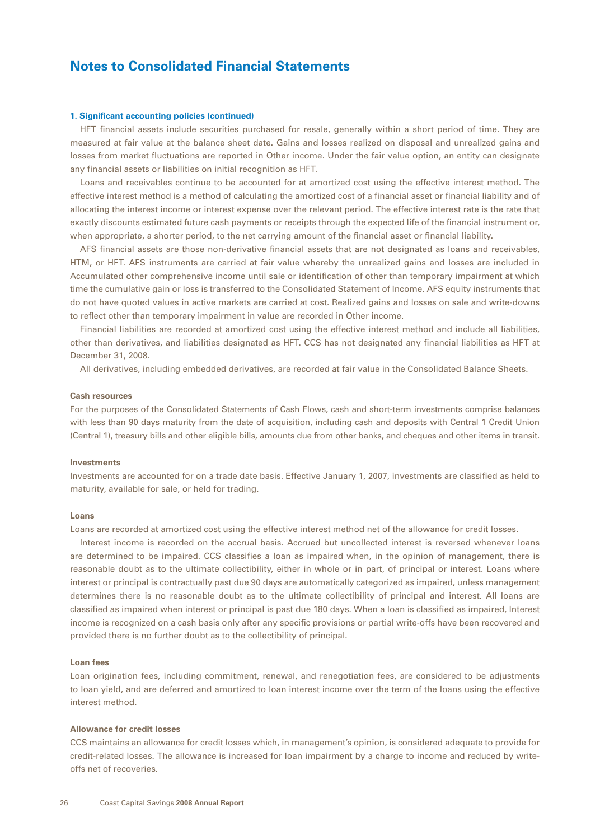#### **1. Significant accounting policies (continued)**

HFT financial assets include securities purchased for resale, generally within a short period of time. They are measured at fair value at the balance sheet date. Gains and losses realized on disposal and unrealized gains and losses from market fluctuations are reported in Other income. Under the fair value option, an entity can designate any financial assets or liabilities on initial recognition as HFT.

Loans and receivables continue to be accounted for at amortized cost using the effective interest method. The effective interest method is a method of calculating the amortized cost of a financial asset or financial liability and of allocating the interest income or interest expense over the relevant period. The effective interest rate is the rate that exactly discounts estimated future cash payments or receipts through the expected life of the financial instrument or, when appropriate, a shorter period, to the net carrying amount of the financial asset or financial liability.

AFS financial assets are those non-derivative financial assets that are not designated as loans and receivables, HTM, or HFT. AFS instruments are carried at fair value whereby the unrealized gains and losses are included in Accumulated other comprehensive income until sale or identification of other than temporary impairment at which time the cumulative gain or loss is transferred to the Consolidated Statement of Income. AFS equity instruments that do not have quoted values in active markets are carried at cost. Realized gains and losses on sale and write-downs to reflect other than temporary impairment in value are recorded in Other income.

Financial liabilities are recorded at amortized cost using the effective interest method and include all liabilities, other than derivatives, and liabilities designated as HFT. CCS has not designated any financial liabilities as HFT at December 31, 2008.

All derivatives, including embedded derivatives, are recorded at fair value in the Consolidated Balance Sheets.

#### **Cash resources**

For the purposes of the Consolidated Statements of Cash Flows, cash and short-term investments comprise balances with less than 90 days maturity from the date of acquisition, including cash and deposits with Central 1 Credit Union (Central 1), treasury bills and other eligible bills, amounts due from other banks, and cheques and other items in transit.

#### **Investments**

Investments are accounted for on a trade date basis. Effective January 1, 2007, investments are classified as held to maturity, available for sale, or held for trading.

#### **Loans**

Loans are recorded at amortized cost using the effective interest method net of the allowance for credit losses.

Interest income is recorded on the accrual basis. Accrued but uncollected interest is reversed whenever loans are determined to be impaired. CCS classifies a loan as impaired when, in the opinion of management, there is reasonable doubt as to the ultimate collectibility, either in whole or in part, of principal or interest. Loans where interest or principal is contractually past due 90 days are automatically categorized as impaired, unless management determines there is no reasonable doubt as to the ultimate collectibility of principal and interest. All loans are classified as impaired when interest or principal is past due 180 days. When a loan is classified as impaired, Interest income is recognized on a cash basis only after any specific provisions or partial write-offs have been recovered and provided there is no further doubt as to the collectibility of principal.

#### **Loan fees**

Loan origination fees, including commitment, renewal, and renegotiation fees, are considered to be adjustments to loan yield, and are deferred and amortized to loan interest income over the term of the loans using the effective interest method.

#### **Allowance for credit losses**

CCS maintains an allowance for credit losses which, in management's opinion, is considered adequate to provide for credit-related losses. The allowance is increased for loan impairment by a charge to income and reduced by writeoffs net of recoveries.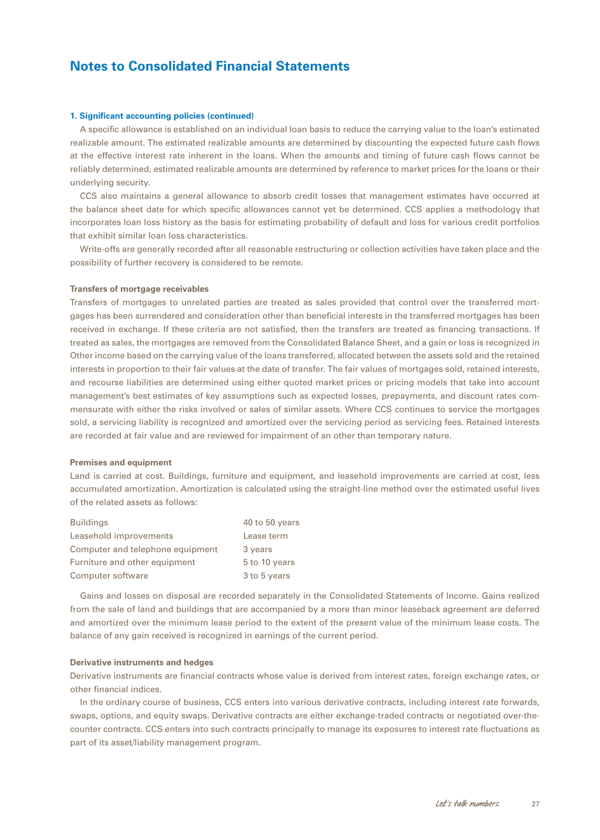#### **1. Significant accounting policies (continued)**

A specific allowance is established on an individual loan basis to reduce the carrying value to the loan's estimated realizable amount. The estimated realizable amounts are determined by discounting the expected future cash flows at the effective interest rate inherent in the loans. When the amounts and timing of future cash flows cannot be reliably determined, estimated realizable amounts are determined by reference to market prices for the loans or their underlying security.

CCS also maintains a general allowance to absorb credit losses that management estimates have occurred at the balance sheet date for which specific allowances cannot yet be determined. CCS applies a methodology that incorporates loan loss history as the basis for estimating probability of default and loss for various credit portfolios that exhibit similar loan loss characteristics.

Write-offs are generally recorded after all reasonable restructuring or collection activities have taken place and the possibility of further recovery is considered to be remote.

#### **Transfers of mortgage receivables**

Transfers of mortgages to unrelated parties are treated as sales provided that control over the transferred mortgages has been surrendered and consideration other than beneficial interests in the transferred mortgages has been received in exchange. If these criteria are not satisfied, then the transfers are treated as financing transactions. If treated as sales, the mortgages are removed from the Consolidated Balance Sheet, and a gain or loss is recognized in Other income based on the carrying value of the loans transferred, allocated between the assets sold and the retained interests in proportion to their fair values at the date of transfer. The fair values of mortgages sold, retained interests, and recourse liabilities are determined using either quoted market prices or pricing models that take into account management's best estimates of key assumptions such as expected losses, prepayments, and discount rates commensurate with either the risks involved or sales of similar assets. Where CCS continues to service the mortgages sold, a servicing liability is recognized and amortized over the servicing period as servicing fees. Retained interests are recorded at fair value and are reviewed for impairment of an other than temporary nature.

### **Premises and equipment**

Land is carried at cost. Buildings, furniture and equipment, and leasehold improvements are carried at cost, less accumulated amortization. Amortization is calculated using the straight-line method over the estimated useful lives of the related assets as follows:

| <b>Buildings</b>                 | 40 to 50 years |
|----------------------------------|----------------|
| Leasehold improvements           | Lease term     |
| Computer and telephone equipment | 3 years        |
| Furniture and other equipment    | 5 to 10 years  |
| Computer software                | 3 to 5 years   |

Gains and losses on disposal are recorded separately in the Consolidated Statements of Income. Gains realized from the sale of land and buildings that are accompanied by a more than minor leaseback agreement are deferred and amortized over the minimum lease period to the extent of the present value of the minimum lease costs. The balance of any gain received is recognized in earnings of the current period.

#### **Derivative instruments and hedges**

Derivative instruments are financial contracts whose value is derived from interest rates, foreign exchange rates, or other financial indices.

In the ordinary course of business, CCS enters into various derivative contracts, including interest rate forwards, swaps, options, and equity swaps. Derivative contracts are either exchange-traded contracts or negotiated over-thecounter contracts. CCS enters into such contracts principally to manage its exposures to interest rate fluctuations as part of its asset/liability management program.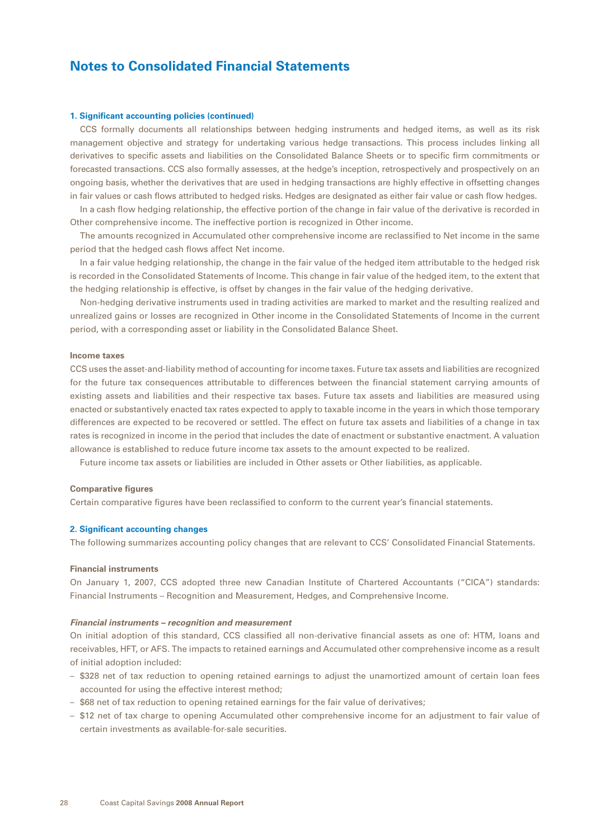#### **1. Significant accounting policies (continued)**

CCS formally documents all relationships between hedging instruments and hedged items, as well as its risk management objective and strategy for undertaking various hedge transactions. This process includes linking all derivatives to specific assets and liabilities on the Consolidated Balance Sheets or to specific firm commitments or forecasted transactions. CCS also formally assesses, at the hedge's inception, retrospectively and prospectively on an ongoing basis, whether the derivatives that are used in hedging transactions are highly effective in offsetting changes in fair values or cash flows attributed to hedged risks. Hedges are designated as either fair value or cash flow hedges.

In a cash flow hedging relationship, the effective portion of the change in fair value of the derivative is recorded in Other comprehensive income. The ineffective portion is recognized in Other income.

The amounts recognized in Accumulated other comprehensive income are reclassified to Net income in the same period that the hedged cash flows affect Net income.

In a fair value hedging relationship, the change in the fair value of the hedged item attributable to the hedged risk is recorded in the Consolidated Statements of Income. This change in fair value of the hedged item, to the extent that the hedging relationship is effective, is offset by changes in the fair value of the hedging derivative.

Non-hedging derivative instruments used in trading activities are marked to market and the resulting realized and unrealized gains or losses are recognized in Other income in the Consolidated Statements of Income in the current period, with a corresponding asset or liability in the Consolidated Balance Sheet.

#### **Income taxes**

CCS uses the asset-and-liability method of accounting for income taxes. Future tax assets and liabilities are recognized for the future tax consequences attributable to differences between the financial statement carrying amounts of existing assets and liabilities and their respective tax bases. Future tax assets and liabilities are measured using enacted or substantively enacted tax rates expected to apply to taxable income in the years in which those temporary differences are expected to be recovered or settled. The effect on future tax assets and liabilities of a change in tax rates is recognized in income in the period that includes the date of enactment or substantive enactment. A valuation allowance is established to reduce future income tax assets to the amount expected to be realized.

Future income tax assets or liabilities are included in Other assets or Other liabilities, as applicable.

### **Comparative figures**

Certain comparative figures have been reclassified to conform to the current year's financial statements.

### **2. Significant accounting changes**

The following summarizes accounting policy changes that are relevant to CCS' Consolidated Financial Statements.

### **Financial instruments**

On January 1, 2007, CCS adopted three new Canadian Institute of Chartered Accountants ("CICA") standards: Financial Instruments – Recognition and Measurement, Hedges, and Comprehensive Income.

#### *Financial instruments – recognition and measurement*

On initial adoption of this standard, CCS classified all non-derivative financial assets as one of: HTM, loans and receivables, HFT, or AFS. The impacts to retained earnings and Accumulated other comprehensive income as a result of initial adoption included:

- \$328 net of tax reduction to opening retained earnings to adjust the unamortized amount of certain loan fees accounted for using the effective interest method;
- \$68 net of tax reduction to opening retained earnings for the fair value of derivatives;
- \$12 net of tax charge to opening Accumulated other comprehensive income for an adjustment to fair value of certain investments as available-for-sale securities.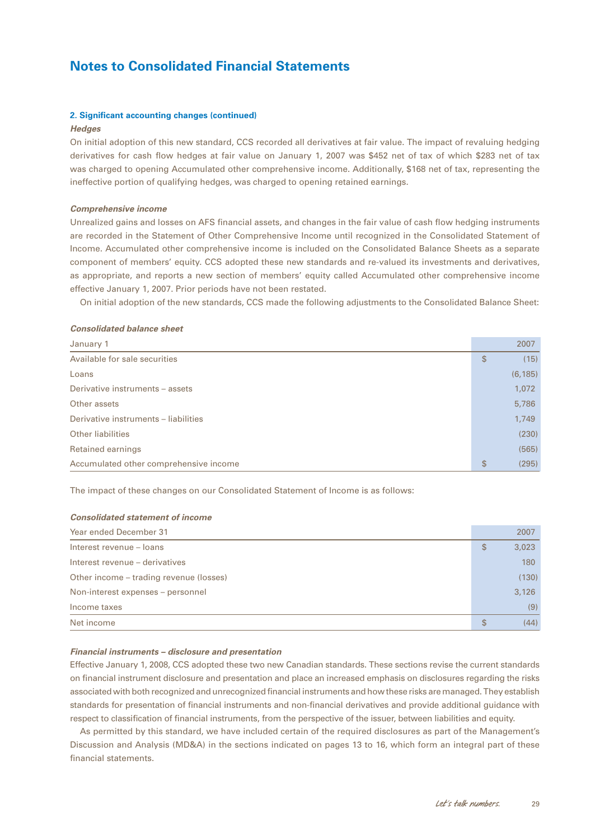### **2. Significant accounting changes (continued)**

#### *Hedges*

On initial adoption of this new standard, CCS recorded all derivatives at fair value. The impact of revaluing hedging derivatives for cash flow hedges at fair value on January 1, 2007 was \$452 net of tax of which \$283 net of tax was charged to opening Accumulated other comprehensive income. Additionally, \$168 net of tax, representing the ineffective portion of qualifying hedges, was charged to opening retained earnings.

#### *Comprehensive income*

Unrealized gains and losses on AFS financial assets, and changes in the fair value of cash flow hedging instruments are recorded in the Statement of Other Comprehensive Income until recognized in the Consolidated Statement of Income. Accumulated other comprehensive income is included on the Consolidated Balance Sheets as a separate component of members' equity. CCS adopted these new standards and re-valued its investments and derivatives, as appropriate, and reports a new section of members' equity called Accumulated other comprehensive income effective January 1, 2007. Prior periods have not been restated.

On initial adoption of the new standards, CCS made the following adjustments to the Consolidated Balance Sheet:

### *Consolidated balance sheet*

| January 1                              | 2007        |
|----------------------------------------|-------------|
| Available for sale securities          | \$<br>(15)  |
| Loans                                  | (6, 185)    |
| Derivative instruments - assets        | 1,072       |
| Other assets                           | 5,786       |
| Derivative instruments - liabilities   | 1.749       |
| <b>Other liabilities</b>               | (230)       |
| Retained earnings                      | (565)       |
| Accumulated other comprehensive income | \$<br>(295) |

The impact of these changes on our Consolidated Statement of Income is as follows:

### *Consolidated statement of income*

| Year ended December 31                  | 2007        |
|-----------------------------------------|-------------|
| Interest revenue - loans                | \$<br>3,023 |
| Interest revenue - derivatives          | 180         |
| Other income – trading revenue (losses) | (130)       |
| Non-interest expenses - personnel       | 3,126       |
| Income taxes                            | (9)         |
| Net income                              | \$<br>(44)  |

#### *Financial instruments – disclosure and presentation*

Effective January 1, 2008, CCS adopted these two new Canadian standards. These sections revise the current standards on financial instrument disclosure and presentation and place an increased emphasis on disclosures regarding the risks associated with both recognized and unrecognized financial instruments and how these risks are managed. They establish standards for presentation of financial instruments and non-financial derivatives and provide additional guidance with respect to classification of financial instruments, from the perspective of the issuer, between liabilities and equity.

As permitted by this standard, we have included certain of the required disclosures as part of the Management's Discussion and Analysis (MD&A) in the sections indicated on pages 13 to 16, which form an integral part of these financial statements.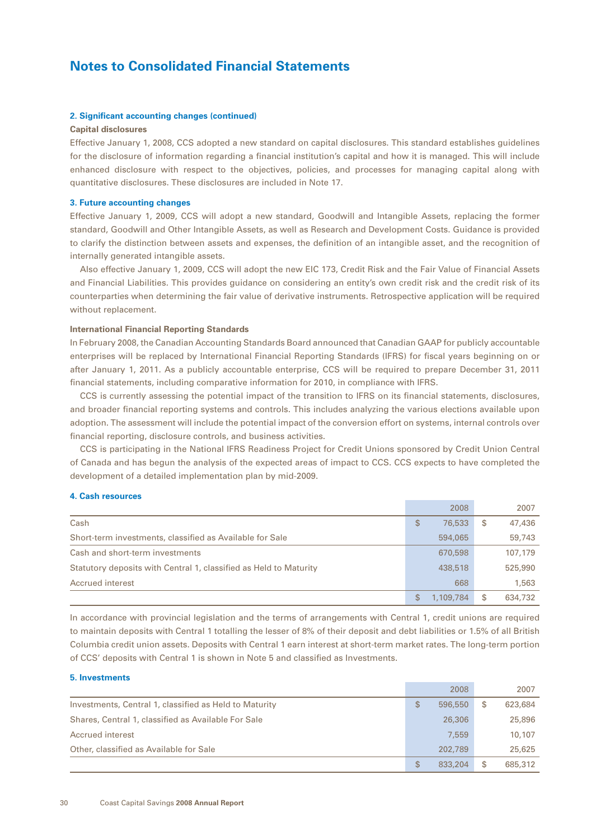#### **2. Significant accounting changes (continued)**

#### **Capital disclosures**

Effective January 1, 2008, CCS adopted a new standard on capital disclosures. This standard establishes guidelines for the disclosure of information regarding a financial institution's capital and how it is managed. This will include enhanced disclosure with respect to the objectives, policies, and processes for managing capital along with quantitative disclosures. These disclosures are included in Note 17.

#### **3. Future accounting changes**

Effective January 1, 2009, CCS will adopt a new standard, Goodwill and Intangible Assets, replacing the former standard, Goodwill and Other Intangible Assets, as well as Research and Development Costs. Guidance is provided to clarify the distinction between assets and expenses, the definition of an intangible asset, and the recognition of internally generated intangible assets.

Also effective January 1, 2009, CCS will adopt the new EIC 173, Credit Risk and the Fair Value of Financial Assets and Financial Liabilities*.* This provides guidance on considering an entity's own credit risk and the credit risk of its counterparties when determining the fair value of derivative instruments. Retrospective application will be required without replacement.

### **International Financial Reporting Standards**

In February 2008, the Canadian Accounting Standards Board announced that Canadian GAAP for publicly accountable enterprises will be replaced by International Financial Reporting Standards (IFRS) for fiscal years beginning on or after January 1, 2011. As a publicly accountable enterprise, CCS will be required to prepare December 31, 2011 financial statements, including comparative information for 2010, in compliance with IFRS.

CCS is currently assessing the potential impact of the transition to IFRS on its financial statements, disclosures, and broader financial reporting systems and controls. This includes analyzing the various elections available upon adoption. The assessment will include the potential impact of the conversion effort on systems, internal controls over financial reporting, disclosure controls, and business activities.

CCS is participating in the National IFRS Readiness Project for Credit Unions sponsored by Credit Union Central of Canada and has begun the analysis of the expected areas of impact to CCS. CCS expects to have completed the development of a detailed implementation plan by mid-2009.

#### **4. Cash resources**

|                                                                   |   | 2008      | 2007          |
|-------------------------------------------------------------------|---|-----------|---------------|
| Cash                                                              | S | 76,533    | \$<br>47,436  |
| Short-term investments, classified as Available for Sale          |   | 594,065   | 59,743        |
| Cash and short-term investments                                   |   | 670,598   | 107,179       |
| Statutory deposits with Central 1, classified as Held to Maturity |   | 438,518   | 525,990       |
| Accrued interest                                                  |   | 668       | 1,563         |
|                                                                   | S | 1,109,784 | \$<br>634,732 |

In accordance with provincial legislation and the terms of arrangements with Central 1, credit unions are required to maintain deposits with Central 1 totalling the lesser of 8% of their deposit and debt liabilities or 1.5% of all British Columbia credit union assets. Deposits with Central 1 earn interest at short-term market rates. The long-term portion of CCS' deposits with Central 1 is shown in Note 5 and classified as Investments.

#### **5. Investments**

|                                                        | 2008          | 2007          |
|--------------------------------------------------------|---------------|---------------|
| Investments, Central 1, classified as Held to Maturity | \$<br>596,550 | \$<br>623,684 |
| Shares, Central 1, classified as Available For Sale    | 26,306        | 25,896        |
| Accrued interest                                       | 7.559         | 10,107        |
| Other, classified as Available for Sale                | 202,789       | 25,625        |
|                                                        | \$<br>833,204 | \$<br>685,312 |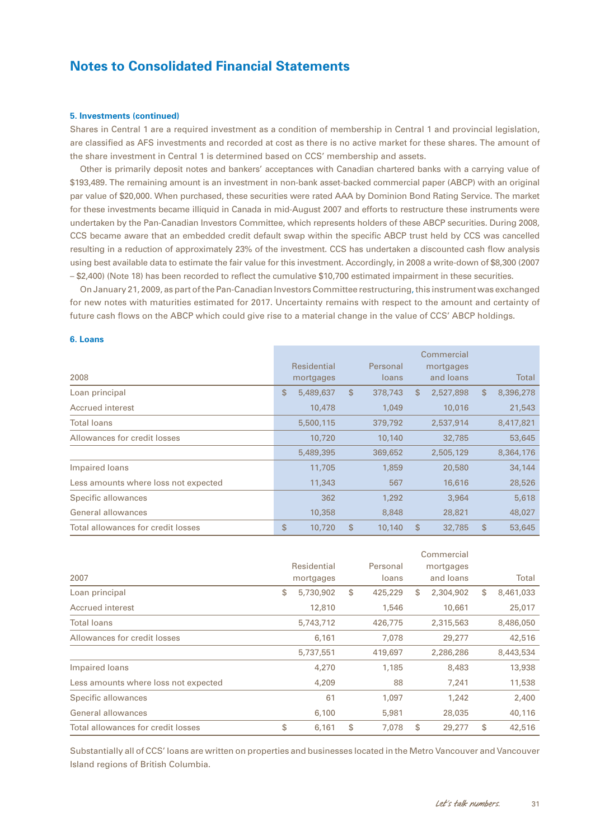#### **5. Investments (continued)**

Shares in Central 1 are a required investment as a condition of membership in Central 1 and provincial legislation, are classified as AFS investments and recorded at cost as there is no active market for these shares. The amount of the share investment in Central 1 is determined based on CCS' membership and assets.

Other is primarily deposit notes and bankers' acceptances with Canadian chartered banks with a carrying value of \$193,489. The remaining amount is an investment in non-bank asset-backed commercial paper (ABCP) with an original par value of \$20,000. When purchased, these securities were rated AAA by Dominion Bond Rating Service. The market for these investments became illiquid in Canada in mid-August 2007 and efforts to restructure these instruments were undertaken by the Pan-Canadian Investors Committee, which represents holders of these ABCP securities. During 2008, CCS became aware that an embedded credit default swap within the specific ABCP trust held by CCS was cancelled resulting in a reduction of approximately 23% of the investment. CCS has undertaken a discounted cash flow analysis using best available data to estimate the fair value for this investment. Accordingly, in 2008 a write-down of \$8,300 (2007 – \$2,400) (Note 18) has been recorded to reflect the cumulative \$10,700 estimated impairment in these securities.

On January 21, 2009, as part of the Pan-Canadian Investors Committee restructuring, this instrument was exchanged for new notes with maturities estimated for 2017. Uncertainty remains with respect to the amount and certainty of future cash flows on the ABCP which could give rise to a material change in the value of CCS' ABCP holdings.

#### **6. Loans**

| 2008                                 | Residential<br>mortgages |              | Personal<br>loans | Commercial<br>mortgages<br>and loans |              | Total     |
|--------------------------------------|--------------------------|--------------|-------------------|--------------------------------------|--------------|-----------|
| Loan principal                       | \$<br>5,489,637          | $\mathbb{S}$ | 378,743           | \$<br>2,527,898                      | $\mathbb{S}$ | 8,396,278 |
| Accrued interest                     | 10,478                   |              | 1,049             | 10,016                               |              | 21,543    |
| <b>Total loans</b>                   | 5,500,115                |              | 379,792           | 2,537,914                            |              | 8,417,821 |
| Allowances for credit losses         | 10,720                   |              | 10,140            | 32,785                               |              | 53,645    |
|                                      | 5,489,395                |              | 369,652           | 2,505,129                            |              | 8,364,176 |
| Impaired loans                       | 11,705                   |              | 1,859             | 20,580                               |              | 34,144    |
| Less amounts where loss not expected | 11,343                   |              | 567               | 16,616                               |              | 28,526    |
| Specific allowances                  | 362                      |              | 1,292             | 3,964                                |              | 5,618     |
| General allowances                   | 10,358                   |              | 8,848             | 28,821                               |              | 48,027    |
| Total allowances for credit losses   | \$<br>10,720             | \$           | 10,140            | \$<br>32,785                         | \$           | 53,645    |

|                                      |    |             |    |          |   | Commercial |    |           |  |
|--------------------------------------|----|-------------|----|----------|---|------------|----|-----------|--|
|                                      |    | Residential |    | Personal |   | mortgages  |    |           |  |
| 2007                                 |    | mortgages   |    | loans    |   | and loans  |    | Total     |  |
| Loan principal                       | \$ | 5,730,902   | \$ | 425,229  | S | 2,304,902  | \$ | 8,461,033 |  |
| Accrued interest                     |    | 12,810      |    | 1,546    |   | 10,661     |    | 25,017    |  |
| <b>Total loans</b>                   |    | 5,743,712   |    | 426,775  |   | 2,315,563  |    | 8,486,050 |  |
| Allowances for credit losses         |    | 6,161       |    | 7,078    |   | 29,277     |    | 42,516    |  |
|                                      |    | 5,737,551   |    | 419,697  |   | 2,286,286  |    | 8,443,534 |  |
| Impaired loans                       |    | 4,270       |    | 1,185    |   | 8,483      |    | 13,938    |  |
| Less amounts where loss not expected |    | 4,209       |    | 88       |   | 7,241      |    | 11,538    |  |
| Specific allowances                  |    | 61          |    | 1,097    |   | 1,242      |    | 2,400     |  |
| General allowances                   |    | 6,100       |    | 5,981    |   | 28,035     |    | 40,116    |  |
| Total allowances for credit losses   | \$ | 6,161       | \$ | 7,078    | S | 29,277     | \$ | 42,516    |  |

Substantially all of CCS' loans are written on properties and businesses located in the Metro Vancouver and Vancouver Island regions of British Columbia.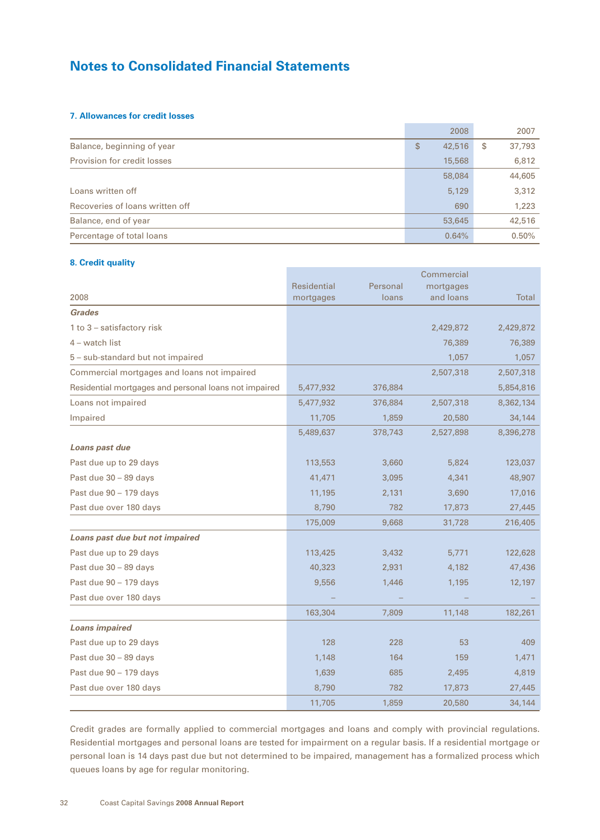## **7. Allowances for credit losses**

|                                 | 2008         | 2007         |
|---------------------------------|--------------|--------------|
| Balance, beginning of year      | 42,516<br>\$ | 37,793<br>\$ |
| Provision for credit losses     | 15,568       | 6,812        |
|                                 | 58,084       | 44,605       |
| Loans written off               | 5,129        | 3,312        |
| Recoveries of loans written off | 690          | 1,223        |
| Balance, end of year            | 53,645       | 42,516       |
| Percentage of total loans       | 0.64%        | 0.50%        |

### **8. Credit quality**

|                                                       |             |          | Commercial |              |
|-------------------------------------------------------|-------------|----------|------------|--------------|
|                                                       | Residential | Personal | mortgages  |              |
| 2008                                                  | mortgages   | loans    | and loans  | <b>Total</b> |
| <b>Grades</b>                                         |             |          |            |              |
| 1 to 3 - satisfactory risk                            |             |          | 2,429,872  | 2,429,872    |
| $4$ – watch list                                      |             |          | 76,389     | 76,389       |
| 5 - sub-standard but not impaired                     |             |          | 1,057      | 1,057        |
| Commercial mortgages and loans not impaired           |             |          | 2,507,318  | 2,507,318    |
| Residential mortgages and personal loans not impaired | 5,477,932   | 376,884  |            | 5,854,816    |
| Loans not impaired                                    | 5,477,932   | 376,884  | 2,507,318  | 8,362,134    |
| Impaired                                              | 11,705      | 1,859    | 20,580     | 34,144       |
|                                                       | 5,489,637   | 378,743  | 2,527,898  | 8,396,278    |
| Loans past due                                        |             |          |            |              |
| Past due up to 29 days                                | 113,553     | 3,660    | 5,824      | 123,037      |
| Past due 30 - 89 days                                 | 41,471      | 3,095    | 4,341      | 48,907       |
| Past due 90 - 179 days                                | 11,195      | 2,131    | 3,690      | 17,016       |
| Past due over 180 days                                | 8,790       | 782      | 17,873     | 27,445       |
|                                                       | 175,009     | 9,668    | 31,728     | 216,405      |
| Loans past due but not impaired                       |             |          |            |              |
| Past due up to 29 days                                | 113,425     | 3,432    | 5,771      | 122,628      |
| Past due 30 - 89 days                                 | 40,323      | 2,931    | 4,182      | 47,436       |
| Past due 90 - 179 days                                | 9,556       | 1,446    | 1,195      | 12,197       |
| Past due over 180 days                                |             |          |            |              |
|                                                       | 163,304     | 7,809    | 11,148     | 182,261      |
| <b>Loans impaired</b>                                 |             |          |            |              |
| Past due up to 29 days                                | 128         | 228      | 53         | 409          |
| Past due 30 - 89 days                                 | 1,148       | 164      | 159        | 1,471        |
| Past due 90 - 179 days                                | 1,639       | 685      | 2,495      | 4,819        |
| Past due over 180 days                                | 8,790       | 782      | 17,873     | 27,445       |
|                                                       | 11,705      | 1,859    | 20,580     | 34,144       |

Credit grades are formally applied to commercial mortgages and loans and comply with provincial regulations. Residential mortgages and personal loans are tested for impairment on a regular basis. If a residential mortgage or personal loan is 14 days past due but not determined to be impaired, management has a formalized process which queues loans by age for regular monitoring.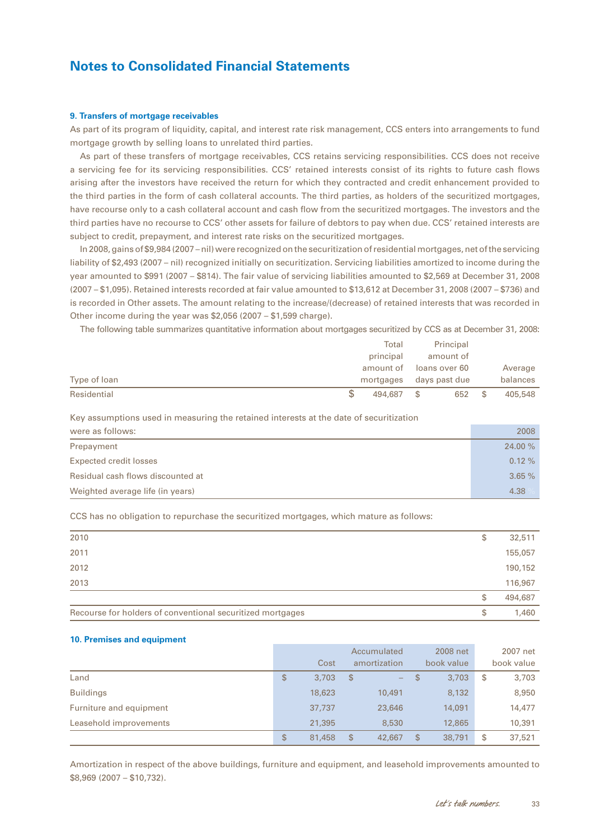#### **9. Transfers of mortgage receivables**

As part of its program of liquidity, capital, and interest rate risk management, CCS enters into arrangements to fund mortgage growth by selling loans to unrelated third parties.

As part of these transfers of mortgage receivables, CCS retains servicing responsibilities. CCS does not receive a servicing fee for its servicing responsibilities. CCS' retained interests consist of its rights to future cash flows arising after the investors have received the return for which they contracted and credit enhancement provided to the third parties in the form of cash collateral accounts. The third parties, as holders of the securitized mortgages, have recourse only to a cash collateral account and cash flow from the securitized mortgages. The investors and the third parties have no recourse to CCS' other assets for failure of debtors to pay when due. CCS' retained interests are subject to credit, prepayment, and interest rate risks on the securitized mortgages.

In 2008, gains of \$9,984 (2007 – nil) were recognized on the securitization of residential mortgages, net of the servicing liability of \$2,493 (2007 – nil) recognized initially on securitization. Servicing liabilities amortized to income during the year amounted to \$991 (2007 – \$814). The fair value of servicing liabilities amounted to \$2,569 at December 31, 2008 (2007 – \$1,095). Retained interests recorded at fair value amounted to \$13,612 at December 31, 2008 (2007 – \$736) and is recorded in Other assets. The amount relating to the increase/(decrease) of retained interests that was recorded in Other income during the year was \$2,056 (2007 – \$1,599 charge).

The following table summarizes quantitative information about mortgages securitized by CCS as at December 31, 2008:

|              | Total     | Principal     |          |
|--------------|-----------|---------------|----------|
|              | principal | amount of     |          |
|              | amount of | loans over 60 | Average  |
| Type of loan | mortgages | days past due | balances |
| Residential  | 494,687   | 652<br>S      | 405,548  |

Key assumptions used in measuring the retained interests at the date of securitization

| were as follows:                  | 2008    |
|-----------------------------------|---------|
| Prepayment                        | 24.00 % |
| Expected credit losses            | 0.12%   |
| Residual cash flows discounted at | 3.65%   |
| Weighted average life (in years)  | 4.38    |

CCS has no obligation to repurchase the securitized mortgages, which mature as follows:

| 2010                                                       | \$ | 32,511  |
|------------------------------------------------------------|----|---------|
| 2011                                                       |    | 155,057 |
| 2012                                                       |    | 190,152 |
| 2013                                                       |    | 116,967 |
|                                                            | S  | 494,687 |
| Recourse for holders of conventional securitized mortgages | \$ | 1,460   |

#### **10. Premises and equipment**

|                         |              |                | Accumulated  |                | 2008 net   | 2007 net     |
|-------------------------|--------------|----------------|--------------|----------------|------------|--------------|
|                         | Cost         |                | amortization |                | book value | book value   |
| Land                    | \$<br>3,703  | -\$            | -            | $\mathfrak{S}$ | 3,703      | \$<br>3,703  |
| <b>Buildings</b>        | 18,623       |                | 10,491       |                | 8,132      | 8,950        |
| Furniture and equipment | 37,737       |                | 23,646       |                | 14,091     | 14,477       |
| Leasehold improvements  | 21,395       |                | 8,530        |                | 12,865     | 10,391       |
|                         | \$<br>81,458 | $\mathfrak{S}$ | 42,667       | \$             | 38,791     | \$<br>37,521 |

Amortization in respect of the above buildings, furniture and equipment, and leasehold improvements amounted to \$8,969 (2007 – \$10,732).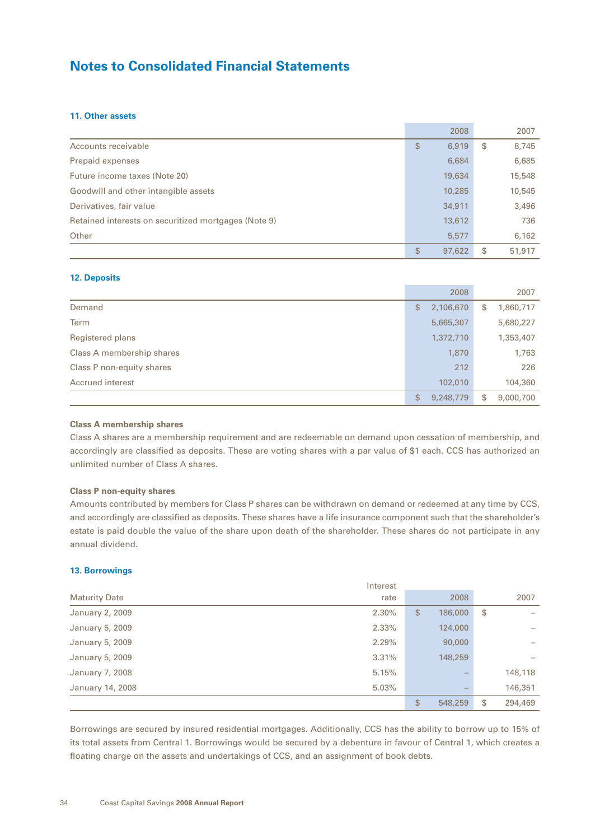### **11. Other assets**

|                                                      | 2008         |    | 2007   |
|------------------------------------------------------|--------------|----|--------|
| Accounts receivable                                  | \$<br>6,919  | \$ | 8,745  |
| Prepaid expenses                                     | 6,684        |    | 6,685  |
| Future income taxes (Note 20)                        | 19,634       |    | 15,548 |
| Goodwill and other intangible assets                 | 10,285       |    | 10,545 |
| Derivatives, fair value                              | 34,911       |    | 3,496  |
| Retained interests on securitized mortgages (Note 9) | 13,612       |    | 736    |
| Other                                                | 5,577        |    | 6,162  |
|                                                      | \$<br>97,622 | S  | 51,917 |

## **12. Deposits**

|                           | 2008            | 2007            |
|---------------------------|-----------------|-----------------|
| Demand                    | \$<br>2,106,670 | \$<br>1,860,717 |
| <b>Term</b>               | 5,665,307       | 5,680,227       |
| Registered plans          | 1,372,710       | 1,353,407       |
| Class A membership shares | 1,870           | 1,763           |
| Class P non-equity shares | 212             | 226             |
| Accrued interest          | 102,010         | 104,360         |
|                           | \$<br>9,248,779 | \$<br>9,000,700 |

### **Class A membership shares**

Class A shares are a membership requirement and are redeemable on demand upon cessation of membership, and accordingly are classified as deposits. These are voting shares with a par value of \$1 each. CCS has authorized an unlimited number of Class A shares.

### **Class P non-equity shares**

Amounts contributed by members for Class P shares can be withdrawn on demand or redeemed at any time by CCS, and accordingly are classified as deposits. These shares have a life insurance component such that the shareholder's estate is paid double the value of the share upon death of the shareholder. These shares do not participate in any annual dividend.

#### **13. Borrowings**

|                      | Interest |              |         |                                |
|----------------------|----------|--------------|---------|--------------------------------|
| <b>Maturity Date</b> | rate     |              | 2008    | 2007                           |
| January 2, 2009      | 2.30%    | $\mathbb{S}$ | 186,000 | \$<br>$\overline{\phantom{a}}$ |
| January 5, 2009      | 2.33%    |              | 124,000 |                                |
| January 5, 2009      | 2.29%    |              | 90,000  |                                |
| January 5, 2009      | 3.31%    |              | 148,259 |                                |
| January 7, 2008      | 5.15%    |              |         | 148,118                        |
| January 14, 2008     | 5.03%    |              |         | 146,351                        |
|                      |          | \$           | 548,259 | \$<br>294,469                  |

Borrowings are secured by insured residential mortgages. Additionally, CCS has the ability to borrow up to 15% of its total assets from Central 1. Borrowings would be secured by a debenture in favour of Central 1, which creates a floating charge on the assets and undertakings of CCS, and an assignment of book debts.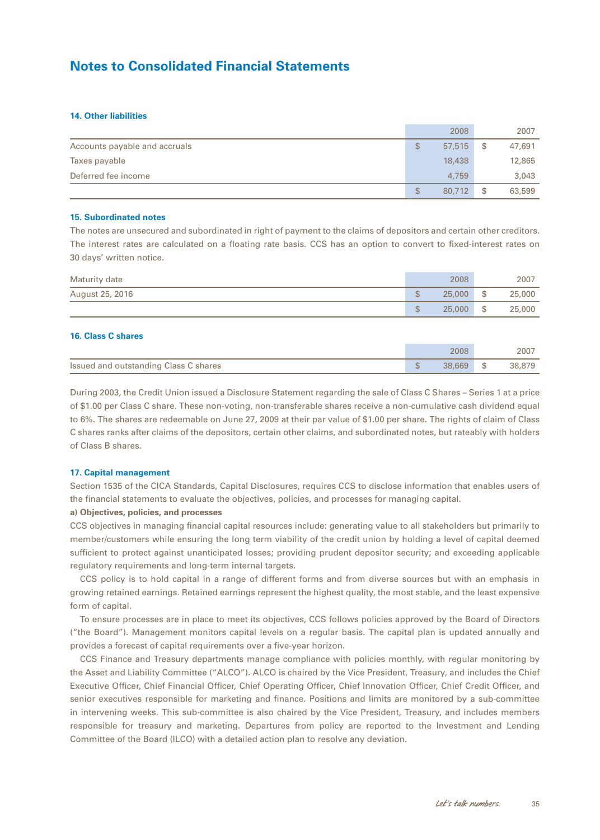### **14. Other liabilities**

|                               |    | 2008   |    | 2007   |
|-------------------------------|----|--------|----|--------|
| Accounts payable and accruals | S  | 57,515 | \$ | 47,691 |
| Taxes payable                 |    | 18,438 |    | 12,865 |
| Deferred fee income           |    | 4.759  |    | 3,043  |
|                               | \$ | 80,712 | S  | 63,599 |

#### **15. Subordinated notes**

The notes are unsecured and subordinated in right of payment to the claims of depositors and certain other creditors. The interest rates are calculated on a floating rate basis. CCS has an option to convert to fixed-interest rates on 30 days' written notice.

| Maturity date   |                   | 2008   |      | 2007   |
|-----------------|-------------------|--------|------|--------|
| August 25, 2016 | \$                | 25,000 | - \$ | 25,000 |
|                 | $\mathbb{C}$<br>Ψ | 25,000 | \$   | 25,000 |

### **16. Class C shares**

|                                       | 2008   |      | 2007   |
|---------------------------------------|--------|------|--------|
| Issued and outstanding Class C shares | 38.669 | - \$ | 38,879 |

During 2003, the Credit Union issued a Disclosure Statement regarding the sale of Class C Shares – Series 1 at a price of \$1.00 per Class C share. These non-voting, non-transferable shares receive a non-cumulative cash dividend equal to 6%. The shares are redeemable on June 27, 2009 at their par value of \$1.00 per share. The rights of claim of Class C shares ranks after claims of the depositors, certain other claims, and subordinated notes, but rateably with holders of Class B shares.

#### **17. Capital management**

Section 1535 of the CICA Standards, Capital Disclosures, requires CCS to disclose information that enables users of the financial statements to evaluate the objectives, policies, and processes for managing capital.

### **a) Objectives, policies, and processes**

CCS objectives in managing financial capital resources include: generating value to all stakeholders but primarily to member/customers while ensuring the long term viability of the credit union by holding a level of capital deemed sufficient to protect against unanticipated losses; providing prudent depositor security; and exceeding applicable regulatory requirements and long-term internal targets.

CCS policy is to hold capital in a range of different forms and from diverse sources but with an emphasis in growing retained earnings. Retained earnings represent the highest quality, the most stable, and the least expensive form of capital.

To ensure processes are in place to meet its objectives, CCS follows policies approved by the Board of Directors ("the Board"). Management monitors capital levels on a regular basis. The capital plan is updated annually and provides a forecast of capital requirements over a five-year horizon.

CCS Finance and Treasury departments manage compliance with policies monthly, with regular monitoring by the Asset and Liability Committee ("ALCO"). ALCO is chaired by the Vice President, Treasury, and includes the Chief Executive Officer, Chief Financial Officer, Chief Operating Officer, Chief Innovation Officer, Chief Credit Officer, and senior executives responsible for marketing and finance. Positions and limits are monitored by a sub-committee in intervening weeks. This sub-committee is also chaired by the Vice President, Treasury, and includes members responsible for treasury and marketing. Departures from policy are reported to the Investment and Lending Committee of the Board (ILCO) with a detailed action plan to resolve any deviation.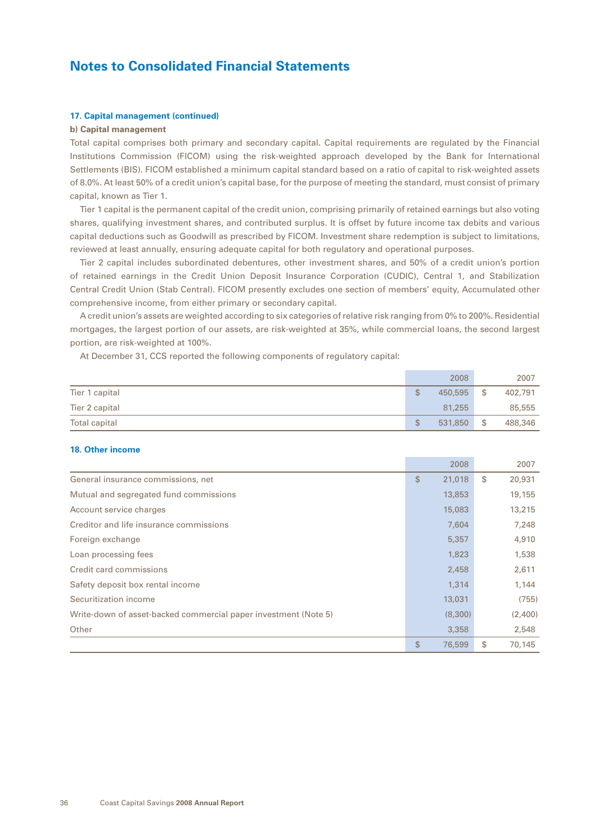#### **17. Capital management (continued)**

### **b) Capital management**

Total capital comprises both primary and secondary capital. Capital requirements are regulated by the Financial Institutions Commission (FICOM) using the risk-weighted approach developed by the Bank for International Settlements (BIS). FICOM established a minimum capital standard based on a ratio of capital to risk-weighted assets of 8.0%. At least 50% of a credit union's capital base, for the purpose of meeting the standard, must consist of primary capital, known as Tier 1.

Tier 1 capital is the permanent capital of the credit union, comprising primarily of retained earnings but also voting shares, qualifying investment shares, and contributed surplus. It is offset by future income tax debits and various capital deductions such as Goodwill as prescribed by FICOM. Investment share redemption is subject to limitations, reviewed at least annually, ensuring adequate capital for both regulatory and operational purposes.

Tier 2 capital includes subordinated debentures, other investment shares, and 50% of a credit union's portion of retained earnings in the Credit Union Deposit Insurance Corporation (CUDIC), Central 1, and Stabilization Central Credit Union (Stab Central). FICOM presently excludes one section of members' equity, Accumulated other comprehensive income, from either primary or secondary capital.

A credit union's assets are weighted according to six categories of relative risk ranging from 0% to 200%. Residential mortgages, the largest portion of our assets, are risk-weighted at 35%, while commercial loans, the second largest portion, are risk-weighted at 100%.

At December 31, CCS reported the following components of regulatory capital:

|                      | 2008          |      | 2007    |
|----------------------|---------------|------|---------|
| Tier 1 capital       | \$<br>450,595 | - \$ | 402,791 |
| Tier 2 capital       | 81,255        |      | 85,555  |
| <b>Total capital</b> | \$<br>531,850 | - \$ | 488,346 |

#### **18. Other income**

|                                                                 |              | 2008    | 2007         |
|-----------------------------------------------------------------|--------------|---------|--------------|
| General insurance commissions, net                              | $\mathbb{S}$ | 21,018  | \$<br>20,931 |
| Mutual and segregated fund commissions                          |              | 13,853  | 19,155       |
| Account service charges                                         |              | 15,083  | 13,215       |
| Creditor and life insurance commissions                         |              | 7.604   | 7,248        |
| Foreign exchange                                                |              | 5,357   | 4,910        |
| Loan processing fees                                            |              | 1,823   | 1,538        |
| Credit card commissions                                         |              | 2,458   | 2,611        |
| Safety deposit box rental income                                |              | 1,314   | 1,144        |
| Securitization income                                           |              | 13,031  | (755)        |
| Write-down of asset-backed commercial paper investment (Note 5) |              | (8,300) | (2,400)      |
| Other                                                           |              | 3,358   | 2,548        |
|                                                                 | \$           | 76,599  | \$<br>70.145 |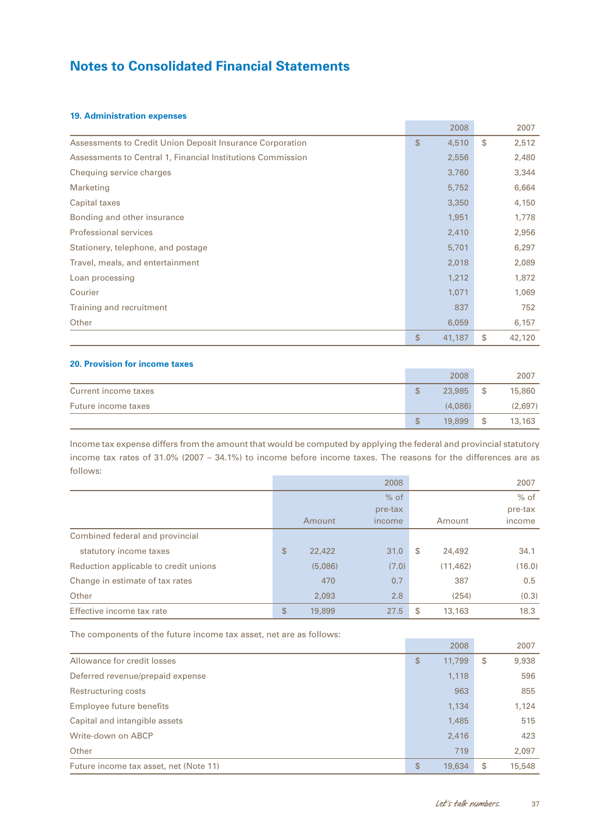## **19. Administration expenses**

|                                                             | 2008         | 2007         |
|-------------------------------------------------------------|--------------|--------------|
| Assessments to Credit Union Deposit Insurance Corporation   | \$<br>4,510  | \$<br>2,512  |
| Assessments to Central 1, Financial Institutions Commission | 2,556        | 2,480        |
| Chequing service charges                                    | 3,760        | 3,344        |
| Marketing                                                   | 5,752        | 6,664        |
| Capital taxes                                               | 3,350        | 4,150        |
| Bonding and other insurance                                 | 1,951        | 1,778        |
| <b>Professional services</b>                                | 2,410        | 2,956        |
| Stationery, telephone, and postage                          | 5,701        | 6,297        |
| Travel, meals, and entertainment                            | 2,018        | 2,089        |
| Loan processing                                             | 1,212        | 1,872        |
| Courier                                                     | 1,071        | 1,069        |
| Training and recruitment                                    | 837          | 752          |
| Other                                                       | 6,059        | 6,157        |
|                                                             | \$<br>41,187 | \$<br>42,120 |

the control of the control of the

## **20. Provision for income taxes**

|                      |    | 2008    |    | 2007    |
|----------------------|----|---------|----|---------|
| Current income taxes | \$ | 23.985  | S  | 15,860  |
| Future income taxes  |    | (4.086) |    | (2,697) |
|                      | S  | 19,899  | \$ | 13,163  |

Income tax expense differs from the amount that would be computed by applying the federal and provincial statutory income tax rates of 31.0% (2007 – 34.1%) to income before income taxes. The reasons for the differences are as follows:

|                                       |              | 2008    |              | 2007    |
|---------------------------------------|--------------|---------|--------------|---------|
|                                       |              | $%$ of  |              | $%$ of  |
|                                       |              | pre-tax |              | pre-tax |
|                                       | Amount       | income  | Amount       | income  |
| Combined federal and provincial       |              |         |              |         |
| statutory income taxes                | \$<br>22,422 | 31.0    | \$<br>24,492 | 34.1    |
| Reduction applicable to credit unions | (5,086)      | (7.0)   | (11, 462)    | (16.0)  |
| Change in estimate of tax rates       | 470          | 0.7     | 387          | 0.5     |
| Other                                 | 2,093        | 2.8     | (254)        | (0.3)   |
| Effective income tax rate             | \$<br>19,899 | 27.5    | \$<br>13,163 | 18.3    |

The components of the future income tax asset, net are as follows:

|                                        | 2008         | 2007         |
|----------------------------------------|--------------|--------------|
| Allowance for credit losses            | \$<br>11,799 | \$<br>9,938  |
| Deferred revenue/prepaid expense       | 1,118        | 596          |
| Restructuring costs                    | 963          | 855          |
| Employee future benefits               | 1,134        | 1,124        |
| Capital and intangible assets          | 1,485        | 515          |
| Write-down on ABCP                     | 2,416        | 423          |
| Other                                  | 719          | 2,097        |
| Future income tax asset, net (Note 11) | \$<br>19,634 | \$<br>15,548 |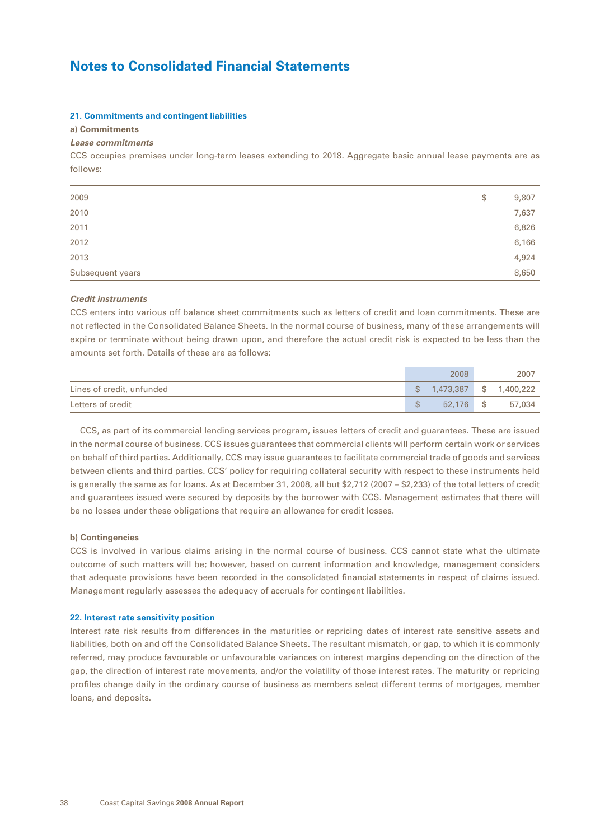#### **21. Commitments and contingent liabilities**

### **a) Commitments**

### *Lease commitments*

CCS occupies premises under long-term leases extending to 2018. Aggregate basic annual lease payments are as follows:

| Subsequent years | 8,650       |
|------------------|-------------|
| 2013             | 4,924       |
| 2012             | 6,166       |
| 2011             | 6,826       |
| 2010             | 7,637       |
| 2009             | \$<br>9,807 |
|                  |             |

#### *Credit instruments*

CCS enters into various off balance sheet commitments such as letters of credit and loan commitments. These are not reflected in the Consolidated Balance Sheets. In the normal course of business, many of these arrangements will expire or terminate without being drawn upon, and therefore the actual credit risk is expected to be less than the amounts set forth. Details of these are as follows:

|                           |   | 2008                      | 2007   |
|---------------------------|---|---------------------------|--------|
| Lines of credit, unfunded |   | $$1,473,387$ $$1,400,222$ |        |
| Letters of credit         | ፍ | 52,176 \$                 | 57.034 |

CCS, as part of its commercial lending services program, issues letters of credit and guarantees. These are issued in the normal course of business. CCS issues guarantees that commercial clients will perform certain work or services on behalf of third parties. Additionally, CCS may issue guarantees to facilitate commercial trade of goods and services between clients and third parties. CCS' policy for requiring collateral security with respect to these instruments held is generally the same as for loans. As at December 31, 2008, all but \$2,712 (2007 – \$2,233) of the total letters of credit and guarantees issued were secured by deposits by the borrower with CCS. Management estimates that there will be no losses under these obligations that require an allowance for credit losses.

### **b) Contingencies**

CCS is involved in various claims arising in the normal course of business. CCS cannot state what the ultimate outcome of such matters will be; however, based on current information and knowledge, management considers that adequate provisions have been recorded in the consolidated financial statements in respect of claims issued. Management regularly assesses the adequacy of accruals for contingent liabilities.

#### **22. Interest rate sensitivity position**

Interest rate risk results from differences in the maturities or repricing dates of interest rate sensitive assets and liabilities, both on and off the Consolidated Balance Sheets. The resultant mismatch, or gap, to which it is commonly referred, may produce favourable or unfavourable variances on interest margins depending on the direction of the gap, the direction of interest rate movements, and/or the volatility of those interest rates. The maturity or repricing profiles change daily in the ordinary course of business as members select different terms of mortgages, member loans, and deposits.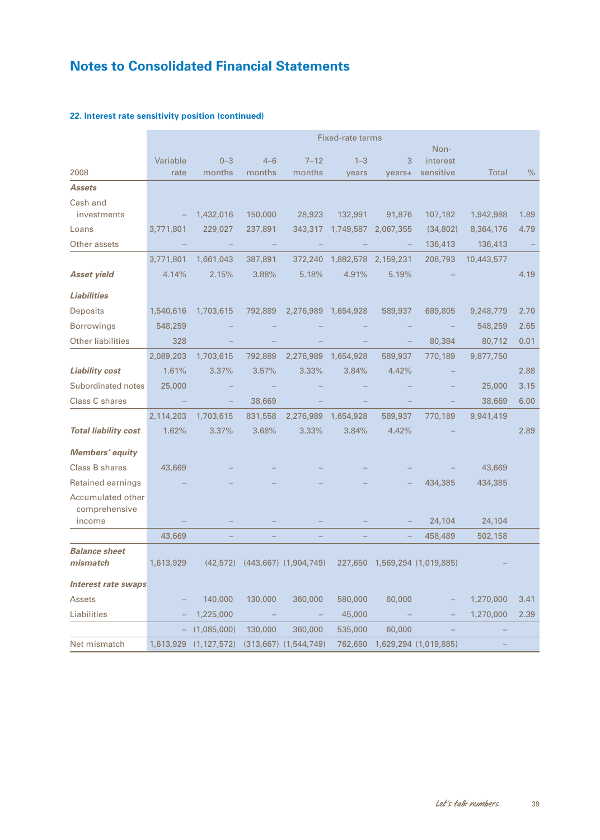|                                    | <b>Fixed-rate terms</b> |               |         |                           |                     |           |                       |              |      |
|------------------------------------|-------------------------|---------------|---------|---------------------------|---------------------|-----------|-----------------------|--------------|------|
|                                    |                         |               |         |                           |                     |           | Non-                  |              |      |
|                                    | Variable                | $0 - 3$       | $4 - 6$ | $7 - 12$                  | $1 - 3$             | 3         | interest              |              |      |
| 2008                               | rate                    | months        | months  | months                    | years               | years+    | sensitive             | <b>Total</b> | $\%$ |
| <b>Assets</b>                      |                         |               |         |                           |                     |           |                       |              |      |
| Cash and<br>investments            |                         | 1,432,016     | 150,000 | 28,923                    | 132,991             | 91,876    | 107,182               | 1,942,988    | 1.89 |
| Loans                              | 3,771,801               | 229,027       | 237,891 | 343,317                   | 1,749,587           | 2,067,355 | (34, 802)             | 8,364,176    | 4.79 |
| Other assets                       |                         |               |         |                           |                     |           | 136,413               | 136,413      |      |
|                                    | 3,771,801               | 1,661,043     | 387,891 | 372,240                   | 1,882,578           | 2,159,231 | 208,793               | 10,443,577   |      |
| <b>Asset yield</b>                 | 4.14%                   | 2.15%         | 3.88%   | 5.18%                     | 4.91%               | 5.19%     |                       |              | 4.19 |
| <b>Liabilities</b>                 |                         |               |         |                           |                     |           |                       |              |      |
| Deposits                           | 1,540,616               | 1,703,615     | 792,889 |                           | 2,276,989 1,654,928 | 589,937   | 689,805               | 9,248,779    | 2.70 |
| <b>Borrowings</b>                  | 548,259                 |               |         |                           |                     |           |                       | 548,259      | 2.65 |
| <b>Other liabilities</b>           | 328                     |               |         |                           |                     |           | 80,384                | 80,712       | 0.01 |
|                                    | 2,089,203               | 1,703,615     | 792,889 | 2,276,989                 | 1,654,928           | 589,937   | 770,189               | 9,877,750    |      |
| <b>Liability cost</b>              | 1.61%                   | 3.37%         | 3.57%   | 3.33%                     | 3.84%               | 4.42%     |                       |              | 2.88 |
| Subordinated notes                 | 25,000                  |               |         |                           |                     |           |                       | 25,000       | 3.15 |
| Class C shares                     |                         |               | 38,669  |                           |                     |           |                       | 38,669       | 6.00 |
|                                    | 2,114,203               | 1,703,615     | 831,558 | 2,276,989                 | 1,654,928           | 589,937   | 770,189               | 9,941,419    |      |
| <b>Total liability cost</b>        | 1.62%                   | 3.37%         | 3.68%   | 3.33%                     | 3.84%               | 4.42%     |                       |              | 2.89 |
| Members' equity                    |                         |               |         |                           |                     |           |                       |              |      |
| Class B shares                     | 43,669                  |               |         |                           |                     |           |                       | 43,669       |      |
| Retained earnings                  |                         |               |         |                           |                     |           | 434,385               | 434,385      |      |
| Accumulated other<br>comprehensive |                         |               |         |                           |                     |           |                       |              |      |
| income                             |                         |               |         |                           |                     |           | 24,104                | 24,104       |      |
|                                    | 43,669                  |               |         |                           |                     |           | 458,489               | 502,158      |      |
| <b>Balance sheet</b><br>mismatch   | 1,613,929               | (42, 572)     |         | $(443,667)$ $(1,904,749)$ | 227,650             |           | 1,569,294 (1,019,885) |              |      |
| Interest rate swaps                |                         |               |         |                           |                     |           |                       |              |      |
| Assets                             |                         | 140,000       | 130,000 | 360,000                   | 580,000             | 60,000    |                       | 1,270,000    | 3.41 |
| Liabilities                        |                         | 1,225,000     |         |                           | 45,000              |           |                       | 1,270,000    | 2.39 |
|                                    |                         | (1,085,000)   | 130,000 | 360,000                   | 535,000             | 60,000    |                       |              |      |
| Net mismatch                       | 1,613,929               | (1, 127, 572) |         | $(313,667)$ $(1,544,749)$ | 762,650             |           | 1,629,294 (1,019,885) |              |      |

## **22. Interest rate sensitivity position (continued)**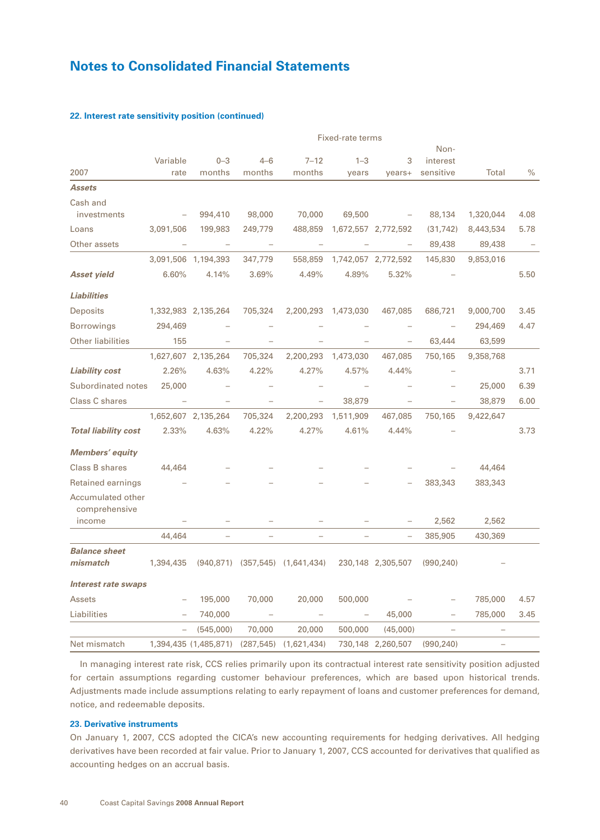|                                    | Fixed-rate terms |                       |            |                                       |                          |                     |            |           |      |
|------------------------------------|------------------|-----------------------|------------|---------------------------------------|--------------------------|---------------------|------------|-----------|------|
|                                    |                  |                       |            |                                       |                          |                     | Non-       |           |      |
|                                    | Variable         | $0 - 3$               | $4 - 6$    | $7 - 12$                              | $1 - 3$                  | 3                   | interest   |           |      |
| 2007                               | rate             | months                | months     | months                                | years                    | years+              | sensitive  | Total     | $\%$ |
| <b>Assets</b>                      |                  |                       |            |                                       |                          |                     |            |           |      |
| Cash and                           |                  |                       |            |                                       |                          |                     |            |           |      |
| investments                        |                  | 994,410               | 98,000     | 70,000                                | 69,500                   |                     | 88,134     | 1,320,044 | 4.08 |
| Loans                              | 3,091,506        | 199,983               | 249,779    | 488,859                               |                          | 1,672,557 2,772,592 | (31, 742)  | 8,443,534 | 5.78 |
| Other assets                       |                  |                       |            |                                       |                          |                     | 89,438     | 89,438    |      |
|                                    |                  | 3,091,506 1,194,393   | 347,779    | 558,859                               |                          | 1,742,057 2,772,592 | 145,830    | 9,853,016 |      |
| <b>Asset yield</b>                 | 6.60%            | 4.14%                 | 3.69%      | 4.49%                                 | 4.89%                    | 5.32%               |            |           | 5.50 |
| <b>Liabilities</b>                 |                  |                       |            |                                       |                          |                     |            |           |      |
| Deposits                           |                  | 1,332,983 2,135,264   | 705,324    | 2,200,293                             | 1,473,030                | 467,085             | 686,721    | 9,000,700 | 3.45 |
| <b>Borrowings</b>                  | 294,469          |                       |            |                                       |                          |                     |            | 294,469   | 4.47 |
| <b>Other liabilities</b>           | 155              |                       |            |                                       |                          |                     | 63,444     | 63,599    |      |
|                                    |                  | 1,627,607 2,135,264   | 705,324    | 2,200,293                             | 1,473,030                | 467,085             | 750,165    | 9,358,768 |      |
| <b>Liability cost</b>              | 2.26%            | 4.63%                 | 4.22%      | 4.27%                                 | 4.57%                    | 4.44%               |            |           | 3.71 |
| Subordinated notes                 | 25,000           |                       |            |                                       |                          |                     |            | 25,000    | 6.39 |
| Class C shares                     |                  | $\equiv$              |            | $\qquad \qquad -$                     | 38,879                   |                     |            | 38,879    | 6.00 |
|                                    |                  | 1,652,607 2,135,264   | 705,324    |                                       | 2,200,293 1,511,909      | 467,085             | 750,165    | 9,422,647 |      |
| <b>Total liability cost</b>        | 2.33%            | 4.63%                 | 4.22%      | 4.27%                                 | 4.61%                    | 4.44%               |            |           | 3.73 |
| Members' equity                    |                  |                       |            |                                       |                          |                     |            |           |      |
| Class B shares                     | 44,464           |                       |            |                                       |                          |                     |            | 44,464    |      |
| Retained earnings                  |                  |                       |            |                                       |                          |                     | 383,343    | 383,343   |      |
| Accumulated other<br>comprehensive |                  |                       |            |                                       |                          |                     |            |           |      |
| income                             |                  |                       |            |                                       |                          |                     | 2,562      | 2,562     |      |
|                                    | 44,464           |                       |            |                                       |                          |                     | 385,905    | 430,369   |      |
| <b>Balance sheet</b><br>mismatch   | 1,394,435        |                       |            | $(940,871)$ $(357,545)$ $(1,641,434)$ |                          | 230,148 2,305,507   | (990, 240) |           |      |
| <b>Interest rate swaps</b>         |                  |                       |            |                                       |                          |                     |            |           |      |
| Assets                             |                  | 195,000               | 70,000     | 20,000                                | 500,000                  |                     |            | 785,000   | 4.57 |
| Liabilities                        |                  | 740,000               |            |                                       | $\overline{\phantom{m}}$ | 45,000              |            | 785,000   | 3.45 |
|                                    |                  | (545,000)             | 70,000     | 20,000                                | 500,000                  | (45,000)            |            |           |      |
| Net mismatch                       |                  | 1,394,435 (1,485,871) | (287, 545) | (1,621,434)                           |                          | 730,148 2,260,507   | (990, 240) |           |      |

## **22. Interest rate sensitivity position (continued)**

In managing interest rate risk, CCS relies primarily upon its contractual interest rate sensitivity position adjusted for certain assumptions regarding customer behaviour preferences, which are based upon historical trends. Adjustments made include assumptions relating to early repayment of loans and customer preferences for demand, notice, and redeemable deposits.

### **23. Derivative instruments**

On January 1, 2007, CCS adopted the CICA's new accounting requirements for hedging derivatives. All hedging derivatives have been recorded at fair value. Prior to January 1, 2007, CCS accounted for derivatives that qualified as accounting hedges on an accrual basis.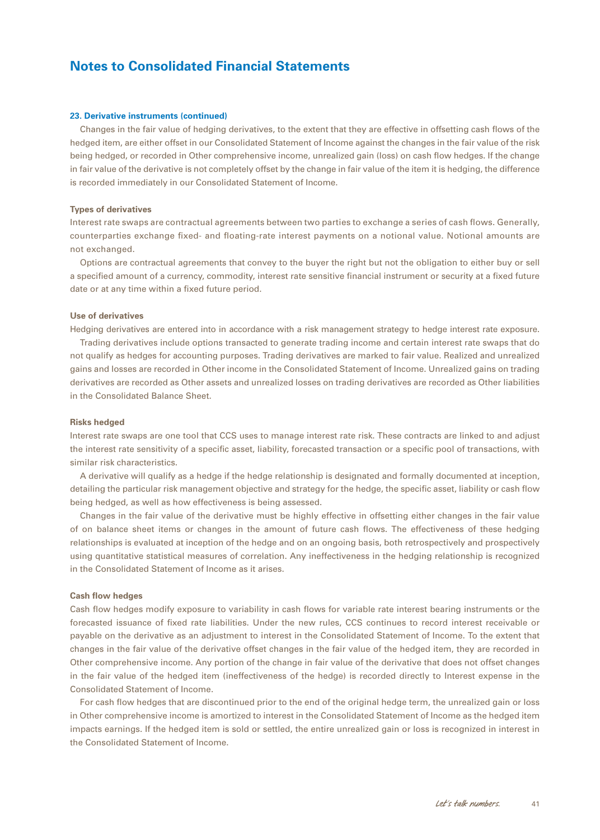#### **23. Derivative instruments (continued)**

Changes in the fair value of hedging derivatives, to the extent that they are effective in offsetting cash flows of the hedged item, are either offset in our Consolidated Statement of Income against the changes in the fair value of the risk being hedged, or recorded in Other comprehensive income, unrealized gain (loss) on cash flow hedges. If the change in fair value of the derivative is not completely offset by the change in fair value of the item it is hedging, the difference is recorded immediately in our Consolidated Statement of Income.

### **Types of derivatives**

Interest rate swaps are contractual agreements between two parties to exchange a series of cash flows. Generally, counterparties exchange fixed- and floating-rate interest payments on a notional value. Notional amounts are not exchanged.

Options are contractual agreements that convey to the buyer the right but not the obligation to either buy or sell a specified amount of a currency, commodity, interest rate sensitive financial instrument or security at a fixed future date or at any time within a fixed future period.

### **Use of derivatives**

Hedging derivatives are entered into in accordance with a risk management strategy to hedge interest rate exposure.

Trading derivatives include options transacted to generate trading income and certain interest rate swaps that do not qualify as hedges for accounting purposes. Trading derivatives are marked to fair value. Realized and unrealized gains and losses are recorded in Other income in the Consolidated Statement of Income. Unrealized gains on trading derivatives are recorded as Other assets and unrealized losses on trading derivatives are recorded as Other liabilities in the Consolidated Balance Sheet.

#### **Risks hedged**

Interest rate swaps are one tool that CCS uses to manage interest rate risk. These contracts are linked to and adjust the interest rate sensitivity of a specific asset, liability, forecasted transaction or a specific pool of transactions, with similar risk characteristics.

A derivative will qualify as a hedge if the hedge relationship is designated and formally documented at inception, detailing the particular risk management objective and strategy for the hedge, the specific asset, liability or cash flow being hedged, as well as how effectiveness is being assessed.

Changes in the fair value of the derivative must be highly effective in offsetting either changes in the fair value of on balance sheet items or changes in the amount of future cash flows. The effectiveness of these hedging relationships is evaluated at inception of the hedge and on an ongoing basis, both retrospectively and prospectively using quantitative statistical measures of correlation. Any ineffectiveness in the hedging relationship is recognized in the Consolidated Statement of Income as it arises.

### **Cash flow hedges**

Cash flow hedges modify exposure to variability in cash flows for variable rate interest bearing instruments or the forecasted issuance of fixed rate liabilities. Under the new rules, CCS continues to record interest receivable or payable on the derivative as an adjustment to interest in the Consolidated Statement of Income. To the extent that changes in the fair value of the derivative offset changes in the fair value of the hedged item, they are recorded in Other comprehensive income. Any portion of the change in fair value of the derivative that does not offset changes in the fair value of the hedged item (ineffectiveness of the hedge) is recorded directly to Interest expense in the Consolidated Statement of Income.

For cash flow hedges that are discontinued prior to the end of the original hedge term, the unrealized gain or loss in Other comprehensive income is amortized to interest in the Consolidated Statement of Income as the hedged item impacts earnings. If the hedged item is sold or settled, the entire unrealized gain or loss is recognized in interest in the Consolidated Statement of Income.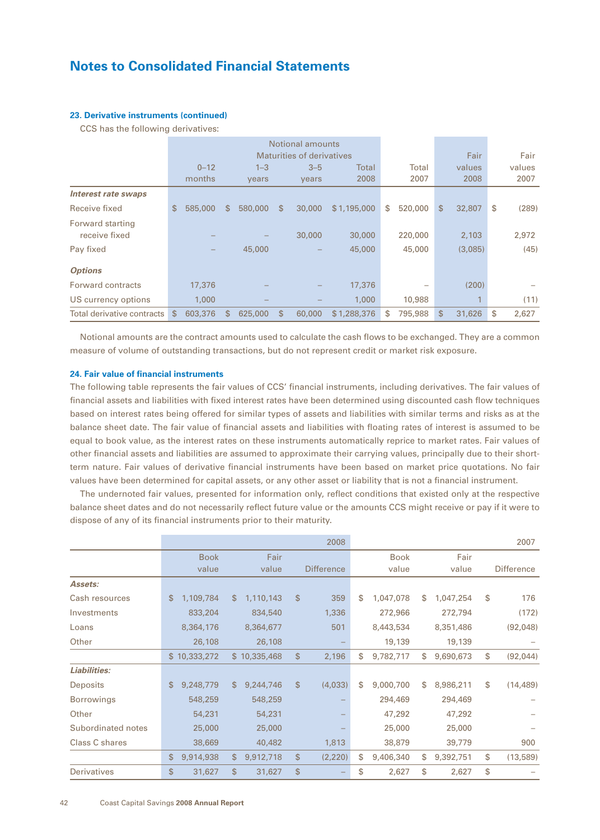### **23. Derivative instruments (continued)**

CCS has the following derivatives:

|                                   | Notional amounts |    |         |              |                           |              |    |         |              |             |
|-----------------------------------|------------------|----|---------|--------------|---------------------------|--------------|----|---------|--------------|-------------|
|                                   |                  |    |         |              | Maturities of derivatives |              |    |         | Fair         | Fair        |
|                                   | $0 - 12$         |    | $1 - 3$ |              | $3 - 5$                   | <b>Total</b> |    | Total   | values       | values      |
|                                   | months           |    | years   |              | years                     | 2008         |    | 2007    | 2008         | 2007        |
| <b>Interest rate swaps</b>        |                  |    |         |              |                           |              |    |         |              |             |
| Receive fixed                     | 585,000<br>S     | S. | 580,000 | $\mathbb{S}$ | 30,000                    | \$1,195,000  | \$ | 520,000 | \$<br>32,807 | \$<br>(289) |
| Forward starting<br>receive fixed |                  |    |         |              | 30,000                    | 30,000       |    | 220,000 | 2,103        | 2,972       |
| Pay fixed                         |                  |    | 45,000  |              |                           | 45,000       |    | 45,000  | (3,085)      | (45)        |
| <b>Options</b>                    |                  |    |         |              |                           |              |    |         |              |             |
| Forward contracts                 | 17,376           |    |         |              |                           | 17,376       |    |         | (200)        |             |
| US currency options               | 1,000            |    |         |              |                           | 1,000        |    | 10,988  | 1            | (11)        |
| Total derivative contracts        | 603,376<br>\$    | S. | 625,000 | \$           | 60,000                    | \$1,288,376  | \$ | 795,988 | \$<br>31,626 | \$<br>2.627 |

Notional amounts are the contract amounts used to calculate the cash flows to be exchanged. They are a common measure of volume of outstanding transactions, but do not represent credit or market risk exposure.

### **24. Fair value of financial instruments**

The following table represents the fair values of CCS' financial instruments, including derivatives. The fair values of financial assets and liabilities with fixed interest rates have been determined using discounted cash flow techniques based on interest rates being offered for similar types of assets and liabilities with similar terms and risks as at the balance sheet date. The fair value of financial assets and liabilities with floating rates of interest is assumed to be equal to book value, as the interest rates on these instruments automatically reprice to market rates. Fair values of other financial assets and liabilities are assumed to approximate their carrying values, principally due to their shortterm nature. Fair values of derivative financial instruments have been based on market price quotations. No fair values have been determined for capital assets, or any other asset or liability that is not a financial instrument.

The undernoted fair values, presented for information only, reflect conditions that existed only at the respective balance sheet dates and do not necessarily reflect future value or the amounts CCS might receive or pay if it were to dispose of any of its financial instruments prior to their maturity.

|                    |                 |                 | 2008              |                 |    |           | 2007              |
|--------------------|-----------------|-----------------|-------------------|-----------------|----|-----------|-------------------|
|                    | <b>Book</b>     | Fair            |                   | <b>Book</b>     |    | Fair      |                   |
|                    | value           | value           | <b>Difference</b> | value           |    | value     | <b>Difference</b> |
| Assets:            |                 |                 |                   |                 |    |           |                   |
| Cash resources     | \$<br>1,109,784 | \$<br>1,110,143 | \$<br>359         | \$<br>1,047,078 | S  | 1,047,254 | \$<br>176         |
| Investments        | 833,204         | 834,540         | 1,336             | 272,966         |    | 272,794   | (172)             |
| Loans              | 8,364,176       | 8,364,677       | 501               | 8,443,534       |    | 8,351,486 | (92,048)          |
| Other              | 26,108          | 26,108          |                   | 19,139          |    | 19,139    |                   |
|                    | \$10,333,272    | \$10,335,468    | \$<br>2,196       | \$<br>9,782,717 | S  | 9,690,673 | \$<br>(92, 044)   |
| Liabilities:       |                 |                 |                   |                 |    |           |                   |
| Deposits           | \$<br>9,248,779 | \$<br>9,244,746 | \$<br>(4,033)     | \$<br>9,000,700 | \$ | 8,986,211 | \$<br>(14, 489)   |
| <b>Borrowings</b>  | 548,259         | 548,259         |                   | 294,469         |    | 294,469   |                   |
| Other              | 54,231          | 54,231          |                   | 47,292          |    | 47,292    |                   |
| Subordinated notes | 25,000          | 25,000          |                   | 25,000          |    | 25,000    |                   |
| Class C shares     | 38,669          | 40,482          | 1,813             | 38,879          |    | 39,779    | 900               |
|                    | \$<br>9,914,938 | \$<br>9,912,718 | \$<br>(2,220)     | \$<br>9,406,340 | \$ | 9,392,751 | \$<br>(13,589)    |
| <b>Derivatives</b> | \$<br>31,627    | \$<br>31,627    | \$                | \$<br>2,627     | \$ | 2,627     | \$                |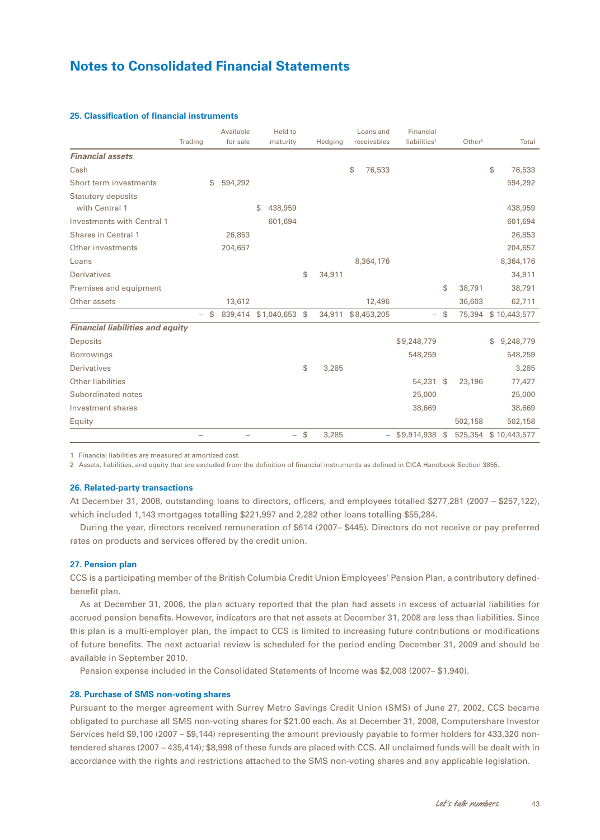|                                             | Trading | Available<br>for sale | Held to<br>maturity |     | Hedging | Loans and<br>receivables | Financial<br>liabilities <sup>1</sup> | Other <sup>2</sup> | Total           |
|---------------------------------------------|---------|-----------------------|---------------------|-----|---------|--------------------------|---------------------------------------|--------------------|-----------------|
| <b>Financial assets</b>                     |         |                       |                     |     |         |                          |                                       |                    |                 |
| Cash                                        |         |                       |                     |     |         | 76,533<br>\$             |                                       |                    | \$<br>76,533    |
| Short term investments                      |         | 594,292<br>\$         |                     |     |         |                          |                                       |                    | 594,292         |
| <b>Statutory deposits</b><br>with Central 1 |         |                       | 438,959<br>\$       |     |         |                          |                                       |                    | 438,959         |
| <b>Investments with Central 1</b>           |         |                       | 601,694             |     |         |                          |                                       |                    | 601,694         |
| <b>Shares in Central 1</b>                  |         | 26,853                |                     |     |         |                          |                                       |                    | 26,853          |
| Other investments                           |         | 204,657               |                     |     |         |                          |                                       |                    | 204,657         |
| Loans                                       |         |                       |                     |     |         | 8,364,176                |                                       |                    | 8,364,176       |
| <b>Derivatives</b>                          |         |                       |                     | \$  | 34,911  |                          |                                       |                    | 34,911          |
| Premises and equipment                      |         |                       |                     |     |         |                          |                                       | \$<br>38,791       | 38,791          |
| Other assets                                |         | 13,612                |                     |     |         | 12,496                   |                                       | 36,603             | 62,711          |
|                                             | ÷       | S.                    | 839,414 \$1,040,653 | -\$ | 34,911  | \$8,453,205              | $\overline{\phantom{0}}$              | \$<br>75,394       | \$10,443,577    |
| <b>Financial liabilities and equity</b>     |         |                       |                     |     |         |                          |                                       |                    |                 |
| Deposits                                    |         |                       |                     |     |         |                          | \$9,248,779                           |                    | 9,248,779<br>\$ |
| <b>Borrowings</b>                           |         |                       |                     |     |         |                          | 548,259                               |                    | 548,259         |
| <b>Derivatives</b>                          |         |                       |                     | \$  | 3,285   |                          |                                       |                    | 3,285           |
| <b>Other liabilities</b>                    |         |                       |                     |     |         |                          | 54,231 \$                             | 23,196             | 77,427          |
| Subordinated notes                          |         |                       |                     |     |         |                          | 25,000                                |                    | 25,000          |
| Investment shares                           |         |                       |                     |     |         |                          | 38,669                                |                    | 38,669          |
| Equity                                      |         |                       |                     |     |         |                          |                                       | 502,158            | 502,158         |
|                                             |         |                       | -                   | \$  | 3,285   |                          | $-$ \$9,914,938 \$                    | 525,354            | \$10,443,577    |

### **25. Classification of financial instruments**

1 Financial liabilities are measured at amortized cost.

2 Assets, liabilities, and equity that are excluded from the definition of financial instruments as defined in CICA Handbook Section 3855.

#### **26. Related-party transactions**

At December 31, 2008, outstanding loans to directors, officers, and employees totalled \$277,281 (2007 – \$257,122), which included 1,143 mortgages totalling \$221,997 and 2,282 other loans totalling \$55,284.

During the year, directors received remuneration of \$614 (2007– \$445). Directors do not receive or pay preferred rates on products and services offered by the credit union.

### **27. Pension plan**

CCS is a participating member of the British Columbia Credit Union Employees' Pension Plan, a contributory definedbenefit plan.

As at December 31, 2006, the plan actuary reported that the plan had assets in excess of actuarial liabilities for accrued pension benefits. However, indicators are that net assets at December 31, 2008 are less than liabilities. Since this plan is a multi-employer plan, the impact to CCS is limited to increasing future contributions or modifications of future benefits. The next actuarial review is scheduled for the period ending December 31, 2009 and should be available in September 2010.

Pension expense included in the Consolidated Statements of Income was \$2,008 (2007– \$1,940).

#### **28. Purchase of SMS non-voting shares**

Pursuant to the merger agreement with Surrey Metro Savings Credit Union (SMS) of June 27, 2002, CCS became obligated to purchase all SMS non-voting shares for \$21.00 each. As at December 31, 2008, Computershare Investor Services held \$9,100 (2007 – \$9,144) representing the amount previously payable to former holders for 433,320 nontendered shares (2007 – 435,414); \$8,998 of these funds are placed with CCS. All unclaimed funds will be dealt with in accordance with the rights and restrictions attached to the SMS non-voting shares and any applicable legislation.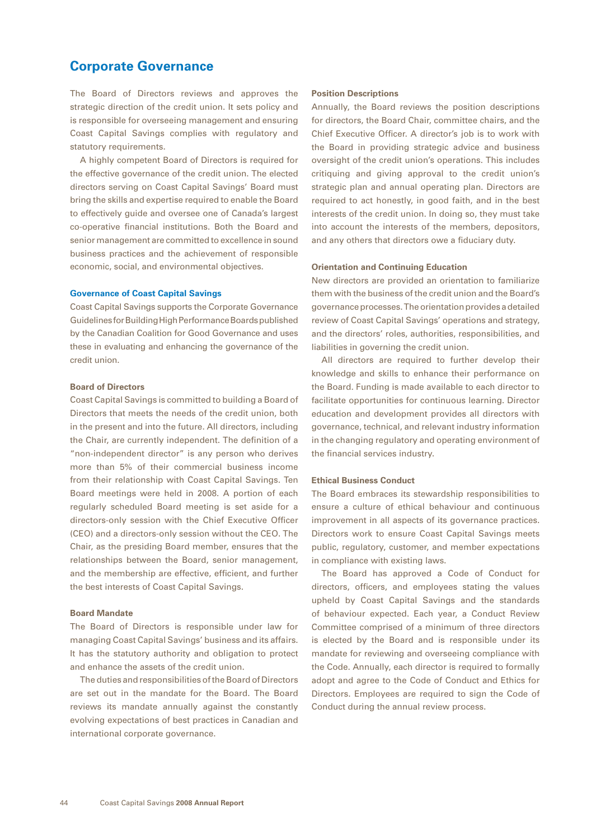## <span id="page-45-0"></span>**Corporate Governance**

The Board of Directors reviews and approves the strategic direction of the credit union. It sets policy and is responsible for overseeing management and ensuring Coast Capital Savings complies with regulatory and statutory requirements.

A highly competent Board of Directors is required for the effective governance of the credit union. The elected directors serving on Coast Capital Savings' Board must bring the skills and expertise required to enable the Board to effectively guide and oversee one of Canada's largest co-operative financial institutions. Both the Board and senior management are committed to excellence in sound business practices and the achievement of responsible economic, social, and environmental objectives.

### **Governance of Coast Capital Savings**

Coast Capital Savings supports the Corporate Governance Guidelines for Building High Performance Boards published by the Canadian Coalition for Good Governance and uses these in evaluating and enhancing the governance of the credit union.

#### **Board of Directors**

Coast Capital Savings is committed to building a Board of Directors that meets the needs of the credit union, both in the present and into the future. All directors, including the Chair, are currently independent. The definition of a "non-independent director" is any person who derives more than 5% of their commercial business income from their relationship with Coast Capital Savings. Ten Board meetings were held in 2008. A portion of each regularly scheduled Board meeting is set aside for a directors-only session with the Chief Executive Officer (CEO) and a directors-only session without the CEO. The Chair, as the presiding Board member, ensures that the relationships between the Board, senior management, and the membership are effective, efficient, and further the best interests of Coast Capital Savings.

#### **Board Mandate**

The Board of Directors is responsible under law for managing Coast Capital Savings' business and its affairs. It has the statutory authority and obligation to protect and enhance the assets of the credit union.

The duties and responsibilities of the Board of Directors are set out in the mandate for the Board. The Board reviews its mandate annually against the constantly evolving expectations of best practices in Canadian and international corporate governance.

#### **Position Descriptions**

Annually, the Board reviews the position descriptions for directors, the Board Chair, committee chairs, and the Chief Executive Officer. A director's job is to work with the Board in providing strategic advice and business oversight of the credit union's operations. This includes critiquing and giving approval to the credit union's strategic plan and annual operating plan. Directors are required to act honestly, in good faith, and in the best interests of the credit union. In doing so, they must take into account the interests of the members, depositors, and any others that directors owe a fiduciary duty.

### **Orientation and Continuing Education**

New directors are provided an orientation to familiarize them with the business of the credit union and the Board's governance processes. The orientation provides a detailed review of Coast Capital Savings' operations and strategy, and the directors' roles, authorities, responsibilities, and liabilities in governing the credit union.

All directors are required to further develop their knowledge and skills to enhance their performance on the Board. Funding is made available to each director to facilitate opportunities for continuous learning. Director education and development provides all directors with governance, technical, and relevant industry information in the changing regulatory and operating environment of the financial services industry.

#### **Ethical Business Conduct**

The Board embraces its stewardship responsibilities to ensure a culture of ethical behaviour and continuous improvement in all aspects of its governance practices. Directors work to ensure Coast Capital Savings meets public, regulatory, customer, and member expectations in compliance with existing laws.

The Board has approved a Code of Conduct for directors, officers, and employees stating the values upheld by Coast Capital Savings and the standards of behaviour expected. Each year, a Conduct Review Committee comprised of a minimum of three directors is elected by the Board and is responsible under its mandate for reviewing and overseeing compliance with the Code. Annually, each director is required to formally adopt and agree to the Code of Conduct and Ethics for Directors. Employees are required to sign the Code of Conduct during the annual review process.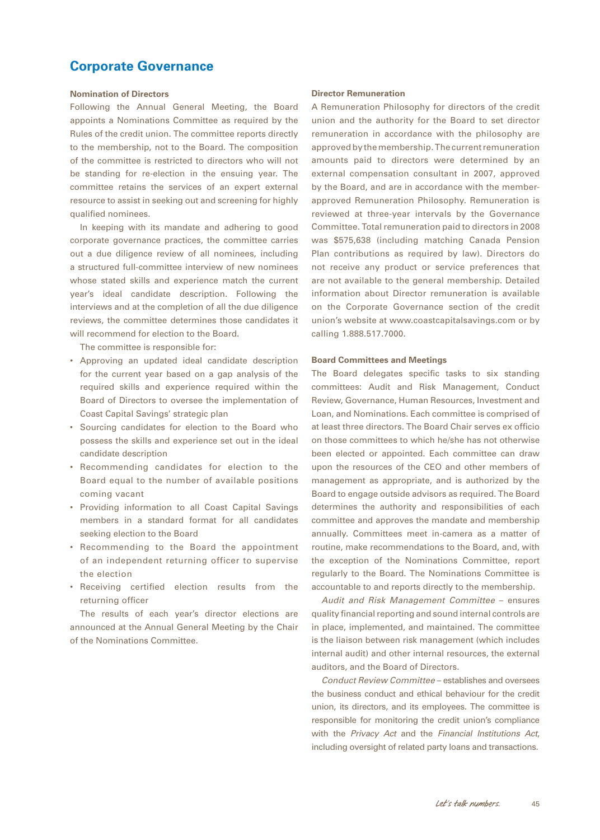## **Corporate Governance**

### **Nomination of Directors**

Following the Annual General Meeting, the Board appoints a Nominations Committee as required by the Rules of the credit union. The committee reports directly to the membership, not to the Board. The composition of the committee is restricted to directors who will not be standing for re-election in the ensuing year. The committee retains the services of an expert external resource to assist in seeking out and screening for highly qualified nominees.

In keeping with its mandate and adhering to good corporate governance practices, the committee carries out a due diligence review of all nominees, including a structured full-committee interview of new nominees whose stated skills and experience match the current year's ideal candidate description. Following the interviews and at the completion of all the due diligence reviews, the committee determines those candidates it will recommend for election to the Board.

The committee is responsible for:

- • Approving an updated ideal candidate description for the current year based on a gap analysis of the required skills and experience required within the Board of Directors to oversee the implementation of Coast Capital Savings' strategic plan
- • Sourcing candidates for election to the Board who possess the skills and experience set out in the ideal candidate description
- • Recommending candidates for election to the Board equal to the number of available positions coming vacant
- • Providing information to all Coast Capital Savings members in a standard format for all candidates seeking election to the Board
- • Recommending to the Board the appointment of an independent returning officer to supervise the election
- • Receiving certified election results from the returning officer

The results of each year's director elections are announced at the Annual General Meeting by the Chair of the Nominations Committee.

#### **Director Remuneration**

A Remuneration Philosophy for directors of the credit union and the authority for the Board to set director remuneration in accordance with the philosophy are approved by the membership. The current remuneration amounts paid to directors were determined by an external compensation consultant in 2007, approved by the Board, and are in accordance with the memberapproved Remuneration Philosophy. Remuneration is reviewed at three-year intervals by the Governance Committee. Total remuneration paid to directors in 2008 was \$575,638 (including matching Canada Pension Plan contributions as required by law). Directors do not receive any product or service preferences that are not available to the general membership. Detailed information about Director remuneration is available on the Corporate Governance section of the credit union's website at www.coastcapitalsavings.com or by calling 1.888.517.7000.

#### **Board Committees and Meetings**

The Board delegates specific tasks to six standing committees: Audit and Risk Management, Conduct Review, Governance, Human Resources, Investment and Loan, and Nominations. Each committee is comprised of at least three directors. The Board Chair serves ex officio on those committees to which he/she has not otherwise been elected or appointed. Each committee can draw upon the resources of the CEO and other members of management as appropriate, and is authorized by the Board to engage outside advisors as required. The Board determines the authority and responsibilities of each committee and approves the mandate and membership annually. Committees meet in-camera as a matter of routine, make recommendations to the Board, and, with the exception of the Nominations Committee, report regularly to the Board. The Nominations Committee is accountable to and reports directly to the membership.

*Audit and Risk Management Committee* – ensures quality financial reporting and sound internal controls are in place, implemented, and maintained. The committee is the liaison between risk management (which includes internal audit) and other internal resources, the external auditors, and the Board of Directors.

*Conduct Review Committee* – establishes and oversees the business conduct and ethical behaviour for the credit union, its directors, and its employees. The committee is responsible for monitoring the credit union's compliance with the *Privacy Act* and the *Financial Institutions Act*, including oversight of related party loans and transactions.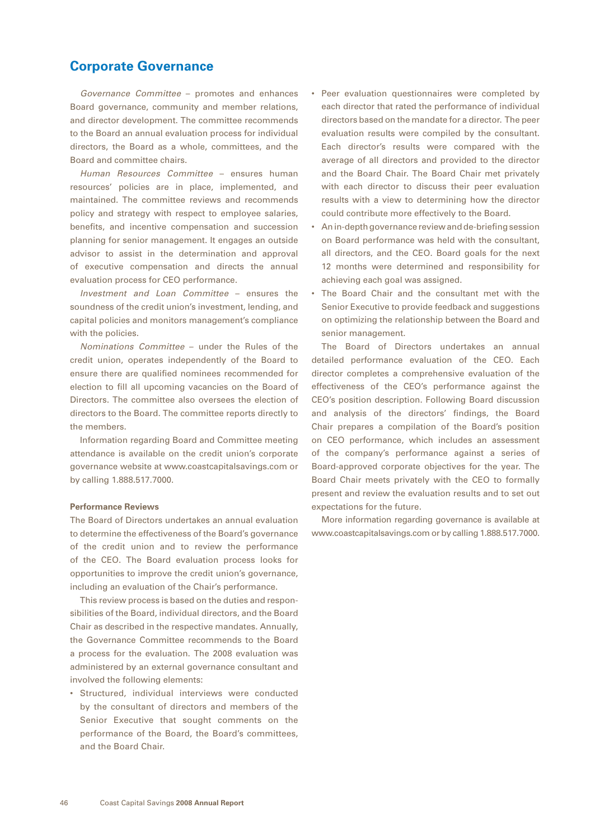## **Corporate Governance**

*Governance Committee* – promotes and enhances Board governance, community and member relations, and director development. The committee recommends to the Board an annual evaluation process for individual directors, the Board as a whole, committees, and the Board and committee chairs.

*Human Resources Committee* – ensures human resources' policies are in place, implemented, and maintained. The committee reviews and recommends policy and strategy with respect to employee salaries, benefits, and incentive compensation and succession planning for senior management. It engages an outside advisor to assist in the determination and approval of executive compensation and directs the annual evaluation process for CEO performance.

*Investment and Loan Committee* – ensures the soundness of the credit union's investment, lending, and capital policies and monitors management's compliance with the policies.

*Nominations Committee* – under the Rules of the credit union, operates independently of the Board to ensure there are qualified nominees recommended for election to fill all upcoming vacancies on the Board of Directors. The committee also oversees the election of directors to the Board. The committee reports directly to the members.

Information regarding Board and Committee meeting attendance is available on the credit union's corporate governance website at www.coastcapitalsavings.com or by calling 1.888.517.7000.

### **Performance Reviews**

The Board of Directors undertakes an annual evaluation to determine the effectiveness of the Board's governance of the credit union and to review the performance of the CEO. The Board evaluation process looks for opportunities to improve the credit union's governance, including an evaluation of the Chair's performance.

This review process is based on the duties and responsibilities of the Board, individual directors, and the Board Chair as described in the respective mandates. Annually, the Governance Committee recommends to the Board a process for the evaluation. The 2008 evaluation was administered by an external governance consultant and involved the following elements:

• Structured, individual interviews were conducted by the consultant of directors and members of the Senior Executive that sought comments on the performance of the Board, the Board's committees, and the Board Chair.

- • Peer evaluation questionnaires were completed by each director that rated the performance of individual directors based on the mandate for a director. The peer evaluation results were compiled by the consultant. Each director's results were compared with the average of all directors and provided to the director and the Board Chair. The Board Chair met privately with each director to discuss their peer evaluation results with a view to determining how the director could contribute more effectively to the Board.
- An in-depth governance review and de-briefing session on Board performance was held with the consultant, all directors, and the CEO. Board goals for the next 12 months were determined and responsibility for achieving each goal was assigned.
- The Board Chair and the consultant met with the Senior Executive to provide feedback and suggestions on optimizing the relationship between the Board and senior management.

The Board of Directors undertakes an annual detailed performance evaluation of the CEO. Each director completes a comprehensive evaluation of the effectiveness of the CEO's performance against the CEO's position description. Following Board discussion and analysis of the directors' findings, the Board Chair prepares a compilation of the Board's position on CEO performance, which includes an assessment of the company's performance against a series of Board-approved corporate objectives for the year. The Board Chair meets privately with the CEO to formally present and review the evaluation results and to set out expectations for the future.

More information regarding governance is available at www.coastcapitalsavings.com or by calling 1.888.517.7000.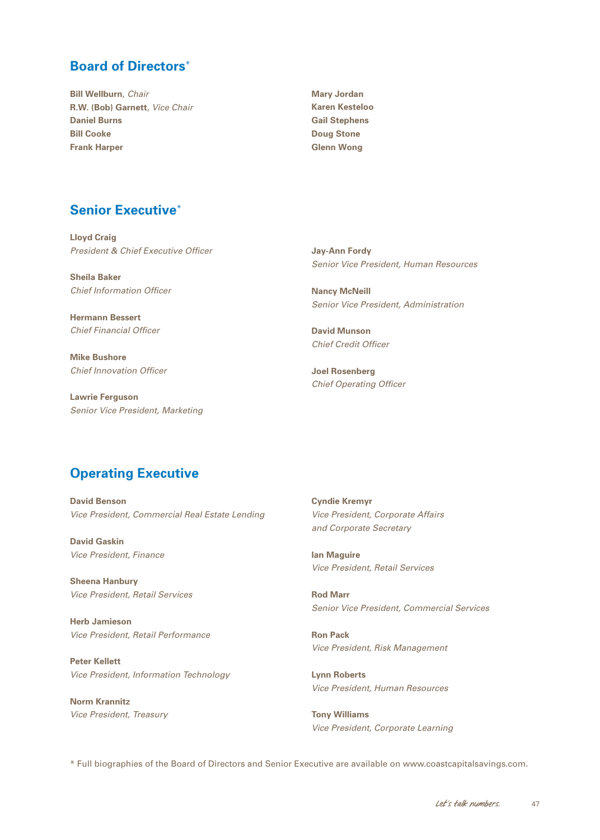## <span id="page-48-0"></span>**Board of Directors**\*

**Bill Wellburn**, *Chair* **R.W. (Bob) Garnett**, *Vice Chair* **Daniel Burns Bill Cooke Frank Harper**

**Mary Jordan Karen Kesteloo Gail Stephens Doug Stone Glenn Wong**

## **Senior Executive**\*

**Lloyd Craig**  *President & Chief Executive Officer*

**Sheila Baker**  *Chief Information Officer*

**Hermann Bessert**  *Chief Financial Officer*

**Mike Bushore**  *Chief Innovation Officer*

**Lawrie Ferguson**  *Senior Vice President, Marketing* **Jay-Ann Fordy** *Senior Vice President, Human Resources*

**Nancy McNeill** *Senior Vice President, Administration*

**David Munson**  *Chief Credit Officer*

**Joel Rosenberg**  *Chief Operating Officer*

## **Operating Executive**

**David Benson** *Vice President, Commercial Real Estate Lending*

**David Gaskin** *Vice President, Finance*

**Sheena Hanbury** *Vice President, Retail Services*

**Herb Jamieson** *Vice President, Retail Performance*

**Peter Kellett** *Vice President, Information Technology*

**Norm Krannitz** *Vice President, Treasury* **Cyndie Kremyr** *Vice President, Corporate Affairs and Corporate Secretary*

**Ian Maguire** *Vice President, Retail Services*

**Rod Marr** *Senior Vice President, Commercial Services*

**Ron Pack** *Vice President, Risk Management*

**Lynn Roberts** *Vice President, Human Resources*

**Tony Williams** *Vice President, Corporate Learning*

\* Full biographies of the Board of Directors and Senior Executive are available on www.coastcapitalsavings.com.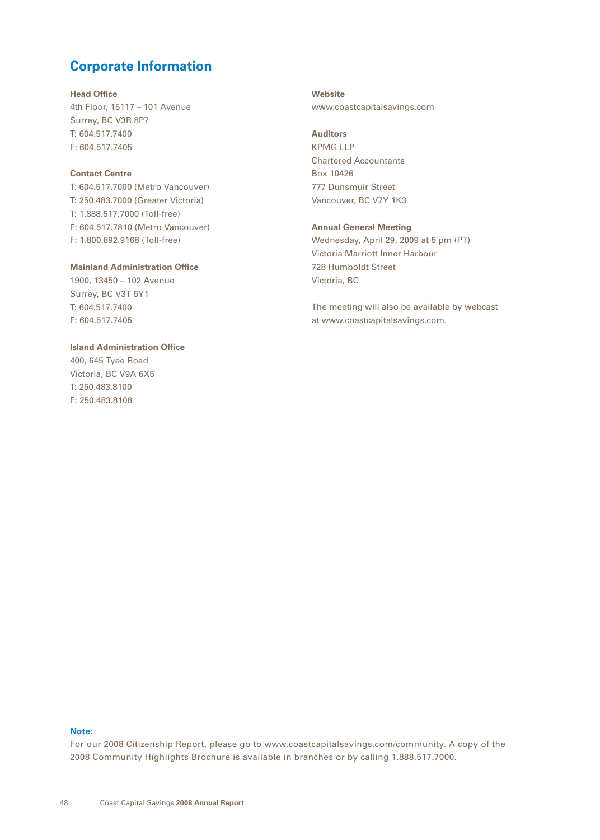## <span id="page-49-0"></span>**Corporate Information**

#### **Head Office**

4th Floor, 15117 – 101 Avenue Surrey, BC V3R 8P7 T: 604.517.7400 F: 604.517.7405

### **Contact Centre**

T: 604.517.7000 (Metro Vancouver) T: 250.483.7000 (Greater Victoria) T: 1.888.517.7000 (Toll-free) F: 604.517.7810 (Metro Vancouver) F: 1.800.892.9168 (Toll-free)

### **Mainland Administration Office**

1900, 13450 – 102 Avenue Surrey, BC V3T 5Y1 T: 604.517.7400 F: 604.517.7405

## **Island Administration Office**

400, 645 Tyee Road Victoria, BC V9A 6X5 T: 250.483.8100 F: 250.483.8108

**Website** www.coastcapitalsavings.com

## **Auditors** KPMG LLP Chartered Accountants

Box 10426 777 Dunsmuir Street Vancouver, BC V7Y 1K3

### **Annual General Meeting**

Wednesday, April 29, 2009 at 5 pm (PT) Victoria Marriott Inner Harbour 728 Humboldt Street Victoria, BC

The meeting will also be available by webcast at www.coastcapitalsavings.com.

## **Note:**

For our 2008 Citizenship Report, please go to www.coastcapitalsavings.com/community. A copy of the 2008 Community Highlights Brochure is available in branches or by calling 1.888.517.7000.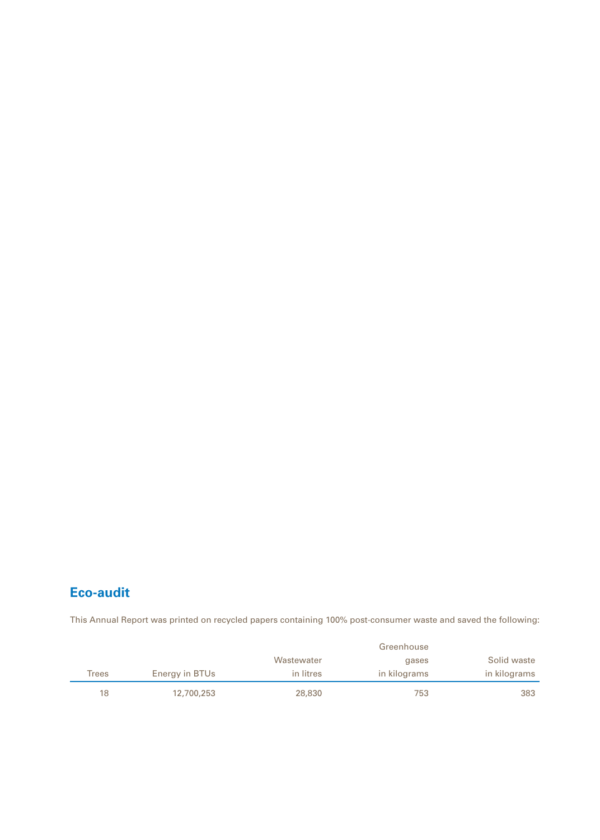# **Eco-audit**

This Annual Report was printed on recycled papers containing 100% post-consumer waste and saved the following:

|       |                |            | Greenhouse   |              |
|-------|----------------|------------|--------------|--------------|
|       |                | Wastewater | gases        | Solid waste  |
| Trees | Energy in BTUs | in litres  | in kilograms | in kilograms |
| 18    | 12,700,253     | 28,830     | 753          | 383          |